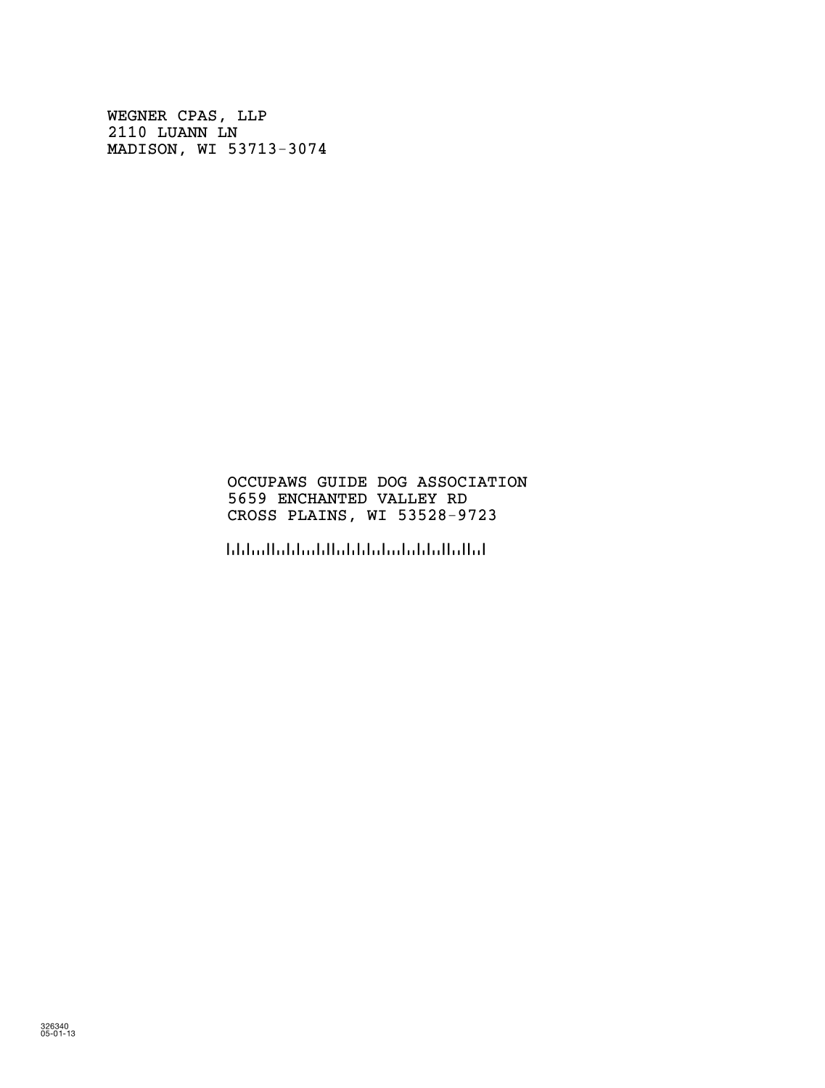WEGNER CPAS, LLP 2110 LUANN LN MADISON, WI 53713-3074

# OCCUPAWS GUIDE DOG ASSOCIATION 5659 ENCHANTED VALLEY RD CROSS PLAINS, WI 53528-9723

!5352897236!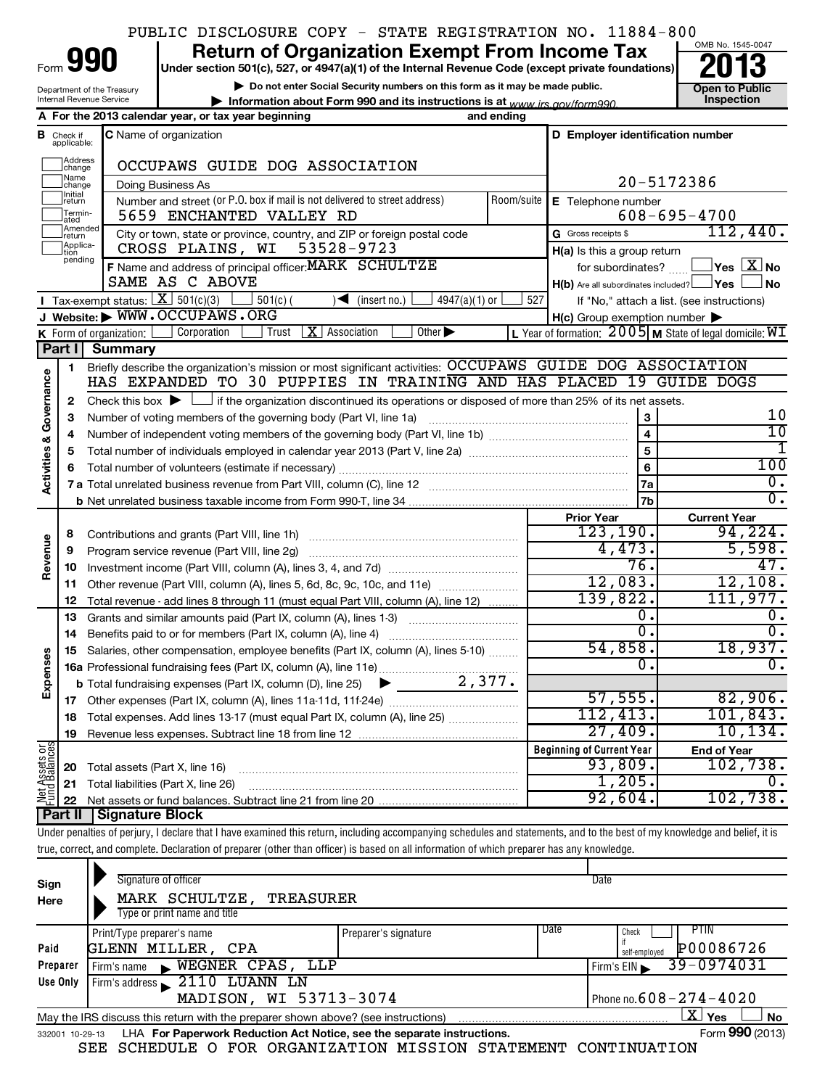|                                    |                                  |                                        | PUBLIC DISCLOSURE COPY - STATE REGISTRATION NO. 11884-800                                                                                                                         |            |                                                      |                                                                     |
|------------------------------------|----------------------------------|----------------------------------------|-----------------------------------------------------------------------------------------------------------------------------------------------------------------------------------|------------|------------------------------------------------------|---------------------------------------------------------------------|
|                                    |                                  |                                        | <b>Return of Organization Exempt From Income Tax</b>                                                                                                                              |            |                                                      | OMB No. 1545-0047                                                   |
| Form                               |                                  | 990                                    | Under section 501(c), 527, or 4947(a)(1) of the Internal Revenue Code (except private foundations)                                                                                |            |                                                      |                                                                     |
|                                    |                                  | Department of the Treasury             | Do not enter Social Security numbers on this form as it may be made public.                                                                                                       |            |                                                      | <b>Open to Public</b>                                               |
|                                    |                                  | Internal Revenue Service               | Information about Form 990 and its instructions is at www irs gov/form990                                                                                                         |            |                                                      | <b>Inspection</b>                                                   |
|                                    |                                  |                                        | A For the 2013 calendar year, or tax year beginning                                                                                                                               | and ending |                                                      |                                                                     |
|                                    | <b>B</b> Check if<br>applicable: |                                        | <b>C</b> Name of organization                                                                                                                                                     |            | D Employer identification number                     |                                                                     |
|                                    | Address<br>change                |                                        | OCCUPAWS GUIDE DOG ASSOCIATION                                                                                                                                                    |            |                                                      |                                                                     |
|                                    | Name<br>change<br>Initial        |                                        | Doing Business As                                                                                                                                                                 |            |                                                      | 20-5172386                                                          |
|                                    | return<br>Termin-<br>lated       |                                        | Number and street (or P.O. box if mail is not delivered to street address)<br>5659 ENCHANTED VALLEY RD                                                                            | Room/suite | E Telephone number                                   | $608 - 695 - 4700$                                                  |
|                                    | Amended <br>Ireturn              |                                        | City or town, state or province, country, and ZIP or foreign postal code                                                                                                          |            | G Gross receipts \$                                  | 112,440.                                                            |
|                                    | Applica-<br>tion                 |                                        | 53528-9723<br>CROSS PLAINS, WI                                                                                                                                                    |            | H(a) Is this a group return                          |                                                                     |
|                                    | pending                          |                                        | F Name and address of principal officer: MARK SCHULTZE                                                                                                                            |            | for subordinates?                                    | $\overline{\ }$ Yes $\overline{\ \text{X}}$ No                      |
|                                    |                                  |                                        | SAME AS C ABOVE                                                                                                                                                                   |            | $H(b)$ Are all subordinates included?                | <b>_lYes l</b><br><b>No</b>                                         |
|                                    |                                  | Tax-exempt status: $X \over 301(c)(3)$ | $4947(a)(1)$ or<br>$501(c)$ (<br>$\sqrt{\bullet}$ (insert no.)                                                                                                                    | 527        |                                                      | If "No," attach a list. (see instructions)                          |
|                                    |                                  |                                        | J Website: WWW.OCCUPAWS.ORG                                                                                                                                                       |            | $H(c)$ Group exemption number $\blacktriangleright$  |                                                                     |
|                                    |                                  | K Form of organization:                | Corporation<br> X <br>Other $\blacktriangleright$<br>Trust<br>Association                                                                                                         |            |                                                      | L Year of formation: $2005 \text{ m}$ State of legal domicile: $WI$ |
|                                    | Part I                           | <b>Summary</b>                         |                                                                                                                                                                                   |            |                                                      |                                                                     |
|                                    | 1.                               |                                        | Briefly describe the organization's mission or most significant activities: OCCUPAWS GUIDE DOG ASSOCIATION<br>HAS EXPANDED TO 30 PUPPIES IN TRAINING AND HAS PLACED 19 GUIDE DOGS |            |                                                      |                                                                     |
| <b>Activities &amp; Governance</b> |                                  |                                        |                                                                                                                                                                                   |            |                                                      |                                                                     |
|                                    | 2                                |                                        | Check this box $\blacktriangleright$ $\Box$ if the organization discontinued its operations or disposed of more than 25% of its net assets.                                       |            |                                                      | 10                                                                  |
|                                    | 3                                |                                        | Number of voting members of the governing body (Part VI, line 1a)                                                                                                                 |            | $\boldsymbol{\mathsf{3}}$<br>$\overline{\mathbf{4}}$ | 10                                                                  |
|                                    | 4<br>5                           |                                        |                                                                                                                                                                                   |            | $\overline{5}$                                       | 1                                                                   |
|                                    | 6                                |                                        | Total number of volunteers (estimate if necessary)                                                                                                                                |            | 6                                                    | 100                                                                 |
|                                    |                                  |                                        |                                                                                                                                                                                   |            | 7a                                                   | $\overline{0}$ .                                                    |
|                                    |                                  |                                        |                                                                                                                                                                                   |            | 7b                                                   | $\overline{0}$ .                                                    |
|                                    |                                  |                                        |                                                                                                                                                                                   |            | <b>Prior Year</b>                                    | <b>Current Year</b>                                                 |
|                                    | 8                                |                                        |                                                                                                                                                                                   |            | 123, 190.                                            | 94, 224.                                                            |
|                                    | 9                                |                                        |                                                                                                                                                                                   |            | 4,473.                                               | 5,598.                                                              |
| Revenue                            | 10                               |                                        |                                                                                                                                                                                   |            | 76.                                                  | 47.                                                                 |
|                                    | 11                               |                                        | Other revenue (Part VIII, column (A), lines 5, 6d, 8c, 9c, 10c, and 11e)                                                                                                          |            | 12,083.                                              | 12,108.                                                             |
|                                    | 12                               |                                        | Total revenue - add lines 8 through 11 (must equal Part VIII, column (A), line 12)                                                                                                |            | 139,822.                                             | 111,977.                                                            |
|                                    | 13                               |                                        | Grants and similar amounts paid (Part IX, column (A), lines 1-3)                                                                                                                  |            | 0.                                                   | ο.                                                                  |
|                                    | 14                               |                                        | Benefits paid to or for members (Part IX, column (A), line 4)                                                                                                                     |            | σ.                                                   | $\overline{0}$ .                                                    |
|                                    |                                  |                                        | 15 Salaries, other compensation, employee benefits (Part IX, column (A), lines 5-10)                                                                                              |            | 54,858.                                              | 18,937.                                                             |
|                                    |                                  |                                        |                                                                                                                                                                                   |            | $\mathbf 0$ .                                        | $\overline{0}$ .                                                    |
| Expenses                           |                                  |                                        |                                                                                                                                                                                   |            |                                                      |                                                                     |
|                                    |                                  |                                        |                                                                                                                                                                                   |            | 57,555.                                              | 82,906.<br>101,843.                                                 |
|                                    | 18                               |                                        | Total expenses. Add lines 13-17 (must equal Part IX, column (A), line 25)                                                                                                         |            | 112,413.<br>27,409.                                  | 10, 134.                                                            |
|                                    | 19                               |                                        |                                                                                                                                                                                   |            | <b>Beginning of Current Year</b>                     |                                                                     |
| Net Assets or<br>Fund Balances     | 20                               |                                        |                                                                                                                                                                                   |            | 93,809.                                              | <b>End of Year</b><br>102,738.                                      |
|                                    | 21                               | Total assets (Part X, line 16)         | Total liabilities (Part X, line 26)                                                                                                                                               |            | 1,205.                                               | 0.                                                                  |
|                                    | 22                               |                                        |                                                                                                                                                                                   |            | 92,604.                                              | 102,738.                                                            |
|                                    | Part II                          | <b>Signature Block</b>                 |                                                                                                                                                                                   |            |                                                      |                                                                     |
|                                    |                                  |                                        | Under penalties of perjury, I declare that I have examined this return, including accompanying schedules and statements, and to the best of my knowledge and belief, it is        |            |                                                      |                                                                     |
|                                    |                                  |                                        | true, correct, and complete. Declaration of preparer (other than officer) is based on all information of which preparer has any knowledge.                                        |            |                                                      |                                                                     |
|                                    |                                  |                                        |                                                                                                                                                                                   |            |                                                      |                                                                     |
| Sign                               |                                  |                                        | Signature of officer                                                                                                                                                              |            | Date                                                 |                                                                     |
| Here                               |                                  |                                        | MARK SCHULTZE, TREASURER                                                                                                                                                          |            |                                                      |                                                                     |
|                                    |                                  |                                        | Type or print name and title                                                                                                                                                      |            |                                                      |                                                                     |

|          | Print/Type preparer's name                                                                     | Preparer's signature | Date | Check         | PTIN                                     |  |  |  |  |
|----------|------------------------------------------------------------------------------------------------|----------------------|------|---------------|------------------------------------------|--|--|--|--|
| Paid     | GLENN MILLER, CPA                                                                              |                      |      | self-emploved | P00086726                                |  |  |  |  |
| Preparer | WEGNER CPAS, LLP<br>Firm's name                                                                |                      |      | Firm's EIN    | 39-0974031                               |  |  |  |  |
| Use Only | Firm's address 2110 LUANN LN                                                                   |                      |      |               |                                          |  |  |  |  |
|          | MADISON, WI 53713-3074                                                                         |                      |      |               | I Phone no. $608 - 274 - 4020$           |  |  |  |  |
|          | Yes<br>May the IRS discuss this return with the preparer shown above? (see instructions)<br>No |                      |      |               |                                          |  |  |  |  |
|          |                                                                                                | .                    |      |               | $\mathbf{A}$<br>$\overline{\phantom{a}}$ |  |  |  |  |

|  | 332001 10-29-13 LHA For Paperwork Reduction Act Notice, see the separate instructions. |  | Form 990 (2013) |
|--|----------------------------------------------------------------------------------------|--|-----------------|
|  | SEE SCHEDULE O FOR ORGANIZATION MISSION STATEMENT CONTINUATION                         |  |                 |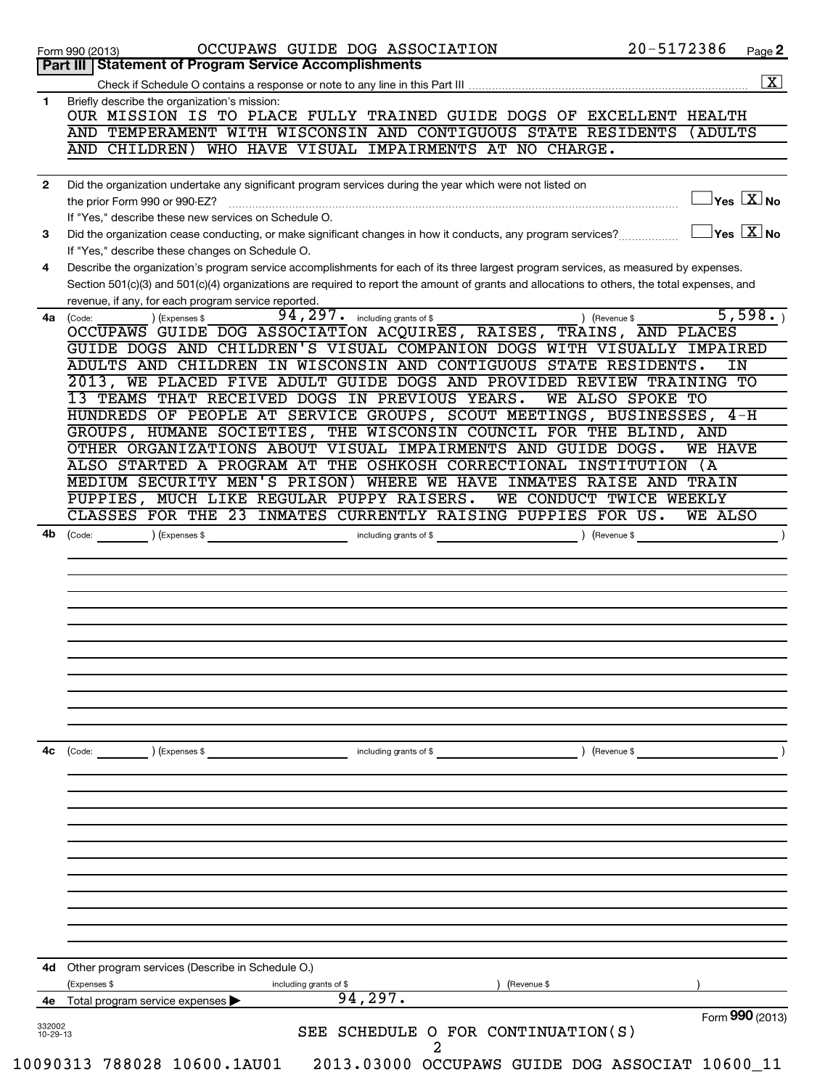|              | 20-5172386<br>OCCUPAWS GUIDE DOG ASSOCIATION<br>Page 2<br>Form 990 (2013)<br>Part III   Statement of Program Service Accomplishments                                                                                                                                                                                                                                                                                                     |
|--------------|------------------------------------------------------------------------------------------------------------------------------------------------------------------------------------------------------------------------------------------------------------------------------------------------------------------------------------------------------------------------------------------------------------------------------------------|
|              | $\boxed{\textbf{X}}$                                                                                                                                                                                                                                                                                                                                                                                                                     |
| 1            | Briefly describe the organization's mission:                                                                                                                                                                                                                                                                                                                                                                                             |
|              | OUR MISSION IS TO PLACE FULLY TRAINED GUIDE DOGS OF EXCELLENT HEALTH                                                                                                                                                                                                                                                                                                                                                                     |
|              | AND TEMPERAMENT WITH WISCONSIN AND CONTIGUOUS STATE RESIDENTS<br>(ADULTS                                                                                                                                                                                                                                                                                                                                                                 |
|              | WHO HAVE VISUAL IMPAIRMENTS AT NO CHARGE.<br>AND CHILDREN)                                                                                                                                                                                                                                                                                                                                                                               |
|              |                                                                                                                                                                                                                                                                                                                                                                                                                                          |
| $\mathbf{2}$ | Did the organization undertake any significant program services during the year which were not listed on                                                                                                                                                                                                                                                                                                                                 |
|              | $\gamma$ es $\boxed{\text{X}}$ No<br>the prior Form 990 or 990-EZ?                                                                                                                                                                                                                                                                                                                                                                       |
|              | If "Yes," describe these new services on Schedule O.                                                                                                                                                                                                                                                                                                                                                                                     |
| 3            | $\sqrt{\mathsf{Yes}\mathord{\;\mathbb{X}}\mathord{\;\mathsf{No}}}$<br>Did the organization cease conducting, or make significant changes in how it conducts, any program services?                                                                                                                                                                                                                                                       |
|              | If "Yes," describe these changes on Schedule O.                                                                                                                                                                                                                                                                                                                                                                                          |
| 4            | Describe the organization's program service accomplishments for each of its three largest program services, as measured by expenses.<br>Section 501(c)(3) and 501(c)(4) organizations are required to report the amount of grants and allocations to others, the total expenses, and                                                                                                                                                     |
|              | revenue, if any, for each program service reported.                                                                                                                                                                                                                                                                                                                                                                                      |
| 4a           | 5,598.<br>$94, 297$ $\cdot$ including grants of \$<br>) (Revenue \$<br>(Code:<br>) (Expenses \$                                                                                                                                                                                                                                                                                                                                          |
|              | OCCUPAWS GUIDE DOG ASSOCIATION ACQUIRES, RAISES, TRAINS, AND PLACES                                                                                                                                                                                                                                                                                                                                                                      |
|              | GUIDE DOGS AND CHILDREN'S VISUAL COMPANION DOGS WITH VISUALLY IMPAIRED                                                                                                                                                                                                                                                                                                                                                                   |
|              | ADULTS AND CHILDREN IN WISCONSIN AND CONTIGUOUS STATE RESIDENTS.<br>IN                                                                                                                                                                                                                                                                                                                                                                   |
|              | 2013, WE PLACED FIVE ADULT GUIDE DOGS AND PROVIDED REVIEW TRAINING TO                                                                                                                                                                                                                                                                                                                                                                    |
|              | 13 TEAMS THAT RECEIVED DOGS IN PREVIOUS YEARS.<br>WE ALSO SPOKE TO                                                                                                                                                                                                                                                                                                                                                                       |
|              | HUNDREDS OF PEOPLE AT SERVICE GROUPS, SCOUT MEETINGS, BUSINESSES, 4-H                                                                                                                                                                                                                                                                                                                                                                    |
|              | GROUPS, HUMANE SOCIETIES, THE WISCONSIN COUNCIL FOR THE BLIND, AND<br>OTHER ORGANIZATIONS ABOUT VISUAL IMPAIRMENTS AND GUIDE DOGS.<br><b>WE HAVE</b>                                                                                                                                                                                                                                                                                     |
|              | ALSO STARTED A PROGRAM AT THE OSHKOSH CORRECTIONAL INSTITUTION (A                                                                                                                                                                                                                                                                                                                                                                        |
|              | MEDIUM SECURITY MEN'S PRISON) WHERE WE HAVE INMATES RAISE AND TRAIN                                                                                                                                                                                                                                                                                                                                                                      |
|              | PUPPIES, MUCH LIKE REGULAR PUPPY RAISERS.<br>WE CONDUCT TWICE WEEKLY                                                                                                                                                                                                                                                                                                                                                                     |
|              | CLASSES FOR THE 23 INMATES CURRENTLY RAISING PUPPIES FOR US.<br>WE ALSO                                                                                                                                                                                                                                                                                                                                                                  |
|              |                                                                                                                                                                                                                                                                                                                                                                                                                                          |
|              |                                                                                                                                                                                                                                                                                                                                                                                                                                          |
| 4с           | $\begin{picture}(18,17) \put(0,0){\vector(1,0){10}} \put(15,0){\vector(1,0){10}} \put(15,0){\vector(1,0){10}} \put(15,0){\vector(1,0){10}} \put(15,0){\vector(1,0){10}} \put(15,0){\vector(1,0){10}} \put(15,0){\vector(1,0){10}} \put(15,0){\vector(1,0){10}} \put(15,0){\vector(1,0){10}} \put(15,0){\vector(1,0){10}} \put(15,0){\vector(1,0){10}} \put(15,0){\vector(1$<br>) (Revenue \$<br>) (Expenses \$<br>including grants of \$ |
|              |                                                                                                                                                                                                                                                                                                                                                                                                                                          |
|              |                                                                                                                                                                                                                                                                                                                                                                                                                                          |
|              |                                                                                                                                                                                                                                                                                                                                                                                                                                          |
|              | Other program services (Describe in Schedule O.)                                                                                                                                                                                                                                                                                                                                                                                         |
|              | (Expenses \$<br>including grants of \$<br>(Revenue \$                                                                                                                                                                                                                                                                                                                                                                                    |
| 4d<br>4е     | 94, 297.<br>Total program service expenses<br>Form 990 (2013)                                                                                                                                                                                                                                                                                                                                                                            |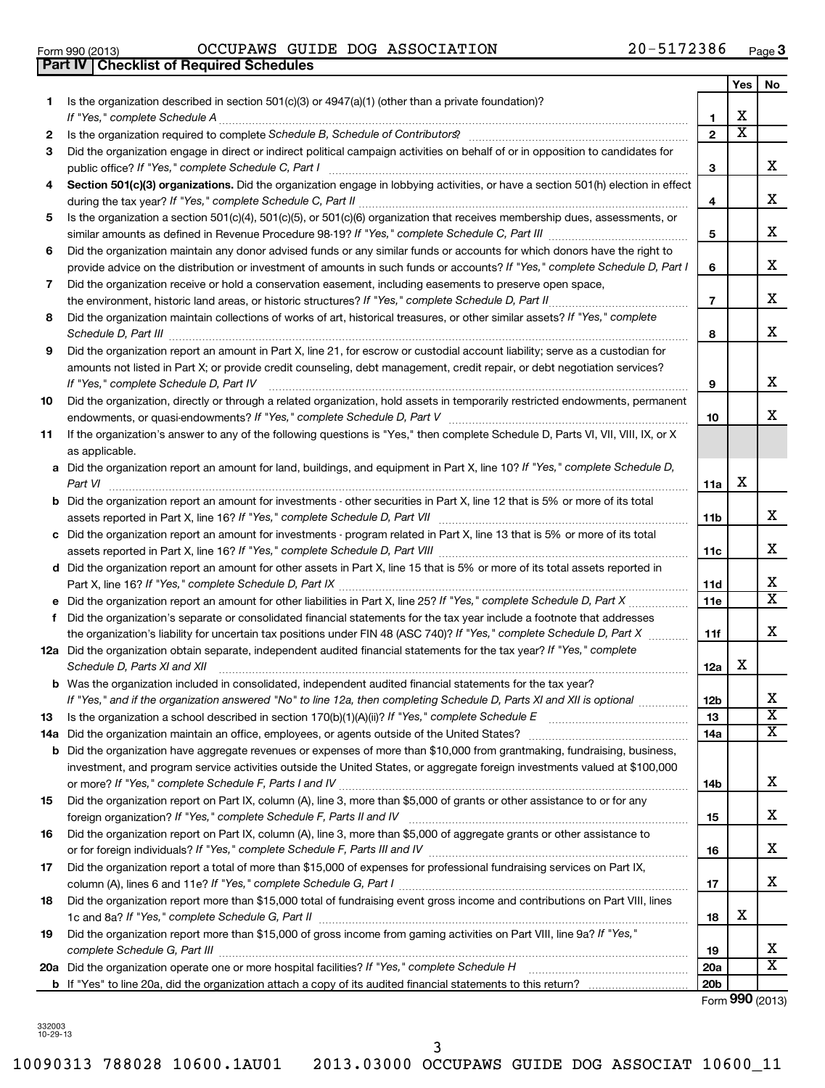|    |                                                                                                                                                                                                                                      |                 | Yes                   | No                      |
|----|--------------------------------------------------------------------------------------------------------------------------------------------------------------------------------------------------------------------------------------|-----------------|-----------------------|-------------------------|
| 1. | Is the organization described in section $501(c)(3)$ or $4947(a)(1)$ (other than a private foundation)?                                                                                                                              |                 |                       |                         |
|    | If "Yes," complete Schedule A                                                                                                                                                                                                        | 1.              | х                     |                         |
| 2  |                                                                                                                                                                                                                                      | $\mathbf{2}$    | $\overline{\text{x}}$ |                         |
| 3  | Did the organization engage in direct or indirect political campaign activities on behalf of or in opposition to candidates for                                                                                                      | 3               |                       | x                       |
| 4  | Section 501(c)(3) organizations. Did the organization engage in lobbying activities, or have a section 501(h) election in effect                                                                                                     |                 |                       |                         |
|    |                                                                                                                                                                                                                                      | 4               |                       | x                       |
| 5  | Is the organization a section 501(c)(4), 501(c)(5), or 501(c)(6) organization that receives membership dues, assessments, or                                                                                                         | 5               |                       | х                       |
| 6  | Did the organization maintain any donor advised funds or any similar funds or accounts for which donors have the right to                                                                                                            |                 |                       |                         |
|    | provide advice on the distribution or investment of amounts in such funds or accounts? If "Yes," complete Schedule D, Part I                                                                                                         | 6               |                       | х                       |
| 7  | Did the organization receive or hold a conservation easement, including easements to preserve open space,                                                                                                                            |                 |                       | x                       |
| 8  | the environment, historic land areas, or historic structures? If "Yes," complete Schedule D, Part II<br>Did the organization maintain collections of works of art, historical treasures, or other similar assets? If "Yes," complete | $\overline{7}$  |                       |                         |
|    | Schedule D, Part III                                                                                                                                                                                                                 | 8               |                       | х                       |
| 9  | Did the organization report an amount in Part X, line 21, for escrow or custodial account liability; serve as a custodian for                                                                                                        |                 |                       |                         |
|    | amounts not listed in Part X; or provide credit counseling, debt management, credit repair, or debt negotiation services?                                                                                                            |                 |                       |                         |
|    | If "Yes," complete Schedule D, Part IV                                                                                                                                                                                               | 9               |                       | x                       |
| 10 | Did the organization, directly or through a related organization, hold assets in temporarily restricted endowments, permanent                                                                                                        | 10              |                       | x                       |
| 11 | If the organization's answer to any of the following questions is "Yes," then complete Schedule D, Parts VI, VII, VIII, IX, or X                                                                                                     |                 |                       |                         |
|    | as applicable.                                                                                                                                                                                                                       |                 |                       |                         |
|    | a Did the organization report an amount for land, buildings, and equipment in Part X, line 10? If "Yes," complete Schedule D,                                                                                                        |                 |                       |                         |
|    | Part VI                                                                                                                                                                                                                              | 11a             | х                     |                         |
|    | <b>b</b> Did the organization report an amount for investments - other securities in Part X, line 12 that is 5% or more of its total                                                                                                 |                 |                       |                         |
|    | assets reported in Part X, line 16? If "Yes," complete Schedule D, Part VII [[[[[[[[[[[[[[[[[[[[[[[[[[[[[[]]]]                                                                                                                       | 11b             |                       | х                       |
|    | c Did the organization report an amount for investments - program related in Part X, line 13 that is 5% or more of its total                                                                                                         | 11c             |                       | х                       |
|    | d Did the organization report an amount for other assets in Part X, line 15 that is 5% or more of its total assets reported in                                                                                                       |                 |                       |                         |
|    |                                                                                                                                                                                                                                      | 11d             |                       | x                       |
|    |                                                                                                                                                                                                                                      | 11e             |                       | $\overline{\texttt{x}}$ |
|    | f Did the organization's separate or consolidated financial statements for the tax year include a footnote that addresses                                                                                                            |                 |                       |                         |
|    | the organization's liability for uncertain tax positions under FIN 48 (ASC 740)? If "Yes," complete Schedule D, Part X                                                                                                               | 11f             |                       | x                       |
|    | 12a Did the organization obtain separate, independent audited financial statements for the tax year? If "Yes," complete                                                                                                              |                 | x                     |                         |
|    | Schedule D, Parts XI and XII<br><b>b</b> Was the organization included in consolidated, independent audited financial statements for the tax year?                                                                                   | 12a             |                       |                         |
|    | If "Yes," and if the organization answered "No" to line 12a, then completing Schedule D, Parts XI and XII is optional <i>maniman</i>                                                                                                 | <b>12b</b>      |                       | x                       |
| 13 |                                                                                                                                                                                                                                      | 13              |                       | $\overline{\textbf{X}}$ |
|    |                                                                                                                                                                                                                                      | 14a             |                       | X                       |
|    | <b>b</b> Did the organization have aggregate revenues or expenses of more than \$10,000 from grantmaking, fundraising, business,                                                                                                     |                 |                       |                         |
|    | investment, and program service activities outside the United States, or aggregate foreign investments valued at \$100,000                                                                                                           |                 |                       |                         |
|    |                                                                                                                                                                                                                                      | 14b             |                       | x                       |
| 15 | Did the organization report on Part IX, column (A), line 3, more than \$5,000 of grants or other assistance to or for any                                                                                                            |                 |                       | x                       |
| 16 | Did the organization report on Part IX, column (A), line 3, more than \$5,000 of aggregate grants or other assistance to                                                                                                             | 15              |                       |                         |
|    |                                                                                                                                                                                                                                      | 16              |                       | x                       |
| 17 | Did the organization report a total of more than \$15,000 of expenses for professional fundraising services on Part IX,                                                                                                              |                 |                       |                         |
|    |                                                                                                                                                                                                                                      | 17              |                       | х                       |
| 18 | Did the organization report more than \$15,000 total of fundraising event gross income and contributions on Part VIII, lines                                                                                                         |                 |                       |                         |
|    |                                                                                                                                                                                                                                      | 18              | х                     |                         |
| 19 | Did the organization report more than \$15,000 of gross income from gaming activities on Part VIII, line 9a? If "Yes,"                                                                                                               |                 |                       | x                       |
|    | complete Schedule G, Part III                                                                                                                                                                                                        | 19<br>20a       |                       | $\overline{\texttt{x}}$ |
|    |                                                                                                                                                                                                                                      | 20 <sub>b</sub> |                       |                         |
|    |                                                                                                                                                                                                                                      |                 |                       |                         |

Form (2013) **990**

332003 10-29-13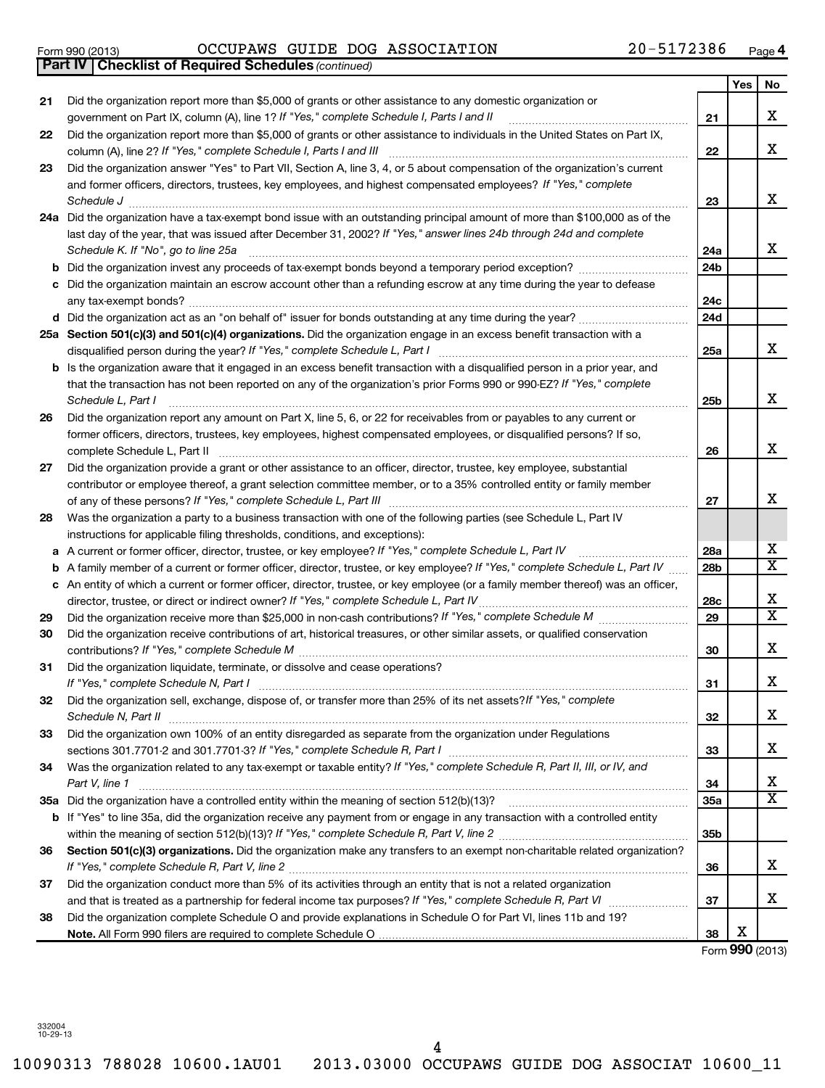332004 10-29-13 **Note.**  4

# Form 990 (2013)  $OCCUPANS$   $GUIDE$   $DOG$   $ASSOCIATION$   $20-5172386$   $Page$

|    | <b>Part IV   Checklist of Required Schedules (continued)</b>                                                                      |                 |                 |                         |
|----|-----------------------------------------------------------------------------------------------------------------------------------|-----------------|-----------------|-------------------------|
|    |                                                                                                                                   |                 | Yes             | No                      |
| 21 | Did the organization report more than \$5,000 of grants or other assistance to any domestic organization or                       |                 |                 |                         |
|    | government on Part IX, column (A), line 1? If "Yes," complete Schedule I, Parts I and II                                          | 21              |                 | X                       |
| 22 | Did the organization report more than \$5,000 of grants or other assistance to individuals in the United States on Part IX,       |                 |                 |                         |
|    | column (A), line 2? If "Yes," complete Schedule I, Parts I and III                                                                | 22              |                 | X                       |
| 23 | Did the organization answer "Yes" to Part VII, Section A, line 3, 4, or 5 about compensation of the organization's current        |                 |                 |                         |
|    | and former officers, directors, trustees, key employees, and highest compensated employees? If "Yes," complete                    |                 |                 |                         |
|    | Schedule J                                                                                                                        | 23              |                 | x                       |
|    |                                                                                                                                   |                 |                 |                         |
|    | 24a Did the organization have a tax-exempt bond issue with an outstanding principal amount of more than \$100,000 as of the       |                 |                 |                         |
|    | last day of the year, that was issued after December 31, 2002? If "Yes," answer lines 24b through 24d and complete                |                 |                 | x                       |
|    | Schedule K. If "No", go to line 25a                                                                                               | 24a             |                 |                         |
| b  |                                                                                                                                   | 24 <sub>b</sub> |                 |                         |
|    | Did the organization maintain an escrow account other than a refunding escrow at any time during the year to defease              |                 |                 |                         |
|    |                                                                                                                                   | 24c             |                 |                         |
|    |                                                                                                                                   | 24d             |                 |                         |
|    | 25a Section 501(c)(3) and 501(c)(4) organizations. Did the organization engage in an excess benefit transaction with a            |                 |                 |                         |
|    |                                                                                                                                   | 25a             |                 | x                       |
| b  | Is the organization aware that it engaged in an excess benefit transaction with a disqualified person in a prior year, and        |                 |                 |                         |
|    | that the transaction has not been reported on any of the organization's prior Forms 990 or 990-EZ? If "Yes," complete             |                 |                 |                         |
|    | Schedule L, Part I                                                                                                                | 25b             |                 | x                       |
| 26 | Did the organization report any amount on Part X, line 5, 6, or 22 for receivables from or payables to any current or             |                 |                 |                         |
|    | former officers, directors, trustees, key employees, highest compensated employees, or disqualified persons? If so,               |                 |                 |                         |
|    |                                                                                                                                   | 26              |                 | x                       |
| 27 | Did the organization provide a grant or other assistance to an officer, director, trustee, key employee, substantial              |                 |                 |                         |
|    | contributor or employee thereof, a grant selection committee member, or to a 35% controlled entity or family member               |                 |                 |                         |
|    |                                                                                                                                   | 27              |                 | X                       |
| 28 | Was the organization a party to a business transaction with one of the following parties (see Schedule L, Part IV                 |                 |                 |                         |
|    | instructions for applicable filing thresholds, conditions, and exceptions):                                                       |                 |                 |                         |
| а  | A current or former officer, director, trustee, or key employee? If "Yes," complete Schedule L, Part IV                           | 28a             |                 | х                       |
| b  | A family member of a current or former officer, director, trustee, or key employee? If "Yes," complete Schedule L, Part IV        | 28b             |                 | х                       |
|    | c An entity of which a current or former officer, director, trustee, or key employee (or a family member thereof) was an officer, |                 |                 |                         |
|    | director, trustee, or direct or indirect owner? If "Yes," complete Schedule L, Part IV                                            | 28c             |                 | х                       |
| 29 |                                                                                                                                   | 29              |                 | $\overline{\textbf{X}}$ |
| 30 | Did the organization receive contributions of art, historical treasures, or other similar assets, or qualified conservation       |                 |                 |                         |
|    |                                                                                                                                   | 30              |                 | x                       |
| 31 | Did the organization liquidate, terminate, or dissolve and cease operations?                                                      |                 |                 |                         |
|    | If "Yes," complete Schedule N, Part I                                                                                             | 31              |                 | Χ                       |
| 32 | Did the organization sell, exchange, dispose of, or transfer more than 25% of its net assets? If "Yes," complete                  |                 |                 |                         |
|    | Schedule N, Part II                                                                                                               | 32              |                 | x                       |
| 33 | Did the organization own 100% of an entity disregarded as separate from the organization under Regulations                        |                 |                 |                         |
|    |                                                                                                                                   | 33              |                 | х                       |
| 34 | Was the organization related to any tax-exempt or taxable entity? If "Yes," complete Schedule R, Part II, III, or IV, and         |                 |                 |                         |
|    | Part V, line 1                                                                                                                    | 34              |                 | х                       |
|    |                                                                                                                                   | 35a             |                 | $\overline{\text{X}}$   |
|    | b If "Yes" to line 35a, did the organization receive any payment from or engage in any transaction with a controlled entity       |                 |                 |                         |
|    |                                                                                                                                   |                 |                 |                         |
|    |                                                                                                                                   | 35b             |                 |                         |
| 36 | Section 501(c)(3) organizations. Did the organization make any transfers to an exempt non-charitable related organization?        |                 |                 | x                       |
|    |                                                                                                                                   | 36              |                 |                         |
| 37 | Did the organization conduct more than 5% of its activities through an entity that is not a related organization                  |                 |                 |                         |
|    |                                                                                                                                   | 37              |                 | х                       |
| 38 | Did the organization complete Schedule O and provide explanations in Schedule O for Part VI, lines 11b and 19?                    |                 | X               |                         |
|    |                                                                                                                                   | 38              |                 |                         |
|    |                                                                                                                                   |                 | Form 990 (2013) |                         |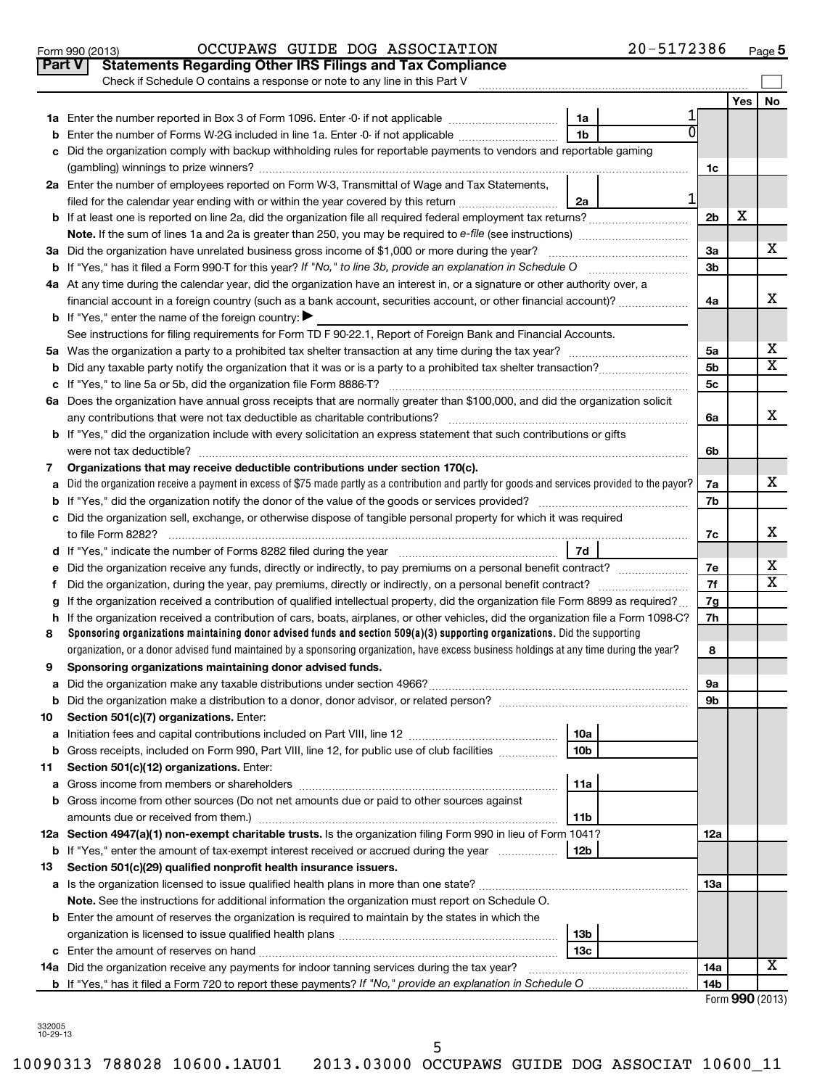|    | Check if Schedule O contains a response or note to any line in this Part V                                                                      |                 |     |    |
|----|-------------------------------------------------------------------------------------------------------------------------------------------------|-----------------|-----|----|
|    |                                                                                                                                                 |                 | Yes | No |
|    | 1a                                                                                                                                              |                 |     |    |
| b  | 1 <sub>b</sub><br>Enter the number of Forms W-2G included in line 1a. Enter -0- if not applicable                                               |                 |     |    |
|    | Did the organization comply with backup withholding rules for reportable payments to vendors and reportable gaming                              |                 |     |    |
|    |                                                                                                                                                 | 1c              |     |    |
|    | 2a Enter the number of employees reported on Form W-3, Transmittal of Wage and Tax Statements,                                                  |                 |     |    |
|    | 1<br>filed for the calendar year ending with or within the year covered by this return <i></i><br>2a                                            |                 |     |    |
|    | b If at least one is reported on line 2a, did the organization file all required federal employment tax returns?                                | 2 <sub>b</sub>  | X   |    |
|    | Note. If the sum of lines 1a and 2a is greater than 250, you may be required to e-file (see instructions) <i>managererigion</i> ,               |                 |     |    |
|    | 3a Did the organization have unrelated business gross income of \$1,000 or more during the year?                                                | За              |     | х  |
|    |                                                                                                                                                 | 3 <sub>b</sub>  |     |    |
|    | 4a At any time during the calendar year, did the organization have an interest in, or a signature or other authority over, a                    |                 |     |    |
|    | financial account in a foreign country (such as a bank account, securities account, or other financial account)?                                | 4a              |     | X  |
|    | <b>b</b> If "Yes," enter the name of the foreign country: $\blacktriangleright$                                                                 |                 |     |    |
|    | See instructions for filing requirements for Form TD F 90-22.1, Report of Foreign Bank and Financial Accounts.                                  |                 |     |    |
|    |                                                                                                                                                 | 5a              |     | х  |
|    |                                                                                                                                                 | 5 <sub>b</sub>  |     | x  |
|    |                                                                                                                                                 | 5c              |     |    |
|    | 6a Does the organization have annual gross receipts that are normally greater than \$100,000, and did the organization solicit                  |                 |     |    |
|    |                                                                                                                                                 | 6a              |     | X  |
|    | <b>b</b> If "Yes," did the organization include with every solicitation an express statement that such contributions or gifts                   |                 |     |    |
|    |                                                                                                                                                 | 6b              |     |    |
| 7  | Organizations that may receive deductible contributions under section 170(c).                                                                   |                 |     |    |
| a  | Did the organization receive a payment in excess of \$75 made partly as a contribution and partly for goods and services provided to the payor? | 7a              |     | x  |
|    |                                                                                                                                                 | 7b              |     |    |
|    | c Did the organization sell, exchange, or otherwise dispose of tangible personal property for which it was required                             |                 |     |    |
|    |                                                                                                                                                 | 7c              |     | х  |
|    | 7d                                                                                                                                              |                 |     |    |
| е  | Did the organization receive any funds, directly or indirectly, to pay premiums on a personal benefit contract?                                 | 7е              |     | х  |
|    |                                                                                                                                                 | 7f              |     | x  |
| a  | If the organization received a contribution of qualified intellectual property, did the organization file Form 8899 as required?                | 7g              |     |    |
| h. | If the organization received a contribution of cars, boats, airplanes, or other vehicles, did the organization file a Form 1098-C?              | 7h              |     |    |
| 8  | Sponsoring organizations maintaining donor advised funds and section $509(a)(3)$ supporting organizations. Did the supporting                   |                 |     |    |
|    | organization, or a donor advised fund maintained by a sponsoring organization, have excess business holdings at any time during the year?       | 8               |     |    |
| 9  | Sponsoring organizations maintaining donor advised funds.                                                                                       |                 |     |    |
| a  |                                                                                                                                                 | 9а              |     |    |
| b  |                                                                                                                                                 | 9b              |     |    |
| 10 | Section 501(c)(7) organizations. Enter:                                                                                                         |                 |     |    |
| а  | Initiation fees and capital contributions included on Part VIII, line 12 <i>maching incontribution</i><br>10a                                   |                 |     |    |
| b  | 10 <sub>b</sub><br>Gross receipts, included on Form 990, Part VIII, line 12, for public use of club facilities                                  |                 |     |    |
| 11 | Section 501(c)(12) organizations. Enter:                                                                                                        |                 |     |    |
| а  | 11a                                                                                                                                             |                 |     |    |
|    | b Gross income from other sources (Do not net amounts due or paid to other sources against                                                      |                 |     |    |
|    | amounts due or received from them.)<br>11b                                                                                                      |                 |     |    |
|    | 12a Section 4947(a)(1) non-exempt charitable trusts. Is the organization filing Form 990 in lieu of Form 1041?                                  | 12a             |     |    |
|    | <b>b</b> If "Yes," enter the amount of tax-exempt interest received or accrued during the year<br>12b                                           |                 |     |    |
| 13 | Section 501(c)(29) qualified nonprofit health insurance issuers.                                                                                |                 |     |    |
|    |                                                                                                                                                 | <b>13a</b>      |     |    |
|    | Note. See the instructions for additional information the organization must report on Schedule O.                                               |                 |     |    |
|    | <b>b</b> Enter the amount of reserves the organization is required to maintain by the states in which the                                       |                 |     |    |
|    | 13 <sub>b</sub>                                                                                                                                 |                 |     |    |
|    | 13c                                                                                                                                             |                 |     |    |
|    | 14a Did the organization receive any payments for indoor tanning services during the tax year?                                                  | 14a             |     | x  |
|    |                                                                                                                                                 | 14 <sub>b</sub> |     |    |

Form 990 (2013)  $OCCUPANS$   $GUIDE$   $DOG$   $ASSOCIATION$   $20-5172386$   $Page$ 

**Part V** Statements Regarding Other IRS Filings and Tax Compliance

Form **990** (2013)

**5**

332005 10-29-13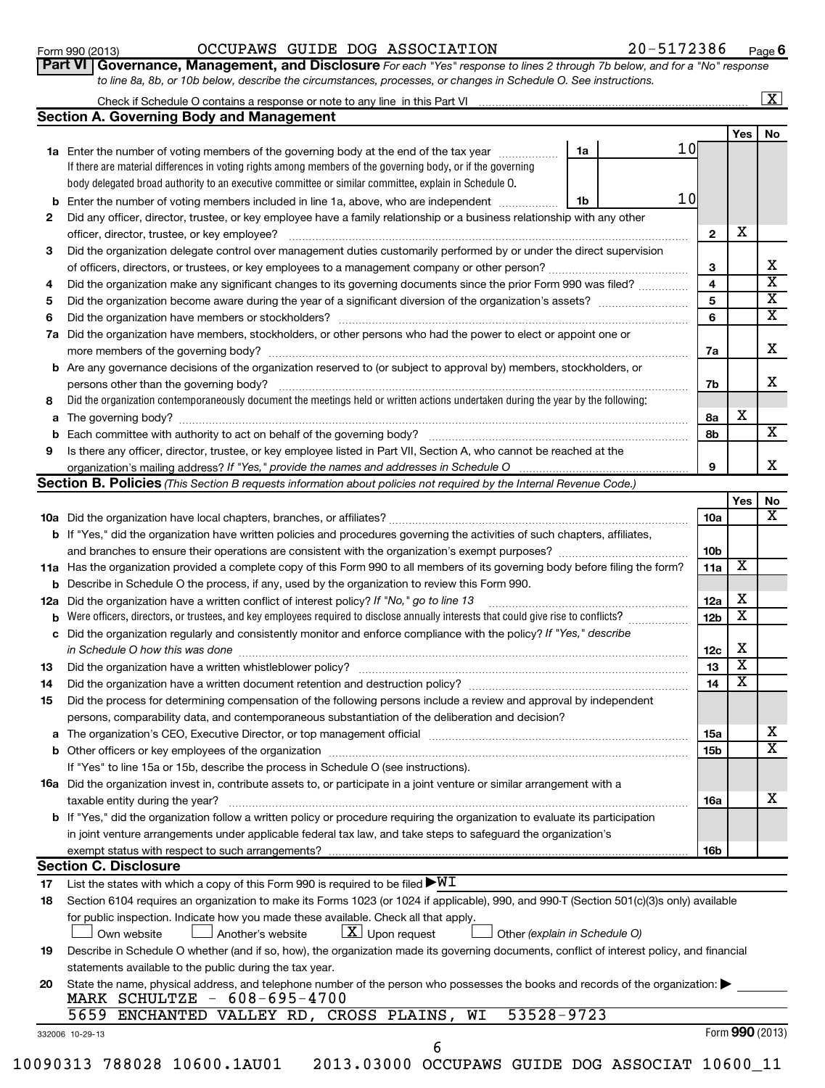# Form 990 (2013)  $OCCUPANS$   $GUIDE$   $DOG$   $ASSOCIATION$   $20-5172386$   $Page$

**6**

|  | Part VI   Governance, Management, and Disclosure For each "Yes" response to lines 2 through 7b below, and for a "No" response |  |  |  |
|--|-------------------------------------------------------------------------------------------------------------------------------|--|--|--|
|  | to line 8a, 8b, or 10b below, describe the circumstances, processes, or changes in Schedule O. See instructions.              |  |  |  |

| Check if Schedule O contains a response or note to any line in this Part VI |  |
|-----------------------------------------------------------------------------|--|
| Section A. Governing Body and Management                                    |  |
|                                                                             |  |

|     |                                                                                                                                     |                         | Yes                     | No                      |
|-----|-------------------------------------------------------------------------------------------------------------------------------------|-------------------------|-------------------------|-------------------------|
|     | 10<br>1a Enter the number of voting members of the governing body at the end of the tax year<br>1a                                  |                         |                         |                         |
|     | If there are material differences in voting rights among members of the governing body, or if the governing                         |                         |                         |                         |
|     | body delegated broad authority to an executive committee or similar committee, explain in Schedule O.                               |                         |                         |                         |
| b   | 10<br>Enter the number of voting members included in line 1a, above, who are independent<br>1b                                      |                         |                         |                         |
| 2   | Did any officer, director, trustee, or key employee have a family relationship or a business relationship with any other            |                         |                         |                         |
|     | officer, director, trustee, or key employee?                                                                                        | $\mathbf{2}$            | х                       |                         |
| 3   | Did the organization delegate control over management duties customarily performed by or under the direct supervision               |                         |                         |                         |
|     |                                                                                                                                     | 3                       |                         | x                       |
| 4   | Did the organization make any significant changes to its governing documents since the prior Form 990 was filed?                    | $\overline{\mathbf{4}}$ |                         | $\overline{\mathtt{x}}$ |
| 5   |                                                                                                                                     | 5                       |                         | $\overline{\mathtt{x}}$ |
| 6   | Did the organization have members or stockholders?                                                                                  | 6                       |                         | $\overline{\mathbf{X}}$ |
| 7a  | Did the organization have members, stockholders, or other persons who had the power to elect or appoint one or                      |                         |                         |                         |
|     | more members of the governing body?                                                                                                 | 7a                      |                         | X.                      |
| b   | Are any governance decisions of the organization reserved to (or subject to approval by) members, stockholders, or                  |                         |                         |                         |
|     | persons other than the governing body?                                                                                              | 7b                      |                         | х                       |
| 8   | Did the organization contemporaneously document the meetings held or written actions undertaken during the year by the following:   |                         |                         |                         |
| a   |                                                                                                                                     | 8a                      | X                       |                         |
| b   | Each committee with authority to act on behalf of the governing body?                                                               | 8b                      |                         | X                       |
| 9   | Is there any officer, director, trustee, or key employee listed in Part VII, Section A, who cannot be reached at the                |                         |                         |                         |
|     | organization's mailing address? If "Yes," provide the names and addresses in Schedule O                                             | 9                       |                         | X.                      |
|     | Section B. Policies (This Section B requests information about policies not required by the Internal Revenue Code.)                 |                         |                         |                         |
|     |                                                                                                                                     |                         | Yes                     | No                      |
|     |                                                                                                                                     | 10a                     |                         | $\overline{\mathbf{x}}$ |
|     | <b>b</b> If "Yes," did the organization have written policies and procedures governing the activities of such chapters, affiliates, |                         |                         |                         |
|     | and branches to ensure their operations are consistent with the organization's exempt purposes?                                     | 10 <sub>b</sub>         |                         |                         |
|     | 11a Has the organization provided a complete copy of this Form 990 to all members of its governing body before filing the form?     | 11a                     | х                       |                         |
| b   | Describe in Schedule O the process, if any, used by the organization to review this Form 990.                                       |                         |                         |                         |
| 12a | Did the organization have a written conflict of interest policy? If "No," go to line 13                                             | 12a                     | х                       |                         |
| b   | Were officers, directors, or trustees, and key employees required to disclose annually interests that could give rise to conflicts? | 12 <sub>b</sub>         | $\overline{\textbf{x}}$ |                         |
|     | c Did the organization regularly and consistently monitor and enforce compliance with the policy? If "Yes," describe                |                         |                         |                         |
|     | in Schedule O how this was done                                                                                                     | 12c                     | X                       |                         |
| 13  | Did the organization have a written whistleblower policy?                                                                           | 13                      | $\overline{\textbf{x}}$ |                         |

| 14 | Did the organization have a written document retention and destruction policy?                                                           | 14         |  |
|----|------------------------------------------------------------------------------------------------------------------------------------------|------------|--|
| 15 | Did the process for determining compensation of the following persons include a review and approval by independent                       |            |  |
|    | persons, comparability data, and contemporaneous substantiation of the deliberation and decision?                                        |            |  |
|    |                                                                                                                                          | 15a        |  |
| b  | Other officers or key employees of the organization                                                                                      | 15b        |  |
|    | If "Yes" to line 15a or 15b, describe the process in Schedule O (see instructions).                                                      |            |  |
|    | <b>16a</b> Did the organization invest in, contribute assets to, or participate in a joint venture or similar arrangement with a         |            |  |
|    | taxable entity during the year?                                                                                                          | <b>16a</b> |  |
|    | <b>b</b> If "Yes," did the organization follow a written policy or procedure requiring the organization to evaluate its participation    |            |  |
|    | in joint venture arrangements under applicable federal tax law, and take steps to safeguard the organization's                           |            |  |
|    |                                                                                                                                          | 16b        |  |
|    | <b>Section C. Disclosure</b>                                                                                                             |            |  |
| 17 | List the states with which a copy of this Form 990 is required to be filed $\blacktriangleright\texttt{WI}$                              |            |  |
| 18 | Section 6104 requires an organization to make its Forms 1023 (or 1024 if applicable), 990, and 990-T (Section 501(c)(3)s only) available |            |  |
|    | المناوية المعالى المتحال والمستحقق وممعال وامعين يتميز يتميز والمستلمس المستلم وممست والعاريم برمة                                       |            |  |

for public inspection. Indicate how you made these available. Check all that apply

 *(explain in Schedule O)* Own website  $\Box$  Another's website  $\Box$  Upon request  $\Box$  Other

| 19 Describe in Schedule O whether (and if so, how), the organization made its governing documents, conflict of interest policy, and financial |  |
|-----------------------------------------------------------------------------------------------------------------------------------------------|--|
| statements available to the public during the tax year.                                                                                       |  |

| 20 State the name, physical address, and telephone number of the person who possesses the books and records of the organization: |
|----------------------------------------------------------------------------------------------------------------------------------|
| MARK SCHULTZE - 608-695-4700                                                                                                     |

Form **990** (2013)

X

X  $\overline{\mathtt{x}}$ 

X

332006 10-29-13

| ×<br>۰. |
|---------|
|         |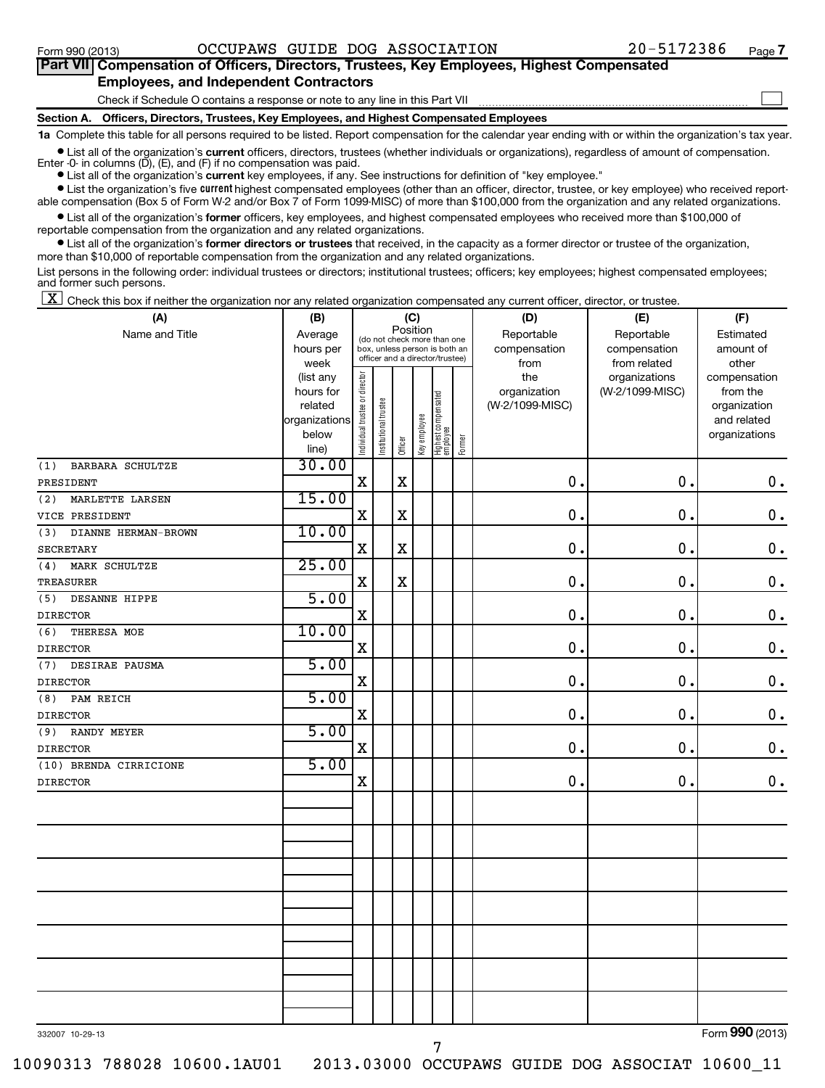| Part VII Compensation of Officers, Directors, Trustees, Key Employees, Highest Compensated |  |
|--------------------------------------------------------------------------------------------|--|
| <b>Employees, and Independent Contractors</b>                                              |  |
| Check if Schedule O contains a response or note to any line in this Part VII               |  |
| Section A. Officers, Directors, Trustees, Key Employees, and Highest Compensated Employees |  |

**1a**  Complete this table for all persons required to be listed. Report compensation for the calendar year ending with or within the organization's tax year.

• List all of the organization's current officers, directors, trustees (whether individuals or organizations), regardless of amount of compensation.

Enter -0- in columns  $(D)$ ,  $(E)$ , and  $(F)$  if no compensation was paid.

**•** List all of the organization's **current** key employees, if any. See instructions for definition of "key employee."

**•** List the organization's five *current* highest compensated employees (other than an officer, director, trustee, or key employee) who received reportable compensation (Box 5 of Form W-2 and/or Box 7 of Form 1099-MISC) of more than \$100,000 from the organization and any related organizations.

 $\bullet$  List all of the organization's former officers, key employees, and highest compensated employees who received more than \$100,000 of reportable compensation from the organization and any related organizations.

**•** List all of the organization's former directors or trustees that received, in the capacity as a former director or trustee of the organization, more than \$10,000 of reportable compensation from the organization and any related organizations.

List persons in the following order: individual trustees or directors; institutional trustees; officers; key employees; highest compensated employees; and former such persons.

 $\boxed{\textbf{X}}$  Check this box if neither the organization nor any related organization compensated any current officer, director, or trustee.

| (A)                                       | (B)                                                                          | (C)                            |                                                                                                             |             |                            |                                 |                                 | (D)                                            | (E)                                              | (F)                                                                      |  |
|-------------------------------------------|------------------------------------------------------------------------------|--------------------------------|-------------------------------------------------------------------------------------------------------------|-------------|----------------------------|---------------------------------|---------------------------------|------------------------------------------------|--------------------------------------------------|--------------------------------------------------------------------------|--|
| Name and Title                            | Average<br>hours per                                                         |                                | Position<br>(do not check more than one<br>box, unless person is both an<br>officer and a director/trustee) |             | Reportable<br>compensation | Reportable<br>compensation      | Estimated<br>amount of<br>other |                                                |                                                  |                                                                          |  |
|                                           | week<br>(list any<br>hours for<br>related<br>organizations<br>below<br>line) | Individual trustee or director | Institutional trustee                                                                                       | Officer     | Key employee               | Highest compensated<br>employee | Former                          | from<br>the<br>organization<br>(W-2/1099-MISC) | from related<br>organizations<br>(W-2/1099-MISC) | compensation<br>from the<br>organization<br>and related<br>organizations |  |
| BARBARA SCHULTZE<br>(1)                   | 30.00                                                                        |                                |                                                                                                             |             |                            |                                 |                                 |                                                |                                                  |                                                                          |  |
| PRESIDENT                                 |                                                                              | $\mathbf X$                    |                                                                                                             | X           |                            |                                 |                                 | $\mathbf 0$ .                                  | $\mathbf 0$ .                                    | $0$ .                                                                    |  |
| (2)<br>MARLETTE LARSEN                    | 15.00                                                                        |                                |                                                                                                             |             |                            |                                 |                                 |                                                |                                                  |                                                                          |  |
| VICE PRESIDENT                            |                                                                              | $\mathbf X$                    |                                                                                                             | $\mathbf X$ |                            |                                 |                                 | $\mathbf 0$ .                                  | 0.                                               | $\mathbf 0$ .                                                            |  |
| DIANNE HERMAN-BROWN<br>(3)                | 10.00                                                                        |                                |                                                                                                             |             |                            |                                 |                                 |                                                |                                                  |                                                                          |  |
| <b>SECRETARY</b>                          |                                                                              | $\mathbf X$                    |                                                                                                             | $\mathbf X$ |                            |                                 |                                 | $\mathbf 0$ .                                  | $\mathbf 0$ .                                    | $\mathbf 0$ .                                                            |  |
| MARK SCHULTZE<br>(4)                      | 25.00                                                                        |                                |                                                                                                             |             |                            |                                 |                                 |                                                |                                                  |                                                                          |  |
| <b>TREASURER</b>                          |                                                                              | $\mathbf X$                    |                                                                                                             | $\mathbf X$ |                            |                                 |                                 | 0.                                             | $\mathbf 0$ .                                    | $\mathbf 0$ .                                                            |  |
| DESANNE HIPPE<br>(5)                      | 5.00                                                                         |                                |                                                                                                             |             |                            |                                 |                                 |                                                |                                                  |                                                                          |  |
| <b>DIRECTOR</b>                           |                                                                              | $\mathbf X$                    |                                                                                                             |             |                            |                                 |                                 | $\mathbf 0$ .                                  | $\mathbf 0$ .                                    | $\mathbf 0$ .                                                            |  |
| (6)<br>THERESA MOE                        | 10.00                                                                        |                                |                                                                                                             |             |                            |                                 |                                 |                                                |                                                  |                                                                          |  |
| <b>DIRECTOR</b>                           |                                                                              | $\rm X$                        |                                                                                                             |             |                            |                                 |                                 | $\mathbf 0$                                    | 0.                                               | $\mathbf 0$ .                                                            |  |
| DESIRAE PAUSMA<br>(7)                     | 5.00                                                                         |                                |                                                                                                             |             |                            |                                 |                                 |                                                |                                                  |                                                                          |  |
| <b>DIRECTOR</b>                           |                                                                              | $\mathbf X$                    |                                                                                                             |             |                            |                                 |                                 | $\mathbf 0$                                    | 0.                                               | $\mathbf 0$ .                                                            |  |
| (8)<br>PAM REICH                          | 5.00                                                                         |                                |                                                                                                             |             |                            |                                 |                                 |                                                |                                                  |                                                                          |  |
| <b>DIRECTOR</b>                           |                                                                              | $\mathbf X$                    |                                                                                                             |             |                            |                                 |                                 | 0.                                             | 0.                                               | 0.                                                                       |  |
| (9)<br>RANDY MEYER                        | 5.00                                                                         | $\mathbf X$                    |                                                                                                             |             |                            |                                 |                                 | $\mathbf 0$                                    | 0.                                               |                                                                          |  |
| <b>DIRECTOR</b><br>(10) BRENDA CIRRICIONE | 5.00                                                                         |                                |                                                                                                             |             |                            |                                 |                                 |                                                |                                                  | $\mathbf 0$ .                                                            |  |
| <b>DIRECTOR</b>                           |                                                                              | $\mathbf X$                    |                                                                                                             |             |                            |                                 |                                 | $\mathbf 0$                                    | 0.                                               | $\mathbf 0$ .                                                            |  |
|                                           |                                                                              |                                |                                                                                                             |             |                            |                                 |                                 |                                                |                                                  |                                                                          |  |
|                                           |                                                                              |                                |                                                                                                             |             |                            |                                 |                                 |                                                |                                                  |                                                                          |  |
|                                           |                                                                              |                                |                                                                                                             |             |                            |                                 |                                 |                                                |                                                  |                                                                          |  |
|                                           |                                                                              |                                |                                                                                                             |             |                            |                                 |                                 |                                                |                                                  |                                                                          |  |
|                                           |                                                                              |                                |                                                                                                             |             |                            |                                 |                                 |                                                |                                                  |                                                                          |  |
|                                           |                                                                              |                                |                                                                                                             |             |                            |                                 |                                 |                                                |                                                  |                                                                          |  |
|                                           |                                                                              |                                |                                                                                                             |             |                            |                                 |                                 |                                                |                                                  |                                                                          |  |

332007 10-29-13

Form (2013) **990**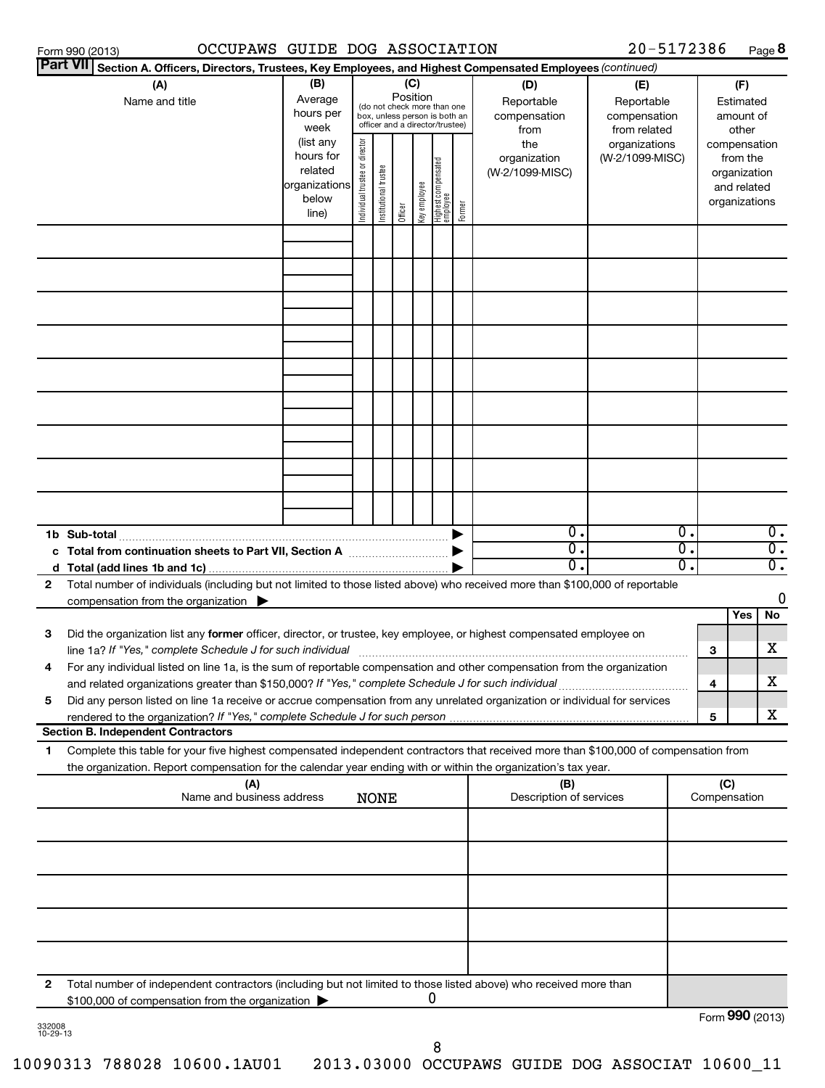| OCCUPAWS GUIDE DOG ASSOCIATION<br>Form 990 (2013)                                                                                                                                                                                                           |                                                                      |                                |                       |                 |              |                                                                                                 |        |                                           | 20-5172386                                        |                                      |                     | Page 8                                                                   |
|-------------------------------------------------------------------------------------------------------------------------------------------------------------------------------------------------------------------------------------------------------------|----------------------------------------------------------------------|--------------------------------|-----------------------|-----------------|--------------|-------------------------------------------------------------------------------------------------|--------|-------------------------------------------|---------------------------------------------------|--------------------------------------|---------------------|--------------------------------------------------------------------------|
| <b>Part VII</b><br>Section A. Officers, Directors, Trustees, Key Employees, and Highest Compensated Employees (continued)                                                                                                                                   |                                                                      |                                |                       |                 |              |                                                                                                 |        |                                           |                                                   |                                      |                     |                                                                          |
| (A)<br>Name and title                                                                                                                                                                                                                                       | (B)<br>Average<br>hours per<br>week                                  |                                |                       | (C)<br>Position |              | (do not check more than one<br>box, unless person is both an<br>officer and a director/trustee) |        | (D)<br>Reportable<br>compensation<br>from | (E)<br>Reportable<br>compensation<br>from related |                                      |                     | (F)<br>Estimated<br>amount of<br>other                                   |
|                                                                                                                                                                                                                                                             | (list any<br>hours for<br>related<br>organizations<br>below<br>line) | Individual trustee or director | Institutional trustee | Officer         | Key employee | Highest compensated<br>  employee                                                               | Former | the<br>organization<br>(W-2/1099-MISC)    | organizations<br>(W-2/1099-MISC)                  |                                      |                     | compensation<br>from the<br>organization<br>and related<br>organizations |
|                                                                                                                                                                                                                                                             |                                                                      |                                |                       |                 |              |                                                                                                 |        |                                           |                                                   |                                      |                     |                                                                          |
|                                                                                                                                                                                                                                                             |                                                                      |                                |                       |                 |              |                                                                                                 |        |                                           |                                                   |                                      |                     |                                                                          |
|                                                                                                                                                                                                                                                             |                                                                      |                                |                       |                 |              |                                                                                                 |        |                                           |                                                   |                                      |                     |                                                                          |
|                                                                                                                                                                                                                                                             |                                                                      |                                |                       |                 |              |                                                                                                 |        |                                           |                                                   |                                      |                     |                                                                          |
|                                                                                                                                                                                                                                                             |                                                                      |                                |                       |                 |              |                                                                                                 |        |                                           |                                                   |                                      |                     |                                                                          |
|                                                                                                                                                                                                                                                             |                                                                      |                                |                       |                 |              |                                                                                                 |        |                                           |                                                   |                                      |                     |                                                                          |
|                                                                                                                                                                                                                                                             |                                                                      |                                |                       |                 |              |                                                                                                 |        |                                           |                                                   |                                      |                     |                                                                          |
|                                                                                                                                                                                                                                                             |                                                                      |                                |                       |                 |              |                                                                                                 |        |                                           |                                                   |                                      |                     |                                                                          |
| 1b Sub-total                                                                                                                                                                                                                                                |                                                                      |                                |                       |                 |              |                                                                                                 |        | $\overline{0}$ .<br>$\overline{0}$ .      |                                                   | $\overline{0}$ .<br>$\overline{0}$ . |                     | $0$ .<br>$\overline{0}$ .                                                |
|                                                                                                                                                                                                                                                             |                                                                      |                                |                       |                 |              |                                                                                                 |        | $\overline{0}$                            |                                                   | σ.                                   |                     | $\overline{0}$ .                                                         |
| Total number of individuals (including but not limited to those listed above) who received more than \$100,000 of reportable<br>$\mathbf{2}$<br>compensation from the organization $\blacktriangleright$                                                    |                                                                      |                                |                       |                 |              |                                                                                                 |        |                                           |                                                   |                                      |                     | 0                                                                        |
| З<br>Did the organization list any former officer, director, or trustee, key employee, or highest compensated employee on<br>line 1a? If "Yes," complete Schedule J for such individual                                                                     |                                                                      |                                |                       |                 |              |                                                                                                 |        |                                           |                                                   |                                      | З                   | Yes<br>No<br>x                                                           |
| For any individual listed on line 1a, is the sum of reportable compensation and other compensation from the organization<br>4<br>and related organizations greater than \$150,000? If "Yes," complete Schedule J for such individual                        |                                                                      |                                |                       |                 |              |                                                                                                 |        |                                           |                                                   |                                      | 4                   | x                                                                        |
| Did any person listed on line 1a receive or accrue compensation from any unrelated organization or individual for services<br>5<br>rendered to the organization? If "Yes," complete Schedule J for such person                                              |                                                                      |                                |                       |                 |              |                                                                                                 |        |                                           |                                                   |                                      | 5                   | X.                                                                       |
| <b>Section B. Independent Contractors</b>                                                                                                                                                                                                                   |                                                                      |                                |                       |                 |              |                                                                                                 |        |                                           |                                                   |                                      |                     |                                                                          |
| Complete this table for your five highest compensated independent contractors that received more than \$100,000 of compensation from<br>1<br>the organization. Report compensation for the calendar year ending with or within the organization's tax year. |                                                                      |                                |                       |                 |              |                                                                                                 |        |                                           |                                                   |                                      |                     |                                                                          |
| (A)<br>Name and business address                                                                                                                                                                                                                            |                                                                      |                                | <b>NONE</b>           |                 |              |                                                                                                 |        | (B)<br>Description of services            |                                                   |                                      | (C)<br>Compensation |                                                                          |
|                                                                                                                                                                                                                                                             |                                                                      |                                |                       |                 |              |                                                                                                 |        |                                           |                                                   |                                      |                     |                                                                          |
|                                                                                                                                                                                                                                                             |                                                                      |                                |                       |                 |              |                                                                                                 |        |                                           |                                                   |                                      |                     |                                                                          |
|                                                                                                                                                                                                                                                             |                                                                      |                                |                       |                 |              |                                                                                                 |        |                                           |                                                   |                                      |                     |                                                                          |
|                                                                                                                                                                                                                                                             |                                                                      |                                |                       |                 |              |                                                                                                 |        |                                           |                                                   |                                      |                     |                                                                          |
| Total number of independent contractors (including but not limited to those listed above) who received more than<br>$\mathbf{2}$<br>\$100,000 of compensation from the organization >                                                                       |                                                                      |                                |                       |                 |              | 0                                                                                               |        |                                           |                                                   |                                      |                     |                                                                          |

332008 10-29-13

Form (2013) **990**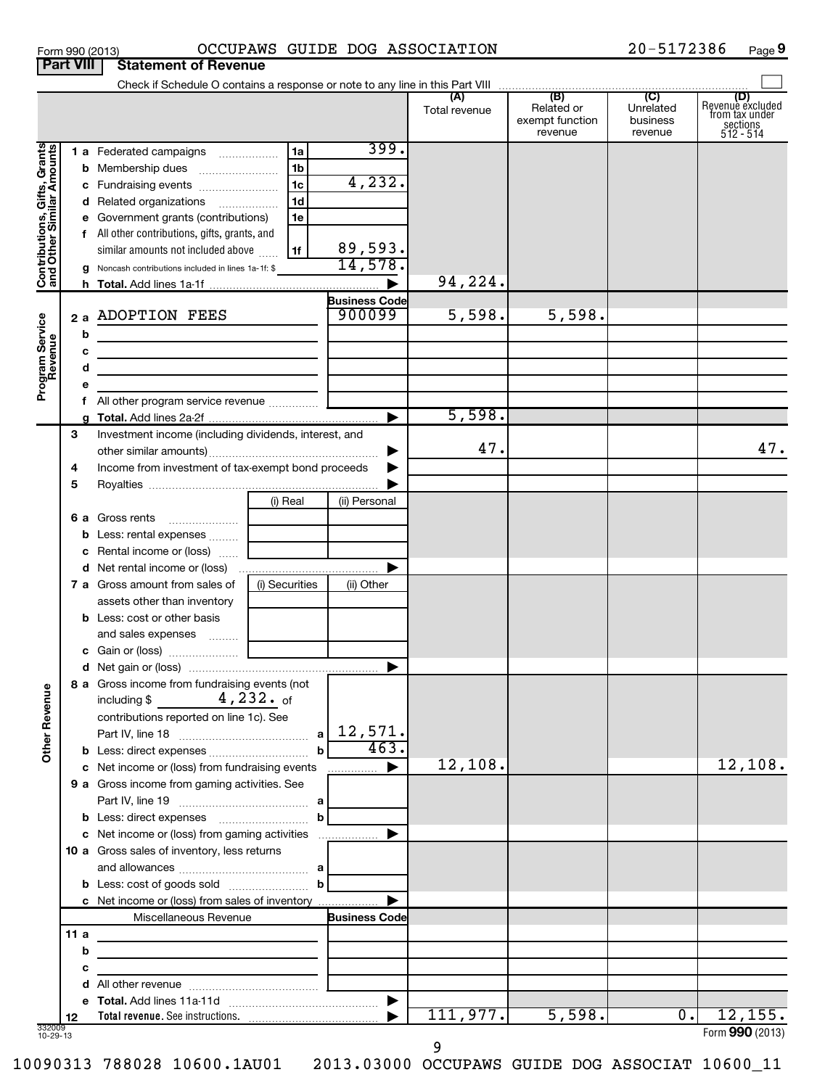| Form 990 (2013) |                                       | <b>OCCUPAW</b> |
|-----------------|---------------------------------------|----------------|
|                 | <b>Part VIII Statement of Revenue</b> |                |

# Form 990 (2013) OCCUPAWS GUIDE DOG ASSOCIATION 20-5172386 Page

20-5172386 Page 9

|                                                           |     |                                                                                                                                                                                               |                        |                                | Total revenue | (B)<br>Related or<br>exempt function<br>revenue | $\overline{C}$<br>Unrelated<br>business<br>revenue | (D)<br>Revenue excluded<br>from tax under<br>sections<br>512 - 514 |
|-----------------------------------------------------------|-----|-----------------------------------------------------------------------------------------------------------------------------------------------------------------------------------------------|------------------------|--------------------------------|---------------|-------------------------------------------------|----------------------------------------------------|--------------------------------------------------------------------|
| Contributions, Gifts, Grants<br>and Other Similar Amounts |     | 1 a Federated campaigns                                                                                                                                                                       | l 1a<br>1 <sub>b</sub> | 399.                           |               |                                                 |                                                    |                                                                    |
|                                                           |     | c Fundraising events                                                                                                                                                                          | 1c                     | 4, 232.                        |               |                                                 |                                                    |                                                                    |
|                                                           |     | d Related organizations                                                                                                                                                                       | 1 <sub>d</sub>         |                                |               |                                                 |                                                    |                                                                    |
|                                                           |     | e Government grants (contributions)                                                                                                                                                           | 1e                     |                                |               |                                                 |                                                    |                                                                    |
|                                                           |     | f All other contributions, gifts, grants, and                                                                                                                                                 |                        |                                |               |                                                 |                                                    |                                                                    |
|                                                           |     | similar amounts not included above                                                                                                                                                            | 1f                     | 89,593.                        |               |                                                 |                                                    |                                                                    |
|                                                           |     | g Noncash contributions included in lines 1a-1f: \$                                                                                                                                           |                        | 14,578.                        |               |                                                 |                                                    |                                                                    |
|                                                           |     |                                                                                                                                                                                               |                        |                                | 94,224.       |                                                 |                                                    |                                                                    |
| Program Service<br>Revenue                                | b   | 2 a ADOPTION FEES                                                                                                                                                                             |                        | <b>Business Code</b><br>900099 | 5,598.        | 5,598.                                          |                                                    |                                                                    |
|                                                           | с   | <u> 1989 - Johann Stoff, Amerikaansk politiker (</u>                                                                                                                                          |                        |                                |               |                                                 |                                                    |                                                                    |
|                                                           | d   | <u> 1989 - Johann Harry Harry Harry Harry Harry Harry Harry Harry Harry Harry Harry Harry Harry Harry Harry Harry</u><br><u> 1989 - Johann Stein, mars an deus an deus Angelsen (b. 1989)</u> |                        |                                |               |                                                 |                                                    |                                                                    |
|                                                           | е   |                                                                                                                                                                                               |                        |                                |               |                                                 |                                                    |                                                                    |
|                                                           |     |                                                                                                                                                                                               |                        |                                |               |                                                 |                                                    |                                                                    |
|                                                           |     |                                                                                                                                                                                               |                        |                                | 5,598.        |                                                 |                                                    |                                                                    |
|                                                           | 3   | Investment income (including dividends, interest, and                                                                                                                                         |                        |                                |               |                                                 |                                                    |                                                                    |
|                                                           |     |                                                                                                                                                                                               |                        |                                | 47.           |                                                 |                                                    | 47.                                                                |
|                                                           | 4   | Income from investment of tax-exempt bond proceeds                                                                                                                                            |                        |                                |               |                                                 |                                                    |                                                                    |
|                                                           | 5   |                                                                                                                                                                                               |                        |                                |               |                                                 |                                                    |                                                                    |
|                                                           |     |                                                                                                                                                                                               | (i) Real               | (ii) Personal                  |               |                                                 |                                                    |                                                                    |
|                                                           |     | 6 a Gross rents                                                                                                                                                                               |                        |                                |               |                                                 |                                                    |                                                                    |
|                                                           |     | <b>b</b> Less: rental expenses                                                                                                                                                                |                        |                                |               |                                                 |                                                    |                                                                    |
|                                                           |     | c Rental income or (loss)                                                                                                                                                                     |                        |                                |               |                                                 |                                                    |                                                                    |
|                                                           |     |                                                                                                                                                                                               |                        |                                |               |                                                 |                                                    |                                                                    |
|                                                           |     | <b>7 a</b> Gross amount from sales of<br>assets other than inventory                                                                                                                          | (i) Securities         | (ii) Other                     |               |                                                 |                                                    |                                                                    |
|                                                           |     | <b>b</b> Less: cost or other basis                                                                                                                                                            |                        |                                |               |                                                 |                                                    |                                                                    |
|                                                           |     | and sales expenses                                                                                                                                                                            |                        |                                |               |                                                 |                                                    |                                                                    |
|                                                           |     |                                                                                                                                                                                               |                        |                                |               |                                                 |                                                    |                                                                    |
|                                                           |     |                                                                                                                                                                                               |                        | ▶                              |               |                                                 |                                                    |                                                                    |
| g<br>Other Reven                                          |     | 8 a Gross income from fundraising events (not<br>including \$ $4,232.$ of                                                                                                                     |                        |                                |               |                                                 |                                                    |                                                                    |
|                                                           |     | contributions reported on line 1c). See                                                                                                                                                       |                        |                                |               |                                                 |                                                    |                                                                    |
|                                                           |     |                                                                                                                                                                                               |                        | 463.                           |               |                                                 |                                                    |                                                                    |
|                                                           |     | c Net income or (loss) from fundraising events                                                                                                                                                |                        |                                | 12,108.       |                                                 |                                                    | 12,108.                                                            |
|                                                           |     | 9 a Gross income from gaming activities. See                                                                                                                                                  |                        | .                              |               |                                                 |                                                    |                                                                    |
|                                                           |     |                                                                                                                                                                                               |                        |                                |               |                                                 |                                                    |                                                                    |
|                                                           |     |                                                                                                                                                                                               |                        |                                |               |                                                 |                                                    |                                                                    |
|                                                           |     | c Net income or (loss) from gaming activities                                                                                                                                                 |                        | ▶                              |               |                                                 |                                                    |                                                                    |
|                                                           |     | 10 a Gross sales of inventory, less returns                                                                                                                                                   |                        |                                |               |                                                 |                                                    |                                                                    |
|                                                           |     |                                                                                                                                                                                               |                        |                                |               |                                                 |                                                    |                                                                    |
|                                                           |     |                                                                                                                                                                                               |                        |                                |               |                                                 |                                                    |                                                                    |
|                                                           |     | c Net income or (loss) from sales of inventory                                                                                                                                                |                        |                                |               |                                                 |                                                    |                                                                    |
|                                                           |     | Miscellaneous Revenue                                                                                                                                                                         |                        | <b>Business Code</b>           |               |                                                 |                                                    |                                                                    |
|                                                           | 11a | the control of the control of the control of the control of                                                                                                                                   |                        |                                |               |                                                 |                                                    |                                                                    |
|                                                           | b   |                                                                                                                                                                                               |                        |                                |               |                                                 |                                                    |                                                                    |
|                                                           | с   |                                                                                                                                                                                               |                        |                                |               |                                                 |                                                    |                                                                    |
|                                                           | d   |                                                                                                                                                                                               |                        |                                |               |                                                 |                                                    |                                                                    |
|                                                           |     |                                                                                                                                                                                               |                        |                                |               |                                                 | $\overline{0}$ .                                   |                                                                    |
| 332009<br>10-29-13                                        | 12  |                                                                                                                                                                                               |                        |                                | 111,977.      | 5,598.                                          |                                                    | 12, 155.                                                           |
|                                                           |     |                                                                                                                                                                                               |                        |                                |               |                                                 |                                                    | Form 990 (2013)                                                    |

9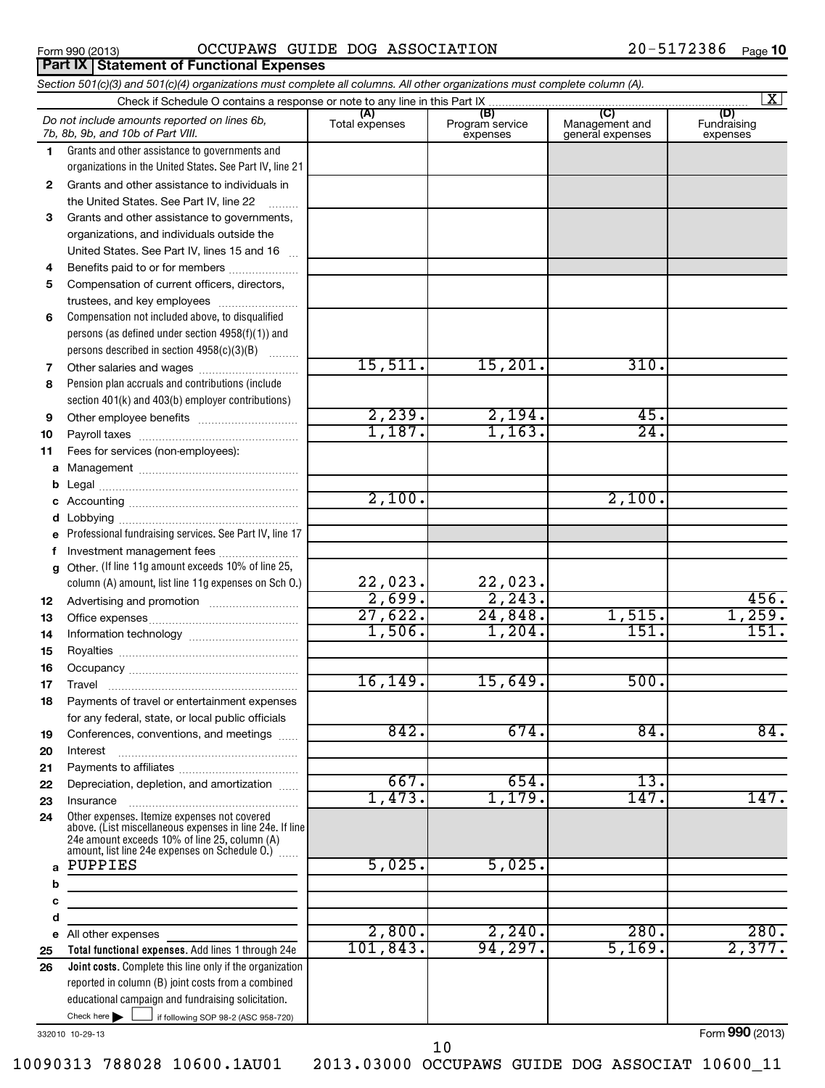| <u>Form 990 (2013)</u> |  |
|------------------------|--|
|------------------------|--|

**Part IX Statement of Functional Expenses**

# Form 990 (2013)  $OCCUPANS$   $GUIDE$   $DOG$   $ASSOCIATION$   $20-5172386$   $Page$

### If following SOP 98-2 (ASC 958-720) **Total functional expenses.**  Add lines 1 through 24e **Joint costs.** Complete this line only if the organization **(A) (B) (C) (D) 1 2 3 4 5 6 7 8 9 10 11 a b c d e f g 12 13 14 15 16 17 18 19 20 21 22 23 24 a b c d e 25 26** *Section 501(c)(3) and 501(c)(4) organizations must complete all columns. All other organizations must complete column (A).* Grants and other assistance to governments and organizations in the United States. See Part IV, line 21 Compensation not included above, to disqualified persons (as defined under section 4958(f)(1)) and persons described in section 4958(c)(3)(B)  $\quad \quad \ldots \ldots \ldots$ Pension plan accruals and contributions (include section 401(k) and 403(b) employer contributions) Professional fundraising services. See Part IV, line 17 Other. (If line 11g amount exceeds 10% of line 25, column (A) amount, list line 11g expenses on Sch O.) Other expenses. Itemize expenses not covered above. (List miscellaneous expenses in line 24e. If line 24e amount exceeds 10% of line 25, column (A) amount, list line 24e expenses on Schedule O.)  $\, \ldots \,$ reported in column (B) joint costs from a combined educational campaign and fundraising solicitation. Check if Schedule O contains a response or note to any line in this Part IX Total expenses | Program service expenses Management and general expenses Fundraising expenses Grants and other assistance to individuals in the United States. See Part IV. line 22 Grants and other assistance to governments, organizations, and individuals outside the United States. See Part IV, lines 15 and 16 ~ Benefits paid to or for members .................... Compensation of current officers, directors, trustees, and key employees ......................... Other salaries and wages ~~~~~~~~~~ Other employee benefits ~~~~~~~~~~ Payroll taxes ~~~~~~~~~~~~~~~~ Fees for services (non-employees): Management ~~~~~~~~~~~~~~~~ Legal ~~~~~~~~~~~~~~~~~~~~ Accounting ~~~~~~~~~~~~~~~~~ Lobbying ~~~~~~~~~~~~~~~~~~ Investment management fees ........................ Advertising and promotion ~~~~~~~~~ Office expenses ~~~~~~~~~~~~~~~ Information technology ~~~~~~~~~~~ Royalties ~~~~~~~~~~~~~~~~~~ Occupancy ~~~~~~~~~~~~~~~~~ Travel ………………………………………………… Payments of travel or entertainment expenses for any federal, state, or local public officials Conferences, conventions, and meetings ...... Interest Payments to affiliates ~~~~~~~~~~~~ ~~~~~~~~~~~~~~~~~~ Depreciation, depletion, and amortization ...... Insurance ~~~~~~~~~~~~~~~~~ All other expenses Check here  $\blacktriangleright$ *Do not include amounts reported on lines 6b, 7b, 8b, 9b, and 10b of Part VIII.*  $\lfloor x \rfloor$  $\Box$ 15,511. 15,201. 310.  $2,239.$   $2,194.$   $45.$  $1,187.$   $1,163.$   $24.$ 2,100. 2,100. 22,023. 22,023.  $2,699.$  2,243. 1 456. 27,622. 24,848. 1,515. 1,259. 1,506. 1,204. 151. 151. 16,149. 15,649. 500. 842. 674. 84. 84. 667. 654. 13. 1,473. 1,179. 147. 147. PUPPIES 5,025. 5,025.  $2,800.$   $2,240.$   $280.$   $280.$ 101,843. 94,297. 5,169. 2,377.

332010 10-29-13

Form **990** (2013)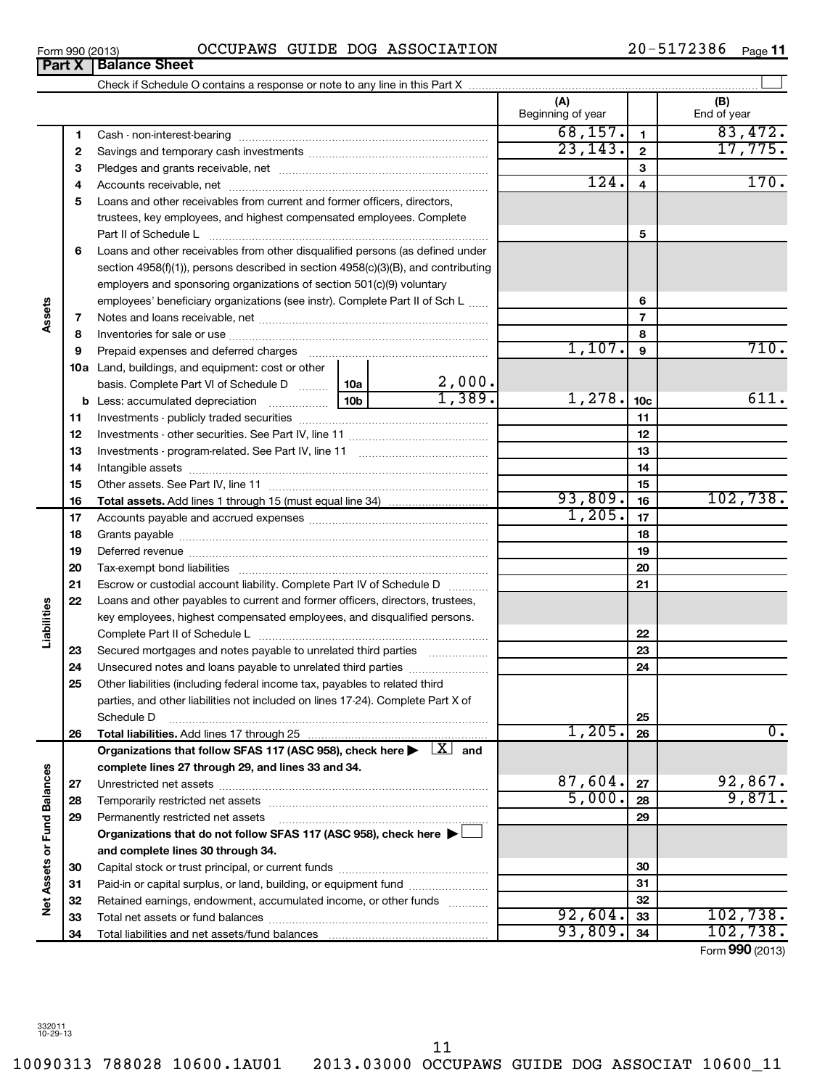10090313 788028 10600.1AU01 2013.03000 OCCUPAWS GUIDE DOG ASSOCIAT 10600\_11

| Form 990 (2013) |                               |  | OCCUPAWS GUIDE DOG ASSOCIATION | 20-5172386 | Page $11$ |
|-----------------|-------------------------------|--|--------------------------------|------------|-----------|
|                 | <b>Part X   Balance Sheet</b> |  |                                |            |           |

| (A)<br>Beginning of year<br>68, 157.                                                                                                                                                                                                 |                 | (B)              |
|--------------------------------------------------------------------------------------------------------------------------------------------------------------------------------------------------------------------------------------|-----------------|------------------|
|                                                                                                                                                                                                                                      |                 | End of year      |
| 1                                                                                                                                                                                                                                    | $\mathbf{1}$    | 83,472.          |
| 23, 143.<br>2                                                                                                                                                                                                                        | $\mathbf{2}$    | 17,775.          |
| з                                                                                                                                                                                                                                    | 3               |                  |
| 124.<br>4                                                                                                                                                                                                                            | 4               | 170.             |
| Loans and other receivables from current and former officers, directors,<br>5                                                                                                                                                        |                 |                  |
| trustees, key employees, and highest compensated employees. Complete                                                                                                                                                                 |                 |                  |
|                                                                                                                                                                                                                                      | 5               |                  |
| Loans and other receivables from other disqualified persons (as defined under<br>6                                                                                                                                                   |                 |                  |
| section 4958(f)(1)), persons described in section 4958(c)(3)(B), and contributing                                                                                                                                                    |                 |                  |
| employers and sponsoring organizations of section 501(c)(9) voluntary                                                                                                                                                                |                 |                  |
| employees' beneficiary organizations (see instr). Complete Part II of Sch L                                                                                                                                                          | 6               |                  |
| Assets<br>7                                                                                                                                                                                                                          | $\overline{7}$  |                  |
| 8                                                                                                                                                                                                                                    | 8               |                  |
| 1,107.<br>Prepaid expenses and deferred charges<br>9                                                                                                                                                                                 | 9               | 710.             |
| <b>10a</b> Land, buildings, and equipment: cost or other                                                                                                                                                                             |                 |                  |
| $\frac{2,000}{1,389}$<br>basis. Complete Part VI of Schedule D  10a                                                                                                                                                                  |                 |                  |
| 1,278.                                                                                                                                                                                                                               | 10 <sub>c</sub> | 611.             |
| 11                                                                                                                                                                                                                                   | 11              |                  |
| 12                                                                                                                                                                                                                                   | 12              |                  |
| 13                                                                                                                                                                                                                                   | 13              |                  |
| 14                                                                                                                                                                                                                                   | 14              |                  |
| 15                                                                                                                                                                                                                                   | 15              |                  |
| 93,809.<br>16                                                                                                                                                                                                                        | 16              | 102,738.         |
| 1,205.<br>17                                                                                                                                                                                                                         | 17              |                  |
| 18                                                                                                                                                                                                                                   | 18              |                  |
| 19<br>Deferred revenue manual contracts and contracts are all the manual contracts and contracts are contracted and contracts are contracted and contract are contracted and contract are contracted and contract are contracted and | 19              |                  |
| 20                                                                                                                                                                                                                                   | 20              |                  |
| 21<br>Escrow or custodial account liability. Complete Part IV of Schedule D                                                                                                                                                          | 21              |                  |
| Loans and other payables to current and former officers, directors, trustees,<br>22                                                                                                                                                  |                 |                  |
| Liabilities<br>key employees, highest compensated employees, and disqualified persons.                                                                                                                                               |                 |                  |
|                                                                                                                                                                                                                                      | 22              |                  |
| Secured mortgages and notes payable to unrelated third parties<br>23                                                                                                                                                                 | 23              |                  |
| Unsecured notes and loans payable to unrelated third parties<br>24                                                                                                                                                                   | 24              |                  |
| 25<br>Other liabilities (including federal income tax, payables to related third                                                                                                                                                     |                 |                  |
| parties, and other liabilities not included on lines 17-24). Complete Part X of                                                                                                                                                      |                 |                  |
| Schedule D<br>1,205.                                                                                                                                                                                                                 | 25              | $\overline{0}$ . |
| 26                                                                                                                                                                                                                                   | 26              |                  |
| Organizations that follow SFAS 117 (ASC 958), check here $\blacktriangleright$ $\boxed{X}$ and                                                                                                                                       |                 |                  |
| complete lines 27 through 29, and lines 33 and 34.<br>87,604.                                                                                                                                                                        | 27              | 92,867.          |
| 27<br>5,000.                                                                                                                                                                                                                         | 28              | 9,871.           |
| 28                                                                                                                                                                                                                                   | 29              |                  |
| Net Assets or Fund Balances<br>Permanently restricted net assets<br>29<br>Organizations that do not follow SFAS 117 (ASC 958), check here ▶                                                                                          |                 |                  |
| and complete lines 30 through 34.                                                                                                                                                                                                    |                 |                  |
| 30                                                                                                                                                                                                                                   | 30              |                  |
| Paid-in or capital surplus, or land, building, or equipment fund<br>31                                                                                                                                                               | 31              |                  |
| Retained earnings, endowment, accumulated income, or other funds<br>32                                                                                                                                                               | 32              |                  |
| 92,604.<br>33                                                                                                                                                                                                                        | 33              | 102,738.         |
| 93,809.<br>34                                                                                                                                                                                                                        | 34              | 102,738.         |

Form (2013) **990**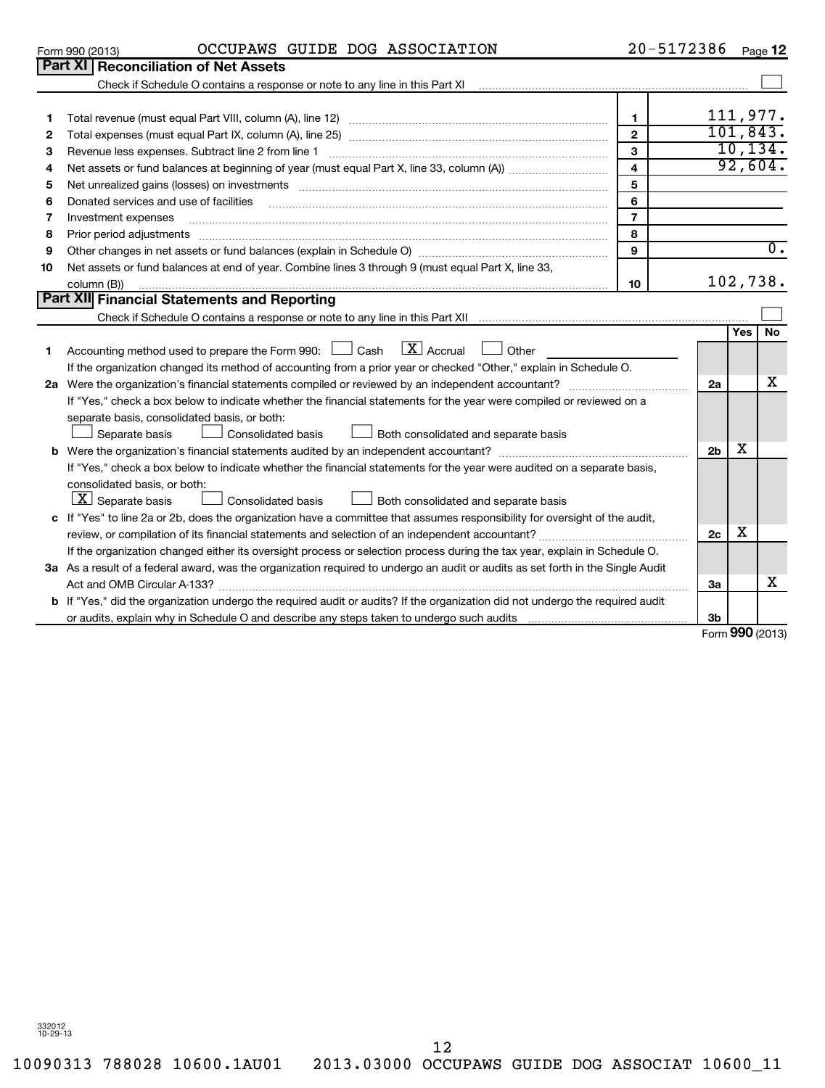10090313 788028 10600.1AU01 2013.03000 OCCUPAWS GUIDE DOG ASSOCIAT 10600\_11 12

|                                                                                                                             | <b>Part XI Reconciliation of Net Assets</b>                                                                                                                       |                |                |            |                  |  |  |
|-----------------------------------------------------------------------------------------------------------------------------|-------------------------------------------------------------------------------------------------------------------------------------------------------------------|----------------|----------------|------------|------------------|--|--|
|                                                                                                                             | Check if Schedule O contains a response or note to any line in this Part XI [11] [12] Check if Schedule O contains a response or note to any line in this Part XI |                |                |            |                  |  |  |
| 1                                                                                                                           |                                                                                                                                                                   | $\mathbf{1}$   |                | 111,977.   |                  |  |  |
| $\mathbf{2}$                                                                                                                |                                                                                                                                                                   | $\overline{2}$ |                | 101, 843.  |                  |  |  |
| 3                                                                                                                           | 3<br>Revenue less expenses. Subtract line 2 from line 1                                                                                                           |                |                |            |                  |  |  |
| 4                                                                                                                           | $\overline{\mathbf{4}}$                                                                                                                                           |                |                |            |                  |  |  |
| 5                                                                                                                           | 5<br>Net unrealized gains (losses) on investments [11] matter contents and the unrealized gains (losses) on investments                                           |                |                |            |                  |  |  |
| 6                                                                                                                           | Donated services and use of facilities                                                                                                                            | 6              |                |            |                  |  |  |
| 7                                                                                                                           | Investment expenses                                                                                                                                               | $\overline{7}$ |                |            |                  |  |  |
| 8                                                                                                                           | Prior period adjustments www.communication.communication.communication.communication.com                                                                          | 8              |                |            |                  |  |  |
| 9                                                                                                                           |                                                                                                                                                                   | $\mathbf{9}$   |                |            | $\overline{0}$ . |  |  |
| 10                                                                                                                          | Net assets or fund balances at end of year. Combine lines 3 through 9 (must equal Part X, line 33,                                                                |                |                |            |                  |  |  |
|                                                                                                                             | column (B))                                                                                                                                                       | 10             | 102,738.       |            |                  |  |  |
|                                                                                                                             | Part XII Financial Statements and Reporting                                                                                                                       |                |                |            |                  |  |  |
|                                                                                                                             |                                                                                                                                                                   |                |                |            |                  |  |  |
|                                                                                                                             |                                                                                                                                                                   |                |                | <b>Yes</b> | <b>No</b>        |  |  |
| 1                                                                                                                           | $\lfloor x \rfloor$ Accrual<br>Accounting method used to prepare the Form 990: $\Box$ Cash<br>Other                                                               |                |                |            |                  |  |  |
|                                                                                                                             | If the organization changed its method of accounting from a prior year or checked "Other," explain in Schedule O.                                                 |                |                |            |                  |  |  |
|                                                                                                                             |                                                                                                                                                                   |                | 2a             |            | x                |  |  |
|                                                                                                                             | If "Yes," check a box below to indicate whether the financial statements for the year were compiled or reviewed on a                                              |                |                |            |                  |  |  |
|                                                                                                                             | separate basis, consolidated basis, or both:                                                                                                                      |                |                |            |                  |  |  |
|                                                                                                                             | Both consolidated and separate basis<br>Separate basis<br>Consolidated basis                                                                                      |                |                |            |                  |  |  |
|                                                                                                                             |                                                                                                                                                                   |                | 2 <sub>b</sub> | х          |                  |  |  |
|                                                                                                                             | If "Yes," check a box below to indicate whether the financial statements for the year were audited on a separate basis,                                           |                |                |            |                  |  |  |
|                                                                                                                             | consolidated basis, or both:                                                                                                                                      |                |                |            |                  |  |  |
|                                                                                                                             | $\lfloor \underline{X} \rfloor$ Separate basis<br>Consolidated basis<br>Both consolidated and separate basis                                                      |                |                |            |                  |  |  |
| c If "Yes" to line 2a or 2b, does the organization have a committee that assumes responsibility for oversight of the audit, |                                                                                                                                                                   |                |                |            |                  |  |  |
|                                                                                                                             |                                                                                                                                                                   |                |                |            |                  |  |  |
| If the organization changed either its oversight process or selection process during the tax year, explain in Schedule O.   |                                                                                                                                                                   |                |                |            |                  |  |  |
|                                                                                                                             | 3a As a result of a federal award, was the organization required to undergo an audit or audits as set forth in the Single Audit                                   |                |                |            |                  |  |  |
|                                                                                                                             |                                                                                                                                                                   |                | За             |            | х                |  |  |
|                                                                                                                             | b If "Yes," did the organization undergo the required audit or audits? If the organization did not undergo the required audit                                     |                |                |            |                  |  |  |
|                                                                                                                             |                                                                                                                                                                   |                | Зb             |            |                  |  |  |

Form **990** (2013)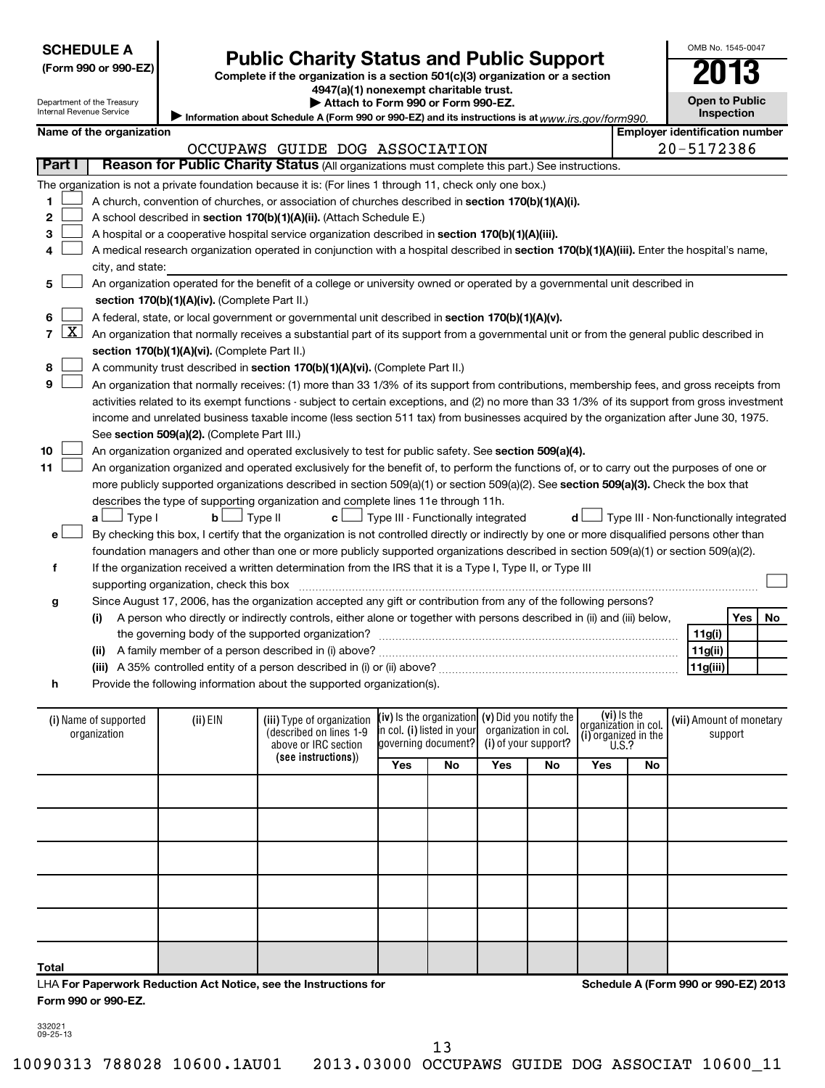| <b>SCHEDULE A</b> |
|-------------------|
|-------------------|

# **Public Charity Status and Public Support**<br> **Addition is a section 501(c)(3) organization or a section**<br>  $4947(a)(1)$  nonexempt charitable trust.

**(Form 990 or 990-EZ) Complete if the organization is a section 501(c)(3) organization or a section**

**| Attach to Form 990 or Form 990-EZ.** 

OMB No. 1545-0047

**Open to Public Inspection**

| Department of the Treasury |
|----------------------------|
| Internal Revenue Service   |
|                            |

| niemai Revenue Service<br><b>Inspection</b><br>Information about Schedule A (Form 990 or 990-EZ) and its instructions is at www.irs.gov/form990.           |                                                                                                                                            |                                               |                                                                                                                                                                 |                                      |                                          |     |     |                                              |    |                                        |           |  |
|------------------------------------------------------------------------------------------------------------------------------------------------------------|--------------------------------------------------------------------------------------------------------------------------------------------|-----------------------------------------------|-----------------------------------------------------------------------------------------------------------------------------------------------------------------|--------------------------------------|------------------------------------------|-----|-----|----------------------------------------------|----|----------------------------------------|-----------|--|
|                                                                                                                                                            | Name of the organization                                                                                                                   |                                               |                                                                                                                                                                 |                                      |                                          |     |     |                                              |    | <b>Employer identification number</b>  |           |  |
|                                                                                                                                                            |                                                                                                                                            |                                               | OCCUPAWS GUIDE DOG ASSOCIATION                                                                                                                                  |                                      |                                          |     |     |                                              |    | 20-5172386                             |           |  |
| Part I                                                                                                                                                     |                                                                                                                                            |                                               | Reason for Public Charity Status (All organizations must complete this part.) See instructions.                                                                 |                                      |                                          |     |     |                                              |    |                                        |           |  |
|                                                                                                                                                            |                                                                                                                                            |                                               | The organization is not a private foundation because it is: (For lines 1 through 11, check only one box.)                                                       |                                      |                                          |     |     |                                              |    |                                        |           |  |
| 1                                                                                                                                                          |                                                                                                                                            |                                               | A church, convention of churches, or association of churches described in section 170(b)(1)(A)(i).                                                              |                                      |                                          |     |     |                                              |    |                                        |           |  |
| 2                                                                                                                                                          | A school described in section 170(b)(1)(A)(ii). (Attach Schedule E.)                                                                       |                                               |                                                                                                                                                                 |                                      |                                          |     |     |                                              |    |                                        |           |  |
| з                                                                                                                                                          | A hospital or a cooperative hospital service organization described in section 170(b)(1)(A)(iii).                                          |                                               |                                                                                                                                                                 |                                      |                                          |     |     |                                              |    |                                        |           |  |
| 4                                                                                                                                                          | A medical research organization operated in conjunction with a hospital described in section 170(b)(1)(A)(iii). Enter the hospital's name, |                                               |                                                                                                                                                                 |                                      |                                          |     |     |                                              |    |                                        |           |  |
|                                                                                                                                                            | city, and state:                                                                                                                           |                                               |                                                                                                                                                                 |                                      |                                          |     |     |                                              |    |                                        |           |  |
| 5                                                                                                                                                          |                                                                                                                                            |                                               | An organization operated for the benefit of a college or university owned or operated by a governmental unit described in                                       |                                      |                                          |     |     |                                              |    |                                        |           |  |
|                                                                                                                                                            |                                                                                                                                            | section 170(b)(1)(A)(iv). (Complete Part II.) |                                                                                                                                                                 |                                      |                                          |     |     |                                              |    |                                        |           |  |
| 6                                                                                                                                                          |                                                                                                                                            |                                               | A federal, state, or local government or governmental unit described in section 170(b)(1)(A)(v).                                                                |                                      |                                          |     |     |                                              |    |                                        |           |  |
| <u>x </u><br>7 I                                                                                                                                           |                                                                                                                                            |                                               | An organization that normally receives a substantial part of its support from a governmental unit or from the general public described in                       |                                      |                                          |     |     |                                              |    |                                        |           |  |
|                                                                                                                                                            |                                                                                                                                            | section 170(b)(1)(A)(vi). (Complete Part II.) |                                                                                                                                                                 |                                      |                                          |     |     |                                              |    |                                        |           |  |
| 8                                                                                                                                                          |                                                                                                                                            |                                               | A community trust described in section 170(b)(1)(A)(vi). (Complete Part II.)                                                                                    |                                      |                                          |     |     |                                              |    |                                        |           |  |
| 9                                                                                                                                                          |                                                                                                                                            |                                               | An organization that normally receives: (1) more than 33 1/3% of its support from contributions, membership fees, and gross receipts from                       |                                      |                                          |     |     |                                              |    |                                        |           |  |
|                                                                                                                                                            |                                                                                                                                            |                                               | activities related to its exempt functions - subject to certain exceptions, and (2) no more than 33 1/3% of its support from gross investment                   |                                      |                                          |     |     |                                              |    |                                        |           |  |
|                                                                                                                                                            |                                                                                                                                            |                                               | income and unrelated business taxable income (less section 511 tax) from businesses acquired by the organization after June 30, 1975.                           |                                      |                                          |     |     |                                              |    |                                        |           |  |
|                                                                                                                                                            |                                                                                                                                            | See section 509(a)(2). (Complete Part III.)   |                                                                                                                                                                 |                                      |                                          |     |     |                                              |    |                                        |           |  |
| 10                                                                                                                                                         |                                                                                                                                            |                                               | An organization organized and operated exclusively to test for public safety. See section 509(a)(4).                                                            |                                      |                                          |     |     |                                              |    |                                        |           |  |
| 11                                                                                                                                                         |                                                                                                                                            |                                               | An organization organized and operated exclusively for the benefit of, to perform the functions of, or to carry out the purposes of one or                      |                                      |                                          |     |     |                                              |    |                                        |           |  |
|                                                                                                                                                            |                                                                                                                                            |                                               | more publicly supported organizations described in section 509(a)(1) or section 509(a)(2). See section 509(a)(3). Check the box that                            |                                      |                                          |     |     |                                              |    |                                        |           |  |
|                                                                                                                                                            |                                                                                                                                            |                                               | describes the type of supporting organization and complete lines 11e through 11h.                                                                               | J Type III - Functionally integrated |                                          |     |     |                                              |    |                                        |           |  |
| е                                                                                                                                                          | J Type I<br>a۱                                                                                                                             | bl                                            | Type II<br>c L<br>By checking this box, I certify that the organization is not controlled directly or indirectly by one or more disqualified persons other than |                                      |                                          |     | d l |                                              |    | Type III - Non-functionally integrated |           |  |
|                                                                                                                                                            |                                                                                                                                            |                                               | foundation managers and other than one or more publicly supported organizations described in section 509(a)(1) or section 509(a)(2).                            |                                      |                                          |     |     |                                              |    |                                        |           |  |
| f                                                                                                                                                          |                                                                                                                                            |                                               | If the organization received a written determination from the IRS that it is a Type I, Type II, or Type III                                                     |                                      |                                          |     |     |                                              |    |                                        |           |  |
|                                                                                                                                                            |                                                                                                                                            | supporting organization, check this box       |                                                                                                                                                                 |                                      |                                          |     |     |                                              |    |                                        |           |  |
| g                                                                                                                                                          |                                                                                                                                            |                                               | Since August 17, 2006, has the organization accepted any gift or contribution from any of the following persons?                                                |                                      |                                          |     |     |                                              |    |                                        |           |  |
|                                                                                                                                                            | (i)                                                                                                                                        |                                               | A person who directly or indirectly controls, either alone or together with persons described in (ii) and (iii) below,                                          |                                      |                                          |     |     |                                              |    |                                        | Yes<br>No |  |
|                                                                                                                                                            |                                                                                                                                            |                                               | the governing body of the supported organization?                                                                                                               |                                      |                                          |     |     |                                              |    | 11g(i)                                 |           |  |
|                                                                                                                                                            |                                                                                                                                            |                                               | (ii) A family member of a person described in (i) above?                                                                                                        |                                      |                                          |     |     |                                              |    | 11g(ii)                                |           |  |
|                                                                                                                                                            |                                                                                                                                            |                                               |                                                                                                                                                                 |                                      |                                          |     |     |                                              |    | 11g(iii)                               |           |  |
| h                                                                                                                                                          |                                                                                                                                            |                                               | Provide the following information about the supported organization(s).                                                                                          |                                      |                                          |     |     |                                              |    |                                        |           |  |
|                                                                                                                                                            |                                                                                                                                            |                                               |                                                                                                                                                                 |                                      |                                          |     |     |                                              |    |                                        |           |  |
| (vi) is the<br>(iii) Type of organization (iv) Is the organization (v) Did you notify the<br>(i) Name of supported<br>(ii) EIN<br>(vii) Amount of monetary |                                                                                                                                            |                                               |                                                                                                                                                                 |                                      |                                          |     |     |                                              |    |                                        |           |  |
|                                                                                                                                                            | organization                                                                                                                               |                                               | $\frac{1}{2}$ described on lines 1-9 $\parallel$ in col. (i) listed in your organization in col.                                                                |                                      |                                          |     |     | organizátion in col.<br>(i) organized in the |    | support                                |           |  |
|                                                                                                                                                            |                                                                                                                                            |                                               | above or IRC section<br>(see instructions))                                                                                                                     |                                      | governing document? (i) of your support? |     |     | <b>U.S.?</b>                                 |    |                                        |           |  |
|                                                                                                                                                            |                                                                                                                                            |                                               |                                                                                                                                                                 | Yes                                  | <b>No</b>                                | Yes | No  | Yes                                          | No |                                        |           |  |
|                                                                                                                                                            |                                                                                                                                            |                                               |                                                                                                                                                                 |                                      |                                          |     |     |                                              |    |                                        |           |  |
|                                                                                                                                                            |                                                                                                                                            |                                               |                                                                                                                                                                 |                                      |                                          |     |     |                                              |    |                                        |           |  |
|                                                                                                                                                            |                                                                                                                                            |                                               |                                                                                                                                                                 |                                      |                                          |     |     |                                              |    |                                        |           |  |
|                                                                                                                                                            |                                                                                                                                            |                                               |                                                                                                                                                                 |                                      |                                          |     |     |                                              |    |                                        |           |  |
|                                                                                                                                                            |                                                                                                                                            |                                               |                                                                                                                                                                 |                                      |                                          |     |     |                                              |    |                                        |           |  |

| (i) Name of supported<br>organization | (ii) EIN                                                                                                 | (iii) Type of organization<br>(described on lines 1-9<br>above or IRC section | in col. (i) listed in your<br>governing document? |     | $(iv)$ is the organization $(v)$ Did you notify the<br>organization in col.<br>(i) of your support? |     | (vi) Is the<br>organization in col.<br>(i) organized in the<br>U.S.? |    | (vii) Amount of monetary<br>support |  |
|---------------------------------------|----------------------------------------------------------------------------------------------------------|-------------------------------------------------------------------------------|---------------------------------------------------|-----|-----------------------------------------------------------------------------------------------------|-----|----------------------------------------------------------------------|----|-------------------------------------|--|
|                                       |                                                                                                          | (see instructions))                                                           | Yes                                               | No. | Yes                                                                                                 | No. | Yes                                                                  | No |                                     |  |
|                                       |                                                                                                          |                                                                               |                                                   |     |                                                                                                     |     |                                                                      |    |                                     |  |
|                                       |                                                                                                          |                                                                               |                                                   |     |                                                                                                     |     |                                                                      |    |                                     |  |
|                                       |                                                                                                          |                                                                               |                                                   |     |                                                                                                     |     |                                                                      |    |                                     |  |
|                                       |                                                                                                          |                                                                               |                                                   |     |                                                                                                     |     |                                                                      |    |                                     |  |
|                                       |                                                                                                          |                                                                               |                                                   |     |                                                                                                     |     |                                                                      |    |                                     |  |
| Total                                 |                                                                                                          |                                                                               |                                                   |     |                                                                                                     |     |                                                                      |    |                                     |  |
| Form 990 or 990-EZ.                   | LHA For Paperwork Reduction Act Notice, see the Instructions for<br>Schedule A (Form 990 or 990-EZ) 2013 |                                                                               |                                                   |     |                                                                                                     |     |                                                                      |    |                                     |  |

332021 09-25-13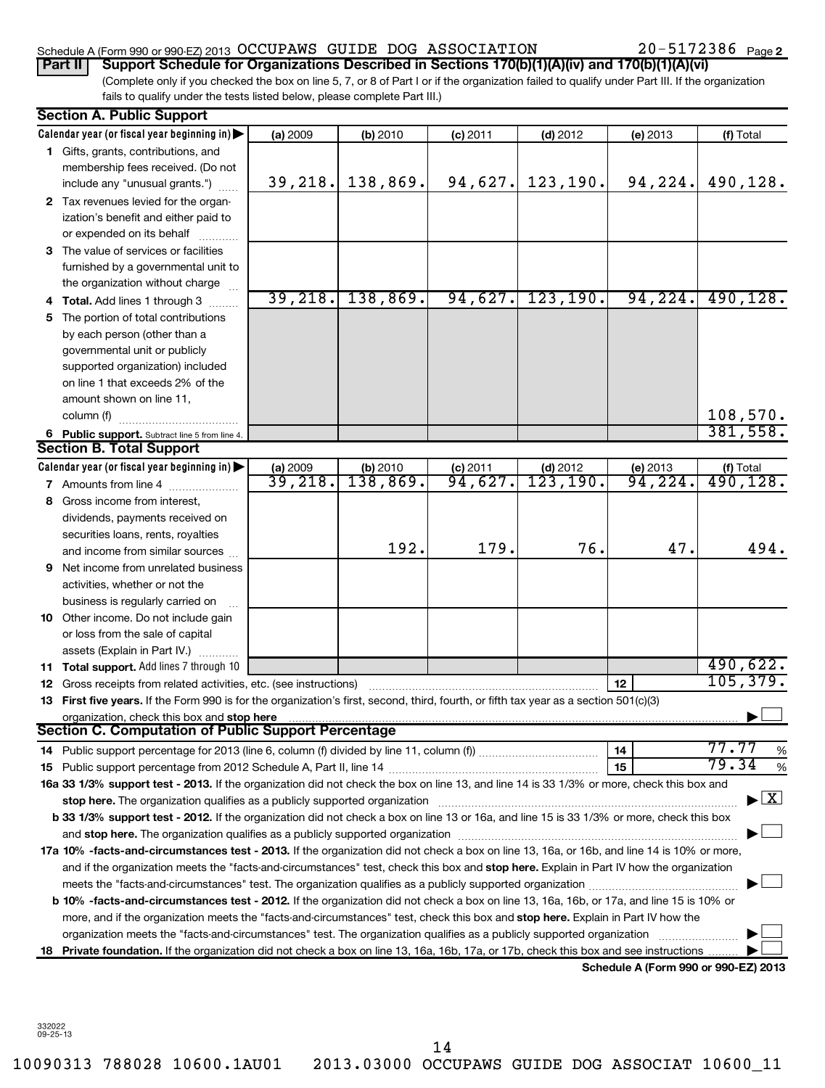# Schedule A (Form 990 or 990-EZ) 2013 Page OCCUPAWS GUIDE DOG ASSOCIATION 20-5172386

20-5172386 Page 2

(Complete only if you checked the box on line 5, 7, or 8 of Part I or if the organization failed to qualify under Part III. If the organization fails to qualify under the tests listed below, please complete Part III.) **Part II Support Schedule for Organizations Described in Sections 170(b)(1)(A)(iv) and 170(b)(1)(A)(vi)**

|    | <b>Section A. Public Support</b>                                                                                                                                                                                                                                          |                               |                      |                       |                            |                                      |                                     |  |
|----|---------------------------------------------------------------------------------------------------------------------------------------------------------------------------------------------------------------------------------------------------------------------------|-------------------------------|----------------------|-----------------------|----------------------------|--------------------------------------|-------------------------------------|--|
|    | Calendar year (or fiscal year beginning in)                                                                                                                                                                                                                               | (a) 2009                      | (b) 2010             | $(c)$ 2011            | $(d)$ 2012                 | (e) 2013                             | (f) Total                           |  |
|    | 1 Gifts, grants, contributions, and                                                                                                                                                                                                                                       |                               |                      |                       |                            |                                      |                                     |  |
|    | membership fees received. (Do not                                                                                                                                                                                                                                         |                               |                      |                       |                            |                                      |                                     |  |
|    | include any "unusual grants.")                                                                                                                                                                                                                                            | 39, 218.                      | 138,869.             | 94,627.               | 123, 190.                  | 94,224.                              | 490,128.                            |  |
|    | 2 Tax revenues levied for the organ-                                                                                                                                                                                                                                      |                               |                      |                       |                            |                                      |                                     |  |
|    | ization's benefit and either paid to                                                                                                                                                                                                                                      |                               |                      |                       |                            |                                      |                                     |  |
|    | or expended on its behalf                                                                                                                                                                                                                                                 |                               |                      |                       |                            |                                      |                                     |  |
|    | 3 The value of services or facilities                                                                                                                                                                                                                                     |                               |                      |                       |                            |                                      |                                     |  |
|    | furnished by a governmental unit to                                                                                                                                                                                                                                       |                               |                      |                       |                            |                                      |                                     |  |
|    | the organization without charge                                                                                                                                                                                                                                           |                               |                      |                       |                            |                                      |                                     |  |
|    | 4 Total. Add lines 1 through 3                                                                                                                                                                                                                                            | 39,218.                       | 138,869.             | 94,627.               | 123, 190.                  | 94, 224.                             | 490, 128.                           |  |
| 5. | The portion of total contributions                                                                                                                                                                                                                                        |                               |                      |                       |                            |                                      |                                     |  |
|    | by each person (other than a                                                                                                                                                                                                                                              |                               |                      |                       |                            |                                      |                                     |  |
|    | governmental unit or publicly                                                                                                                                                                                                                                             |                               |                      |                       |                            |                                      |                                     |  |
|    | supported organization) included                                                                                                                                                                                                                                          |                               |                      |                       |                            |                                      |                                     |  |
|    | on line 1 that exceeds 2% of the                                                                                                                                                                                                                                          |                               |                      |                       |                            |                                      |                                     |  |
|    | amount shown on line 11,                                                                                                                                                                                                                                                  |                               |                      |                       |                            |                                      |                                     |  |
|    | column (f)                                                                                                                                                                                                                                                                |                               |                      |                       |                            |                                      | 108,570.                            |  |
|    | 6 Public support. Subtract line 5 from line 4.                                                                                                                                                                                                                            |                               |                      |                       |                            |                                      | 381,558.                            |  |
|    | <b>Section B. Total Support</b>                                                                                                                                                                                                                                           |                               |                      |                       |                            |                                      |                                     |  |
|    | Calendar year (or fiscal year beginning in)                                                                                                                                                                                                                               | $\frac{$ (a) 2009<br>39, 218. | (b) 2010<br>138,869. | $\frac{1}{94}$ , 627. | $\frac{(d) 2012}{123,190}$ | (e) 2013<br>94,224.                  | (f) Total<br>$\overline{490,128}$ . |  |
|    | <b>7</b> Amounts from line 4                                                                                                                                                                                                                                              |                               |                      |                       |                            |                                      |                                     |  |
| 8  | Gross income from interest,                                                                                                                                                                                                                                               |                               |                      |                       |                            |                                      |                                     |  |
|    | dividends, payments received on                                                                                                                                                                                                                                           |                               |                      |                       |                            |                                      |                                     |  |
|    | securities loans, rents, royalties                                                                                                                                                                                                                                        |                               | 192.                 | 179.                  | 76.                        | 47.                                  | 494.                                |  |
|    | and income from similar sources                                                                                                                                                                                                                                           |                               |                      |                       |                            |                                      |                                     |  |
|    | <b>9</b> Net income from unrelated business                                                                                                                                                                                                                               |                               |                      |                       |                            |                                      |                                     |  |
|    | activities, whether or not the                                                                                                                                                                                                                                            |                               |                      |                       |                            |                                      |                                     |  |
|    | business is regularly carried on                                                                                                                                                                                                                                          |                               |                      |                       |                            |                                      |                                     |  |
|    | 10 Other income. Do not include gain                                                                                                                                                                                                                                      |                               |                      |                       |                            |                                      |                                     |  |
|    | or loss from the sale of capital                                                                                                                                                                                                                                          |                               |                      |                       |                            |                                      |                                     |  |
|    | assets (Explain in Part IV.)                                                                                                                                                                                                                                              |                               |                      |                       |                            |                                      | 490,622.                            |  |
|    | 11 Total support. Add lines 7 through 10                                                                                                                                                                                                                                  |                               |                      |                       |                            |                                      | 105, 379.                           |  |
|    | 12 Gross receipts from related activities, etc. (see instructions)                                                                                                                                                                                                        |                               |                      |                       |                            | 12                                   |                                     |  |
|    | 13 First five years. If the Form 990 is for the organization's first, second, third, fourth, or fifth tax year as a section 501(c)(3)                                                                                                                                     |                               |                      |                       |                            |                                      |                                     |  |
|    | organization, check this box and stop here<br>Section C. Computation of Public Support Percentage                                                                                                                                                                         |                               |                      |                       |                            |                                      |                                     |  |
|    |                                                                                                                                                                                                                                                                           |                               |                      |                       |                            | 14                                   | 77.77<br>%                          |  |
|    | 14 Public support percentage for 2013 (line 6, column (f) divided by line 11, column (f) <i>marroummaname</i>                                                                                                                                                             |                               |                      |                       |                            | 15                                   | 79.34<br>%                          |  |
|    | 16a 33 1/3% support test - 2013. If the organization did not check the box on line 13, and line 14 is 33 1/3% or more, check this box and                                                                                                                                 |                               |                      |                       |                            |                                      |                                     |  |
|    | stop here. The organization qualifies as a publicly supported organization manufactured content and the content of the state of the state of the state of the state of the state of the state of the state of the state of the                                            |                               |                      |                       |                            |                                      | $\lfloor x \rfloor$                 |  |
|    |                                                                                                                                                                                                                                                                           |                               |                      |                       |                            |                                      |                                     |  |
|    | b 33 1/3% support test - 2012. If the organization did not check a box on line 13 or 16a, and line 15 is 33 1/3% or more, check this box                                                                                                                                  |                               |                      |                       |                            |                                      |                                     |  |
|    |                                                                                                                                                                                                                                                                           |                               |                      |                       |                            |                                      |                                     |  |
|    | 17a 10% -facts-and-circumstances test - 2013. If the organization did not check a box on line 13, 16a, or 16b, and line 14 is 10% or more,                                                                                                                                |                               |                      |                       |                            |                                      |                                     |  |
|    | and if the organization meets the "facts-and-circumstances" test, check this box and stop here. Explain in Part IV how the organization                                                                                                                                   |                               |                      |                       |                            |                                      |                                     |  |
|    | meets the "facts-and-circumstances" test. The organization qualifies as a publicly supported organization <i>manumumumumum</i><br>b 10% -facts-and-circumstances test - 2012. If the organization did not check a box on line 13, 16a, 16b, or 17a, and line 15 is 10% or |                               |                      |                       |                            |                                      |                                     |  |
|    | more, and if the organization meets the "facts-and-circumstances" test, check this box and stop here. Explain in Part IV how the                                                                                                                                          |                               |                      |                       |                            |                                      |                                     |  |
|    | organization meets the "facts-and-circumstances" test. The organization qualifies as a publicly supported organization                                                                                                                                                    |                               |                      |                       |                            |                                      |                                     |  |
| 18 | Private foundation. If the organization did not check a box on line 13, 16a, 16b, 17a, or 17b, check this box and see instructions                                                                                                                                        |                               |                      |                       |                            |                                      |                                     |  |
|    |                                                                                                                                                                                                                                                                           |                               |                      |                       |                            | Schedule A (Form 990 or 990-EZ) 2013 |                                     |  |
|    |                                                                                                                                                                                                                                                                           |                               |                      |                       |                            |                                      |                                     |  |

332022 09-25-13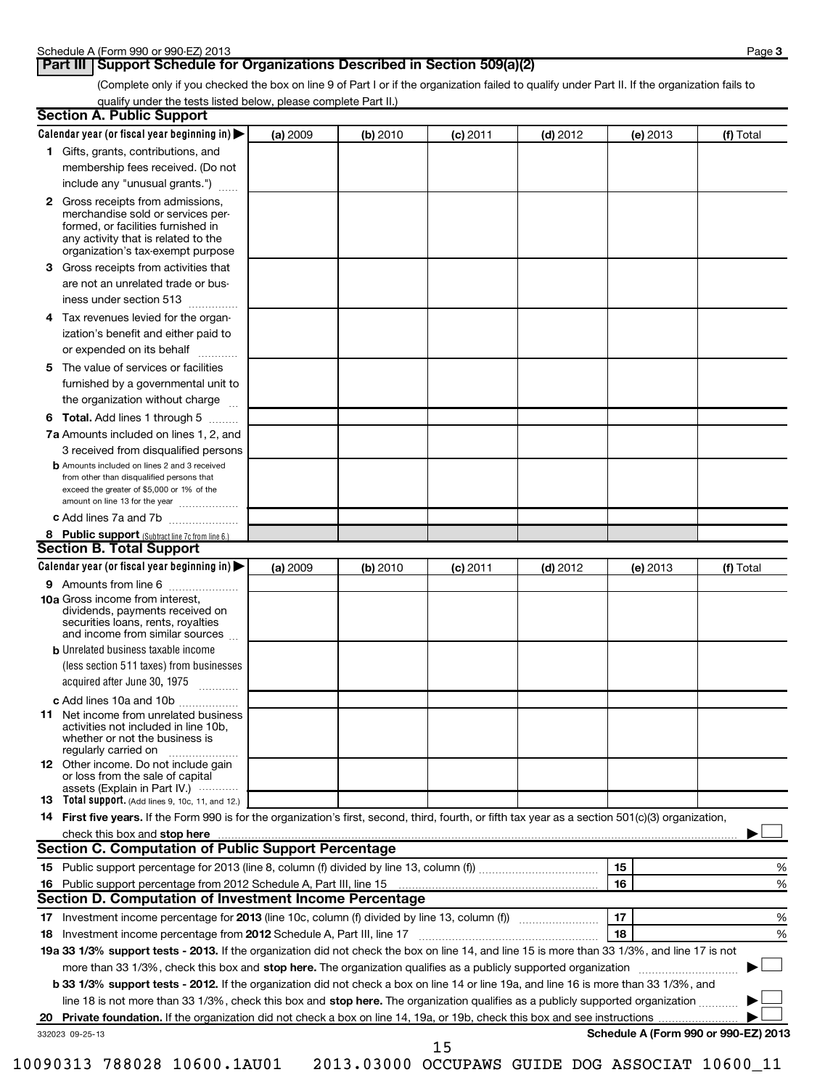# **Part III** Support Schedule for Organizations Described in Section 509(a)(2)

(Complete only if you checked the box on line 9 of Part I or if the organization failed to qualify under Part II. If the organization fails to qualify under the tests listed below, please complete Part II.)

|    | <b>Section A. Public Support</b>                                                                                                                                                                                               |          |          |            |            |                                      |           |
|----|--------------------------------------------------------------------------------------------------------------------------------------------------------------------------------------------------------------------------------|----------|----------|------------|------------|--------------------------------------|-----------|
|    | Calendar year (or fiscal year beginning in)                                                                                                                                                                                    | (a) 2009 | (b) 2010 | (c) 2011   | $(d)$ 2012 | (e) 2013                             | (f) Total |
|    | 1 Gifts, grants, contributions, and                                                                                                                                                                                            |          |          |            |            |                                      |           |
|    | membership fees received. (Do not                                                                                                                                                                                              |          |          |            |            |                                      |           |
|    | include any "unusual grants.")                                                                                                                                                                                                 |          |          |            |            |                                      |           |
|    | <b>2</b> Gross receipts from admissions,<br>merchandise sold or services per-<br>formed, or facilities furnished in<br>any activity that is related to the<br>organization's tax-exempt purpose                                |          |          |            |            |                                      |           |
|    | 3 Gross receipts from activities that<br>are not an unrelated trade or bus-                                                                                                                                                    |          |          |            |            |                                      |           |
|    | iness under section 513                                                                                                                                                                                                        |          |          |            |            |                                      |           |
| 4  | Tax revenues levied for the organ-                                                                                                                                                                                             |          |          |            |            |                                      |           |
|    | ization's benefit and either paid to<br>or expended on its behalf                                                                                                                                                              |          |          |            |            |                                      |           |
|    | 5 The value of services or facilities                                                                                                                                                                                          |          |          |            |            |                                      |           |
|    | furnished by a governmental unit to<br>the organization without charge                                                                                                                                                         |          |          |            |            |                                      |           |
|    | <b>6 Total.</b> Add lines 1 through 5                                                                                                                                                                                          |          |          |            |            |                                      |           |
|    | 7a Amounts included on lines 1, 2, and                                                                                                                                                                                         |          |          |            |            |                                      |           |
|    | 3 received from disqualified persons                                                                                                                                                                                           |          |          |            |            |                                      |           |
|    | <b>b</b> Amounts included on lines 2 and 3 received<br>from other than disqualified persons that<br>exceed the greater of \$5,000 or 1% of the<br>amount on line 13 for the year                                               |          |          |            |            |                                      |           |
|    | c Add lines 7a and 7b                                                                                                                                                                                                          |          |          |            |            |                                      |           |
|    | 8 Public support (Subtract line 7c from line 6.)                                                                                                                                                                               |          |          |            |            |                                      |           |
|    | <b>Section B. Total Support</b>                                                                                                                                                                                                |          |          |            |            |                                      |           |
|    | Calendar year (or fiscal year beginning in)                                                                                                                                                                                    | (a) 2009 | (b) 2010 | $(c)$ 2011 | $(d)$ 2012 | (e) 2013                             | (f) Total |
|    | 9 Amounts from line 6                                                                                                                                                                                                          |          |          |            |            |                                      |           |
|    | <b>10a</b> Gross income from interest,<br>dividends, payments received on<br>securities loans, rents, royalties<br>and income from similar sources                                                                             |          |          |            |            |                                      |           |
|    | <b>b</b> Unrelated business taxable income                                                                                                                                                                                     |          |          |            |            |                                      |           |
|    | (less section 511 taxes) from businesses<br>acquired after June 30, 1975<br>$\overline{\phantom{a}}$                                                                                                                           |          |          |            |            |                                      |           |
|    | c Add lines 10a and 10b                                                                                                                                                                                                        |          |          |            |            |                                      |           |
|    | <b>11</b> Net income from unrelated business<br>activities not included in line 10b,<br>whether or not the business is<br>regularly carried on                                                                                 |          |          |            |            |                                      |           |
|    | 12 Other income. Do not include gain<br>or loss from the sale of capital<br>assets (Explain in Part IV.)                                                                                                                       |          |          |            |            |                                      |           |
|    | <b>13</b> Total support. (Add lines 9, 10c, 11, and 12.)                                                                                                                                                                       |          |          |            |            |                                      |           |
|    | 14 First five years. If the Form 990 is for the organization's first, second, third, fourth, or fifth tax year as a section 501(c)(3) organization,                                                                            |          |          |            |            |                                      |           |
|    | check this box and stop here with the continuum control of the state of the state of the state of the state of the state of the state of the state of the state of the state of the state of the state of the state of the sta |          |          |            |            |                                      |           |
|    | <b>Section C. Computation of Public Support Percentage</b>                                                                                                                                                                     |          |          |            |            |                                      |           |
|    |                                                                                                                                                                                                                                |          |          |            |            | 15                                   | %         |
|    |                                                                                                                                                                                                                                |          |          |            |            | 16                                   | %         |
|    | Section D. Computation of Investment Income Percentage                                                                                                                                                                         |          |          |            |            |                                      |           |
|    |                                                                                                                                                                                                                                |          |          |            |            | 17                                   | %         |
|    | 18 Investment income percentage from 2012 Schedule A, Part III, line 17                                                                                                                                                        |          |          |            |            | 18                                   | %         |
|    | 19a 33 1/3% support tests - 2013. If the organization did not check the box on line 14, and line 15 is more than 33 1/3%, and line 17 is not                                                                                   |          |          |            |            |                                      |           |
|    | more than 33 1/3%, check this box and stop here. The organization qualifies as a publicly supported organization                                                                                                               |          |          |            |            |                                      |           |
|    | b 33 1/3% support tests - 2012. If the organization did not check a box on line 14 or line 19a, and line 16 is more than 33 1/3%, and                                                                                          |          |          |            |            |                                      |           |
|    | line 18 is not more than 33 1/3%, check this box and stop here. The organization qualifies as a publicly supported organization                                                                                                |          |          |            |            |                                      |           |
| 20 |                                                                                                                                                                                                                                |          |          |            |            |                                      |           |
|    | 332023 09-25-13                                                                                                                                                                                                                |          |          | 1 E        |            | Schedule A (Form 990 or 990-EZ) 2013 |           |

15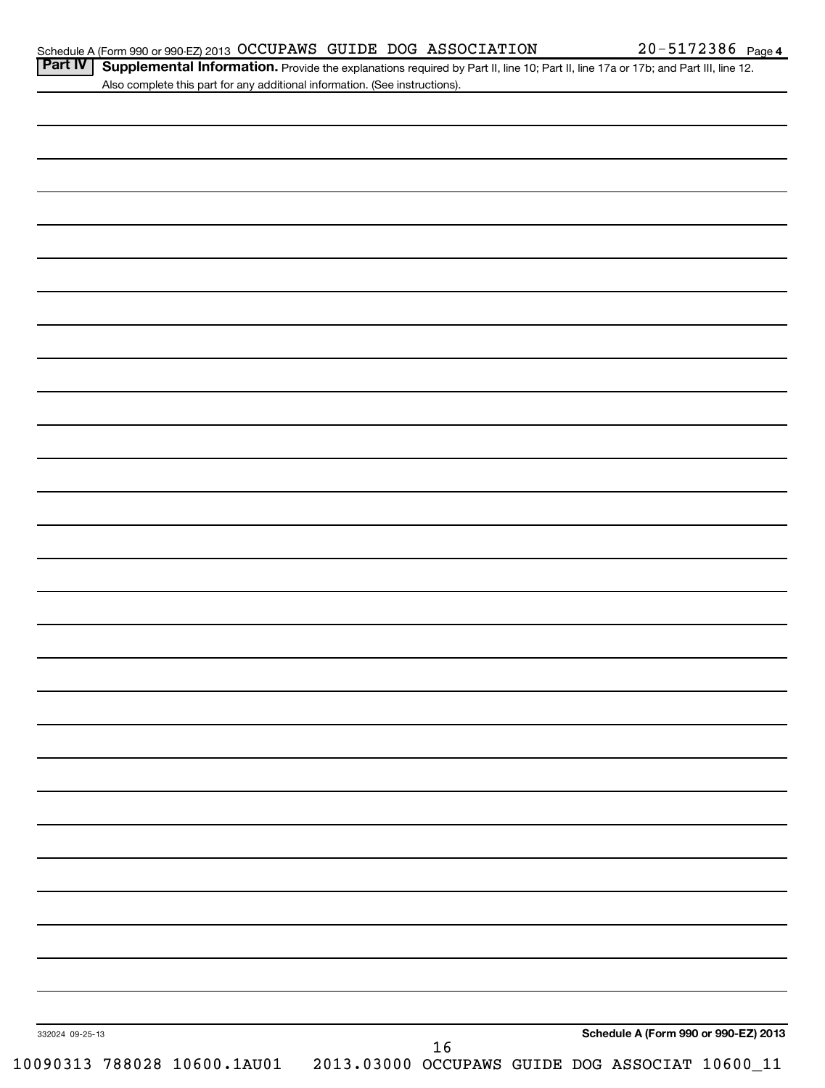Part IV | Supplemental Information. Provide the explanations required by Part II, line 10; Part II, line 17a or 17b; and Part III, line 12. Also complete this part for any additional information. (See instructions).

| 332024 09-25-13 |  |        |  | Schedule A (Form 990 or 990-EZ) 2013 |
|-----------------|--|--------|--|--------------------------------------|
|                 |  | $16\,$ |  |                                      |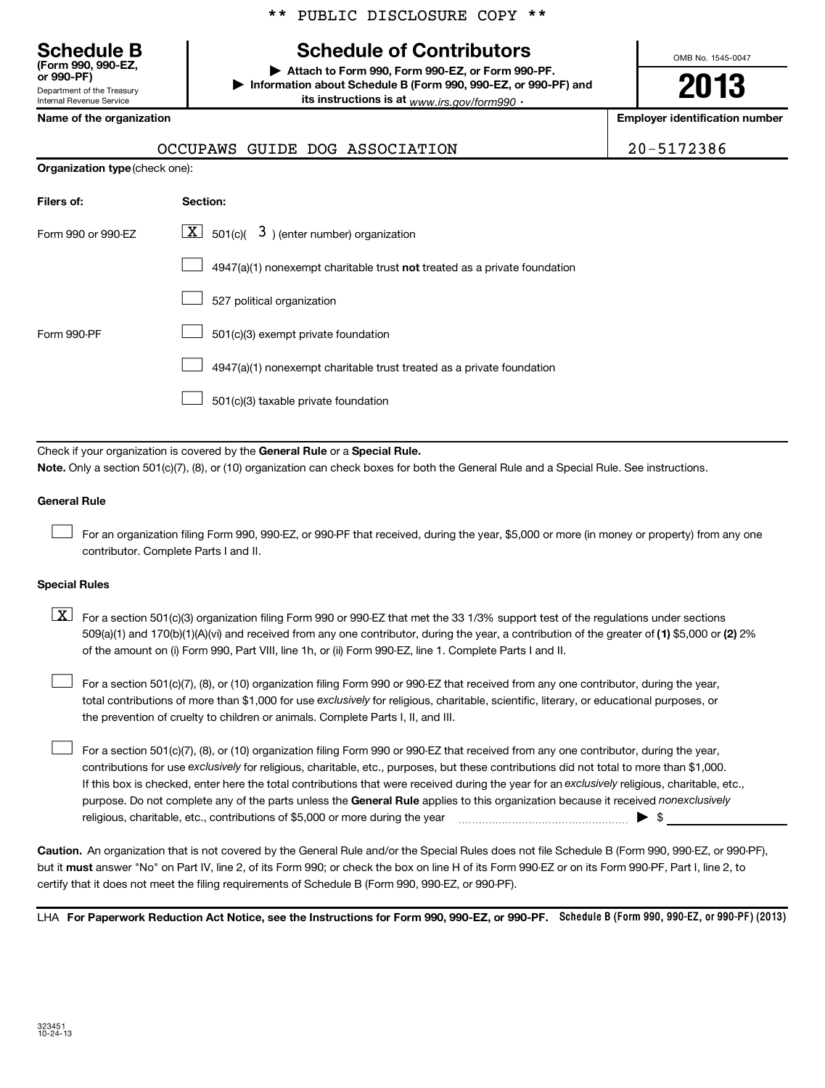# **Schedule B Schedule of Contributors**

**or 990-PF) | Attach to Form 990, Form 990-EZ, or Form 990-PF. | Information about Schedule B (Form 990, 990-EZ, or 990-PF) and its instructions is at** <sub>www.irs.gov/form990  $\cdot$ </sub>

OMB No. 1545-0047

# **2013**

**Name of the organization Employer identification number**

Department of the Treasury Internal Revenue Service

**(Form 990, 990-EZ,**

# OCCUPAWS GUIDE DOG ASSOCIATION 20-5172386

| Filers of:         | <b>Section:</b>                                                           |
|--------------------|---------------------------------------------------------------------------|
| Form 990 or 990-EZ | $\lfloor \underline{X} \rfloor$ 501(c)( 3) (enter number) organization    |
|                    | 4947(a)(1) nonexempt charitable trust not treated as a private foundation |
|                    | 527 political organization                                                |
| Form 990-PF        | 501(c)(3) exempt private foundation                                       |
|                    | 4947(a)(1) nonexempt charitable trust treated as a private foundation     |
|                    | 501(c)(3) taxable private foundation                                      |

Check if your organization is covered by the General Rule or a Special Rule. **Note.**  Only a section 501(c)(7), (8), or (10) organization can check boxes for both the General Rule and a Special Rule. See instructions.

## **General Rule**

For an organization filing Form 990, 990-EZ, or 990-PF that received, during the year, \$5,000 or more (in money or property) from any one contributor. Complete Parts I and II.  $\left\vert \cdot\right\vert$ 

## **Special Rules**

509(a)(1) and 170(b)(1)(A)(vi) and received from any one contributor, during the year, a contribution of the greater of (1**)** \$5,000 or (**2**) 2%  $\boxed{\textbf{X}}$  For a section 501(c)(3) organization filing Form 990 or 990-EZ that met the 33 1/3% support test of the regulations under sections of the amount on (i) Form 990, Part VIII, line 1h, or (ii) Form 990-EZ, line 1. Complete Parts I and II.

total contributions of more than \$1,000 for use exclusively for religious, charitable, scientific, literary, or educational purposes, or For a section 501(c)(7), (8), or (10) organization filing Form 990 or 990-EZ that received from any one contributor, during the year, the prevention of cruelty to children or animals. Complete Parts I, II, and III.  $\left\vert \cdot\right\vert$ 

purpose. Do not complete any of the parts unless the General Rule applies to this organization because it received nonexclusively contributions for use exclusively for religious, charitable, etc., purposes, but these contributions did not total to more than \$1,000. If this box is checked, enter here the total contributions that were received during the year for an exclusively religious, charitable, etc., For a section 501(c)(7), (8), or (10) organization filing Form 990 or 990-EZ that received from any one contributor, during the year, religious, charitable, etc., contributions of \$5,000 or more during the year  $\Box$   $\Box$   $\Box$   $\Box$  $\left\vert \cdot\right\vert$ 

**Caution.** An organization that is not covered by the General Rule and/or the Special Rules does not file Schedule B (Form 990, 990-EZ, or 990-PF),  **must** but it answer "No" on Part IV, line 2, of its Form 990; or check the box on line H of its Form 990-EZ or on its Form 990-PF, Part I, line 2, to certify that it does not meet the filing requirements of Schedule B (Form 990, 990-EZ, or 990-PF).

LHA For Paperwork Reduction Act Notice, see the Instructions for Form 990, 990-EZ, or 990-PF. Schedule B (Form 990, 990-EZ, or 990-PF) (2013)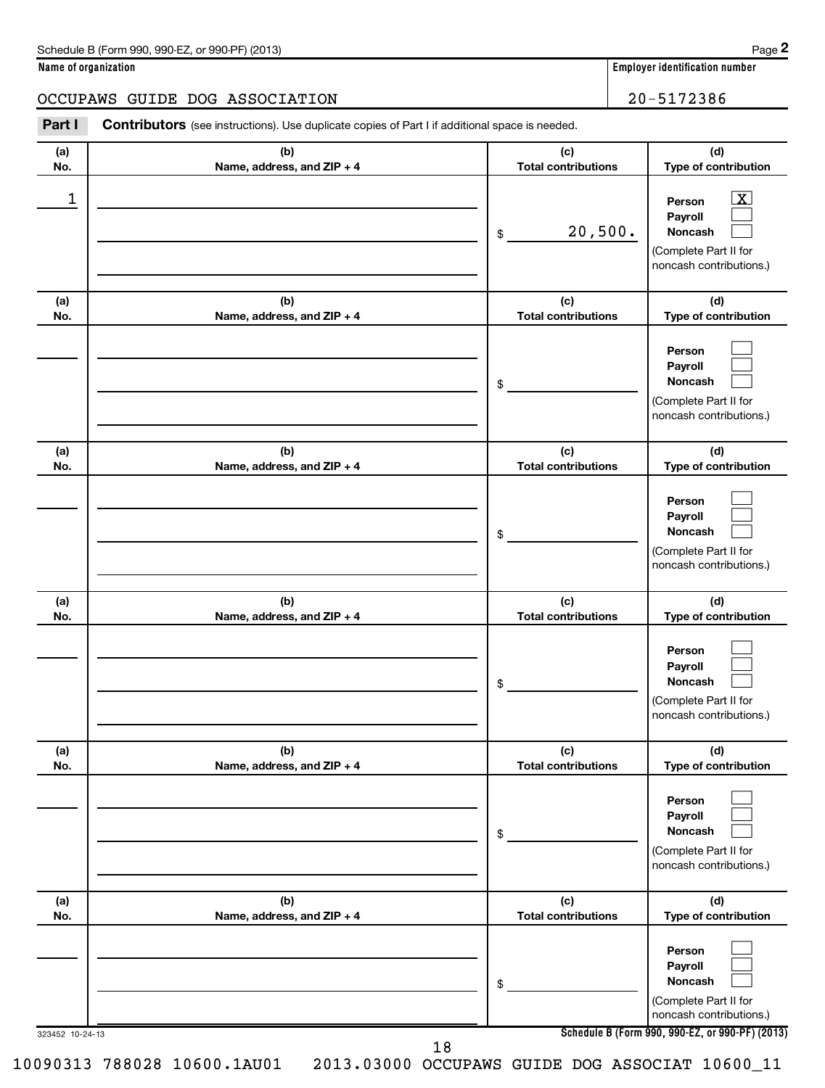**Name of organization Employer identification number**

# OCCUPAWS GUIDE DOG ASSOCIATION | 20-5172386

| Part I          | <b>Contributors</b> (see instructions). Use duplicate copies of Part I if additional space is needed. |                                   |                                                                                                                                     |
|-----------------|-------------------------------------------------------------------------------------------------------|-----------------------------------|-------------------------------------------------------------------------------------------------------------------------------------|
| (a)<br>No.      | (b)<br>Name, address, and ZIP + 4                                                                     | (c)<br><b>Total contributions</b> | (d)<br>Type of contribution                                                                                                         |
| 1               |                                                                                                       | 20,500.<br>\$                     | $\mathbf{X}$<br>Person<br>Payroll<br>Noncash<br>(Complete Part II for<br>noncash contributions.)                                    |
| (a)<br>No.      | (b)<br>Name, address, and ZIP + 4                                                                     | (c)<br><b>Total contributions</b> | (d)<br>Type of contribution                                                                                                         |
|                 |                                                                                                       | \$                                | Person<br>Payroll<br>Noncash<br>(Complete Part II for<br>noncash contributions.)                                                    |
| (a)<br>No.      | (b)<br>Name, address, and ZIP + 4                                                                     | (c)<br><b>Total contributions</b> | (d)<br>Type of contribution                                                                                                         |
|                 |                                                                                                       | \$                                | Person<br>Payroll<br>Noncash<br>(Complete Part II for<br>noncash contributions.)                                                    |
| (a)<br>No.      | (b)<br>Name, address, and ZIP + 4                                                                     | (c)<br><b>Total contributions</b> | (d)<br>Type of contribution                                                                                                         |
|                 |                                                                                                       | \$                                | Person<br>Payroll<br>Noncash<br>(Complete Part II for<br>noncash contributions.)                                                    |
| (a)<br>No.      | (b)<br>Name, address, and ZIP + 4                                                                     | (c)<br><b>Total contributions</b> | (d)<br>Type of contribution                                                                                                         |
|                 |                                                                                                       | \$                                | Person<br>Payroll<br><b>Noncash</b><br>(Complete Part II for<br>noncash contributions.)                                             |
| (a)<br>No.      | (b)<br>Name, address, and ZIP + 4                                                                     | (c)<br><b>Total contributions</b> | (d)<br>Type of contribution                                                                                                         |
| 323452 10-24-13 |                                                                                                       | \$                                | Person<br>Payroll<br>Noncash<br>(Complete Part II for<br>noncash contributions.)<br>Schedule B (Form 990, 990-EZ, or 990-PF) (2013) |

**Schedule B (Form 990, 990-EZ, or 990-PF) (2013)**

18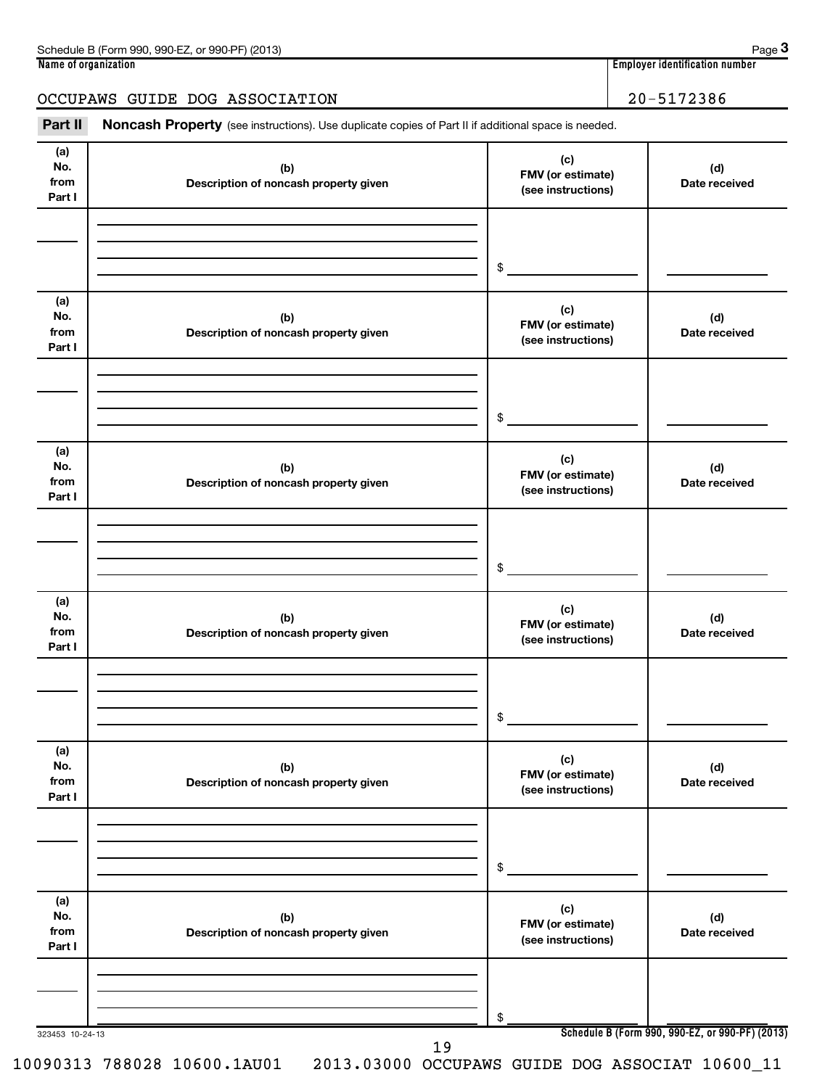| Schedule B (Form 990, 990-EZ, or 990-PF) (2013) | Page                             |
|-------------------------------------------------|----------------------------------|
| Name of organization                            | Employer identification number ` |
|                                                 |                                  |
| OCCUPAWS GUIDE DOG ASSOCIATION                  | 20-5172386                       |
|                                                 |                                  |

Part II Noncash Property (see instructions). Use duplicate copies of Part II if additional space is needed.

| (a)<br>No.<br>from<br>Part I | (b)<br>Description of noncash property given | (c)<br>FMV (or estimate)<br>(see instructions) | (d)<br>Date received |
|------------------------------|----------------------------------------------|------------------------------------------------|----------------------|
|                              |                                              | $\frac{1}{2}$                                  |                      |
| (a)<br>No.<br>from<br>Part I | (b)<br>Description of noncash property given | (c)<br>FMV (or estimate)<br>(see instructions) | (d)<br>Date received |
|                              |                                              | $\frac{1}{2}$                                  |                      |
| (a)<br>No.<br>from<br>Part I | (b)<br>Description of noncash property given | (c)<br>FMV (or estimate)<br>(see instructions) | (d)<br>Date received |
|                              |                                              | $\frac{1}{2}$                                  |                      |
| (a)<br>No.<br>from<br>Part I | (b)<br>Description of noncash property given | (c)<br>FMV (or estimate)<br>(see instructions) | (d)<br>Date received |
|                              |                                              | $$ -$                                          |                      |
| (a)<br>No.<br>from<br>Part I | (b)<br>Description of noncash property given | (c)<br>FMV (or estimate)<br>(see instructions) | (d)<br>Date received |
|                              |                                              | $$^{\circ}$                                    |                      |
| (a)<br>No.<br>from<br>Part I | (b)<br>Description of noncash property given | (c)<br>FMV (or estimate)<br>(see instructions) | (d)<br>Date received |
|                              |                                              | \$                                             |                      |

10090313 788028 10600.1AU01 2013.03000 OCCUPAWS GUIDE DOG ASSOCIAT 10600\_11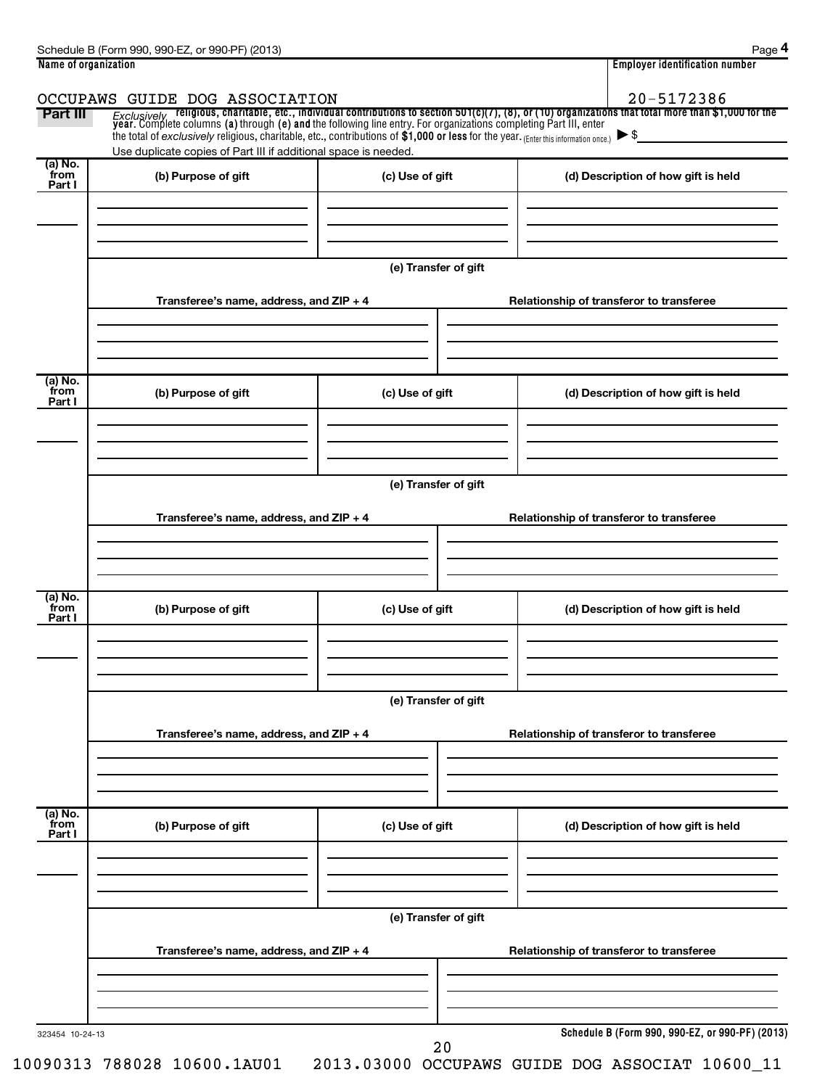| Name of organization      |                                                                 |                      | <b>Employer identification number</b>    |                                                                                                                                                                                                                                |  |  |  |  |  |
|---------------------------|-----------------------------------------------------------------|----------------------|------------------------------------------|--------------------------------------------------------------------------------------------------------------------------------------------------------------------------------------------------------------------------------|--|--|--|--|--|
|                           | OCCUPAWS GUIDE DOG ASSOCIATION                                  |                      |                                          | 20-5172386                                                                                                                                                                                                                     |  |  |  |  |  |
| Part III                  |                                                                 |                      |                                          | Exclusively religious, charitable, etc., individual contributions to section 501(c)(7), (8), or (10) organizations that total more than \$1,000 for the year. Complete columns (a) through (e) and the following line entry. F |  |  |  |  |  |
|                           |                                                                 |                      |                                          |                                                                                                                                                                                                                                |  |  |  |  |  |
| (a) No.                   | Use duplicate copies of Part III if additional space is needed. |                      |                                          |                                                                                                                                                                                                                                |  |  |  |  |  |
| from<br>Part I            | (b) Purpose of gift                                             | (c) Use of gift      |                                          | (d) Description of how gift is held                                                                                                                                                                                            |  |  |  |  |  |
|                           |                                                                 |                      |                                          |                                                                                                                                                                                                                                |  |  |  |  |  |
|                           |                                                                 |                      |                                          |                                                                                                                                                                                                                                |  |  |  |  |  |
|                           |                                                                 | (e) Transfer of gift |                                          |                                                                                                                                                                                                                                |  |  |  |  |  |
|                           | Transferee's name, address, and ZIP + 4                         |                      |                                          | Relationship of transferor to transferee                                                                                                                                                                                       |  |  |  |  |  |
|                           |                                                                 |                      |                                          |                                                                                                                                                                                                                                |  |  |  |  |  |
|                           |                                                                 |                      |                                          |                                                                                                                                                                                                                                |  |  |  |  |  |
| (a) No.<br>from<br>Part I | (b) Purpose of gift                                             | (c) Use of gift      |                                          | (d) Description of how gift is held                                                                                                                                                                                            |  |  |  |  |  |
|                           |                                                                 |                      |                                          |                                                                                                                                                                                                                                |  |  |  |  |  |
|                           |                                                                 |                      |                                          |                                                                                                                                                                                                                                |  |  |  |  |  |
|                           |                                                                 | (e) Transfer of gift |                                          |                                                                                                                                                                                                                                |  |  |  |  |  |
|                           |                                                                 |                      |                                          |                                                                                                                                                                                                                                |  |  |  |  |  |
|                           | Transferee's name, address, and ZIP + 4                         |                      | Relationship of transferor to transferee |                                                                                                                                                                                                                                |  |  |  |  |  |
|                           |                                                                 |                      |                                          |                                                                                                                                                                                                                                |  |  |  |  |  |
|                           |                                                                 |                      |                                          |                                                                                                                                                                                                                                |  |  |  |  |  |
| (a) No.<br>from<br>Part I | (b) Purpose of gift                                             | (c) Use of gift      |                                          | (d) Description of how gift is held                                                                                                                                                                                            |  |  |  |  |  |
|                           |                                                                 |                      |                                          |                                                                                                                                                                                                                                |  |  |  |  |  |
|                           |                                                                 |                      |                                          |                                                                                                                                                                                                                                |  |  |  |  |  |
|                           |                                                                 |                      |                                          |                                                                                                                                                                                                                                |  |  |  |  |  |
|                           | (e) Transfer of gift                                            |                      |                                          |                                                                                                                                                                                                                                |  |  |  |  |  |
|                           | Transferee's name, address, and ZIP + 4                         |                      |                                          | Relationship of transferor to transferee                                                                                                                                                                                       |  |  |  |  |  |
|                           |                                                                 |                      |                                          |                                                                                                                                                                                                                                |  |  |  |  |  |
|                           |                                                                 |                      |                                          |                                                                                                                                                                                                                                |  |  |  |  |  |
| (a) No.<br>from           | (b) Purpose of gift                                             | (c) Use of gift      |                                          | (d) Description of how gift is held                                                                                                                                                                                            |  |  |  |  |  |
| Part I                    |                                                                 |                      |                                          |                                                                                                                                                                                                                                |  |  |  |  |  |
|                           |                                                                 |                      |                                          |                                                                                                                                                                                                                                |  |  |  |  |  |
|                           |                                                                 |                      |                                          |                                                                                                                                                                                                                                |  |  |  |  |  |
|                           |                                                                 | (e) Transfer of gift |                                          |                                                                                                                                                                                                                                |  |  |  |  |  |
|                           | Transferee's name, address, and ZIP + 4                         |                      |                                          | Relationship of transferor to transferee                                                                                                                                                                                       |  |  |  |  |  |
|                           |                                                                 |                      |                                          |                                                                                                                                                                                                                                |  |  |  |  |  |
|                           |                                                                 |                      |                                          |                                                                                                                                                                                                                                |  |  |  |  |  |
| 323454 10-24-13           |                                                                 |                      |                                          | Schedule B (Form 990, 990-EZ, or 990-PF) (2013)                                                                                                                                                                                |  |  |  |  |  |

20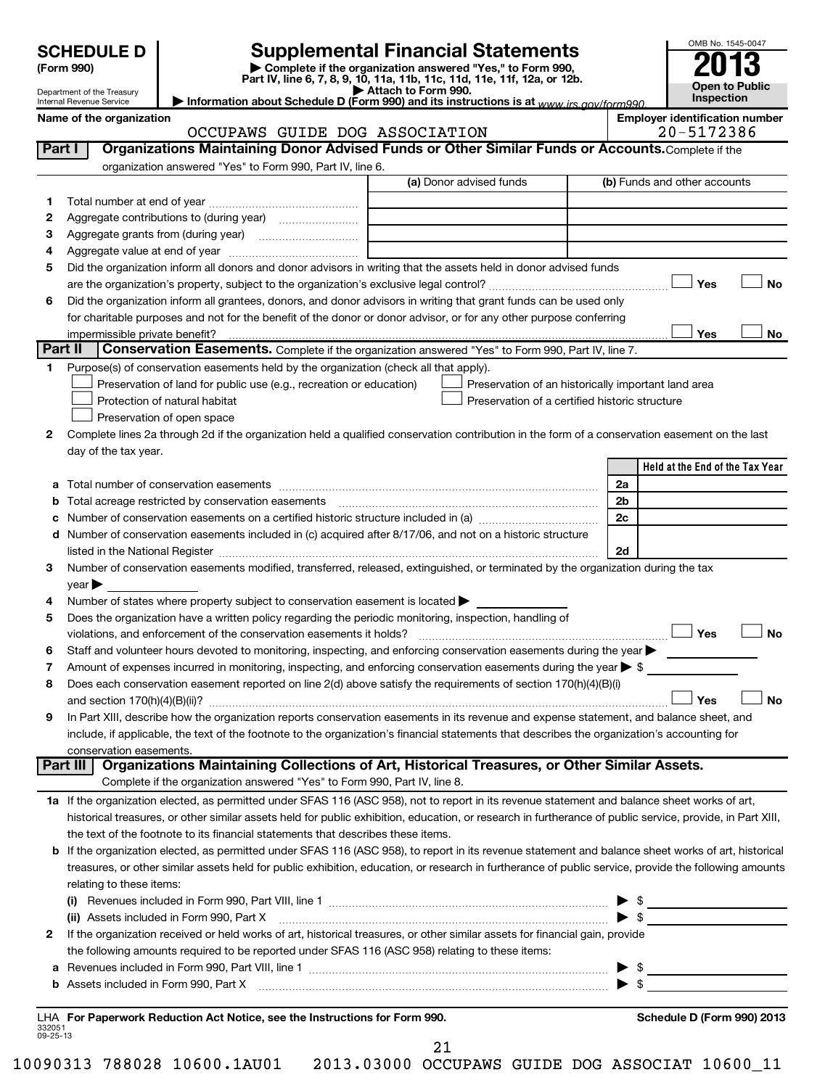Department of the Treasury

**(Form 990) | Complete if the organization answered "Yes," to Form 990, Part IV, line 6, 7, 8, 9, 10, 11a, 11b, 11c, 11d, 11e, 11f, 12a, or 12b. | Attach to Form 990. | Information about Schedule D (Form 990) and its instructions is at**  *www.irs.gov/form990.* **SCHEDULE D Supplemental Financial Statements**<br> **Form 990 2013**<br>
Part IV line 6.7.8.9.10, 11a, 11b, 11d, 11d, 11d, 11d, 11d, 12a, 0r, 12b

| Internal Revenue Service |  |
|--------------------------|--|
|                          |  |

**Open to Public Inspection**

Name of the organization<br> **Employer identification number**<br>
2005179206

OMB No. 1545-0047

|                    | OCCUPAWS GUIDE DOG ASSOCIATION                                                                                                                                                                                                 |                                                | 20-5172386                                          |
|--------------------|--------------------------------------------------------------------------------------------------------------------------------------------------------------------------------------------------------------------------------|------------------------------------------------|-----------------------------------------------------|
| Part I             | Organizations Maintaining Donor Advised Funds or Other Similar Funds or Accounts. Complete if the                                                                                                                              |                                                |                                                     |
|                    | organization answered "Yes" to Form 990, Part IV, line 6.                                                                                                                                                                      |                                                |                                                     |
|                    |                                                                                                                                                                                                                                | (a) Donor advised funds                        | (b) Funds and other accounts                        |
| 1                  |                                                                                                                                                                                                                                |                                                |                                                     |
| 2                  |                                                                                                                                                                                                                                |                                                |                                                     |
| 3                  |                                                                                                                                                                                                                                |                                                |                                                     |
| 4                  |                                                                                                                                                                                                                                |                                                |                                                     |
| 5                  | Did the organization inform all donors and donor advisors in writing that the assets held in donor advised funds                                                                                                               |                                                |                                                     |
|                    |                                                                                                                                                                                                                                |                                                | Yes<br>No                                           |
| 6                  | Did the organization inform all grantees, donors, and donor advisors in writing that grant funds can be used only                                                                                                              |                                                |                                                     |
|                    | for charitable purposes and not for the benefit of the donor or donor advisor, or for any other purpose conferring                                                                                                             |                                                |                                                     |
|                    |                                                                                                                                                                                                                                |                                                | Yes<br>No                                           |
| Part II            | Conservation Easements. Complete if the organization answered "Yes" to Form 990, Part IV, line 7.                                                                                                                              |                                                |                                                     |
| 1.                 | Purpose(s) of conservation easements held by the organization (check all that apply).                                                                                                                                          |                                                |                                                     |
|                    | Preservation of land for public use (e.g., recreation or education)                                                                                                                                                            |                                                | Preservation of an historically important land area |
|                    | Protection of natural habitat                                                                                                                                                                                                  | Preservation of a certified historic structure |                                                     |
|                    | Preservation of open space                                                                                                                                                                                                     |                                                |                                                     |
| 2                  | Complete lines 2a through 2d if the organization held a qualified conservation contribution in the form of a conservation easement on the last                                                                                 |                                                |                                                     |
|                    | day of the tax year.                                                                                                                                                                                                           |                                                |                                                     |
|                    |                                                                                                                                                                                                                                |                                                | Held at the End of the Tax Year                     |
| а                  |                                                                                                                                                                                                                                |                                                | 2a                                                  |
| b                  | Total acreage restricted by conservation easements [11,111] [11,111] [11,111] [11,111] [11,111] [11,111] [11,                                                                                                                  |                                                | 2 <sub>b</sub>                                      |
|                    |                                                                                                                                                                                                                                |                                                | 2c                                                  |
| d                  | Number of conservation easements included in (c) acquired after 8/17/06, and not on a historic structure                                                                                                                       |                                                |                                                     |
|                    |                                                                                                                                                                                                                                |                                                | 2d                                                  |
| 3                  | Number of conservation easements modified, transferred, released, extinguished, or terminated by the organization during the tax                                                                                               |                                                |                                                     |
|                    | $\vee$ ear $\blacktriangleright$                                                                                                                                                                                               |                                                |                                                     |
| 4                  | Number of states where property subject to conservation easement is located >                                                                                                                                                  |                                                |                                                     |
| 5                  | Does the organization have a written policy regarding the periodic monitoring, inspection, handling of                                                                                                                         |                                                |                                                     |
|                    | violations, and enforcement of the conservation easements it holds?                                                                                                                                                            |                                                | Yes<br><b>No</b>                                    |
| 6                  | Staff and volunteer hours devoted to monitoring, inspecting, and enforcing conservation easements during the year                                                                                                              |                                                |                                                     |
| 7                  | Amount of expenses incurred in monitoring, inspecting, and enforcing conservation easements during the year $\triangleright$ \$                                                                                                |                                                |                                                     |
| 8                  | Does each conservation easement reported on line 2(d) above satisfy the requirements of section 170(h)(4)(B)(i)                                                                                                                |                                                |                                                     |
|                    |                                                                                                                                                                                                                                |                                                | <b>No</b><br>Yes                                    |
| 9                  | In Part XIII, describe how the organization reports conservation easements in its revenue and expense statement, and balance sheet, and                                                                                        |                                                |                                                     |
|                    | include, if applicable, the text of the footnote to the organization's financial statements that describes the organization's accounting for                                                                                   |                                                |                                                     |
|                    | conservation easements.<br>Organizations Maintaining Collections of Art, Historical Treasures, or Other Similar Assets.<br>Part III                                                                                            |                                                |                                                     |
|                    | Complete if the organization answered "Yes" to Form 990, Part IV, line 8.                                                                                                                                                      |                                                |                                                     |
|                    | 1a If the organization elected, as permitted under SFAS 116 (ASC 958), not to report in its revenue statement and balance sheet works of art,                                                                                  |                                                |                                                     |
|                    | historical treasures, or other similar assets held for public exhibition, education, or research in furtherance of public service, provide, in Part XIII,                                                                      |                                                |                                                     |
|                    | the text of the footnote to its financial statements that describes these items.                                                                                                                                               |                                                |                                                     |
| b                  | If the organization elected, as permitted under SFAS 116 (ASC 958), to report in its revenue statement and balance sheet works of art, historical                                                                              |                                                |                                                     |
|                    | treasures, or other similar assets held for public exhibition, education, or research in furtherance of public service, provide the following amounts                                                                          |                                                |                                                     |
|                    | relating to these items:                                                                                                                                                                                                       |                                                |                                                     |
|                    |                                                                                                                                                                                                                                |                                                | $\frac{1}{2}$                                       |
|                    | (ii) Assets included in Form 990, Part X                                                                                                                                                                                       |                                                | $\blacktriangleright$ \$                            |
| 2                  | If the organization received or held works of art, historical treasures, or other similar assets for financial gain, provide                                                                                                   |                                                |                                                     |
|                    | the following amounts required to be reported under SFAS 116 (ASC 958) relating to these items:                                                                                                                                |                                                |                                                     |
| а                  |                                                                                                                                                                                                                                |                                                | $\frac{1}{2}$<br>▶                                  |
| b                  | Assets included in Form 990, Part X [11] manufactured in Eq. 1.1 and 2011 11:00:00 Part X [11] manufactured in Eq. 1.1 and 2011 11:00:00 Part X [11] manufactured in Eq. 1.1 and 2011 11:00:00:00 Part X and 2011 11:00:00 Par |                                                |                                                     |
|                    |                                                                                                                                                                                                                                |                                                |                                                     |
| 332051<br>09-25-13 | LHA For Paperwork Reduction Act Notice, see the Instructions for Form 990.                                                                                                                                                     |                                                | Schedule D (Form 990) 2013                          |

21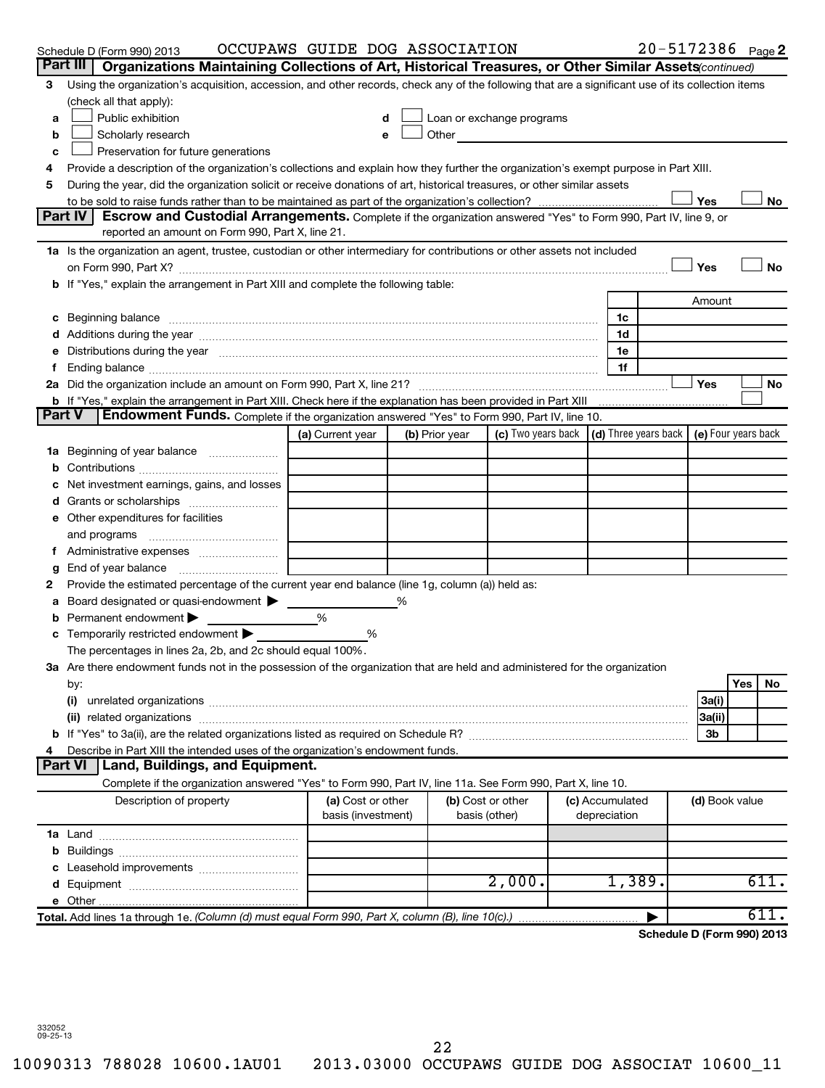|               | Schedule D (Form 990) 2013                                                                                                                                                                                                                               | OCCUPAWS GUIDE DOG ASSOCIATION |  |                |                   |  |                                                                             | 20-5172386 Page 2          |     |      |  |
|---------------|----------------------------------------------------------------------------------------------------------------------------------------------------------------------------------------------------------------------------------------------------------|--------------------------------|--|----------------|-------------------|--|-----------------------------------------------------------------------------|----------------------------|-----|------|--|
|               | Part III<br>Organizations Maintaining Collections of Art, Historical Treasures, or Other Similar Assets (continued)                                                                                                                                      |                                |  |                |                   |  |                                                                             |                            |     |      |  |
| 3             | Using the organization's acquisition, accession, and other records, check any of the following that are a significant use of its collection items                                                                                                        |                                |  |                |                   |  |                                                                             |                            |     |      |  |
|               | (check all that apply):                                                                                                                                                                                                                                  |                                |  |                |                   |  |                                                                             |                            |     |      |  |
| a             | Public exhibition<br>Loan or exchange programs                                                                                                                                                                                                           |                                |  |                |                   |  |                                                                             |                            |     |      |  |
| b             | Other and the contract of the contract of the contract of the contract of the contract of the contract of the contract of the contract of the contract of the contract of the contract of the contract of the contract of the<br>Scholarly research<br>e |                                |  |                |                   |  |                                                                             |                            |     |      |  |
| c             | Preservation for future generations                                                                                                                                                                                                                      |                                |  |                |                   |  |                                                                             |                            |     |      |  |
| 4             | Provide a description of the organization's collections and explain how they further the organization's exempt purpose in Part XIII.                                                                                                                     |                                |  |                |                   |  |                                                                             |                            |     |      |  |
| 5             | During the year, did the organization solicit or receive donations of art, historical treasures, or other similar assets                                                                                                                                 |                                |  |                |                   |  |                                                                             |                            |     |      |  |
|               |                                                                                                                                                                                                                                                          |                                |  |                |                   |  |                                                                             | Yes                        |     | No   |  |
|               | Part IV<br>Escrow and Custodial Arrangements. Complete if the organization answered "Yes" to Form 990, Part IV, line 9, or<br>reported an amount on Form 990, Part X, line 21.                                                                           |                                |  |                |                   |  |                                                                             |                            |     |      |  |
|               | 1a Is the organization an agent, trustee, custodian or other intermediary for contributions or other assets not included                                                                                                                                 |                                |  |                |                   |  |                                                                             |                            |     |      |  |
|               |                                                                                                                                                                                                                                                          |                                |  |                |                   |  |                                                                             | Yes                        |     | No   |  |
|               | b If "Yes," explain the arrangement in Part XIII and complete the following table:                                                                                                                                                                       |                                |  |                |                   |  |                                                                             |                            |     |      |  |
|               |                                                                                                                                                                                                                                                          |                                |  |                |                   |  |                                                                             | Amount                     |     |      |  |
|               | c Beginning balance measurements and the contract of the contract of the contract of the contract of the contract of the contract of the contract of the contract of the contract of the contract of the contract of the contr                           |                                |  |                |                   |  | 1c                                                                          |                            |     |      |  |
|               |                                                                                                                                                                                                                                                          |                                |  |                |                   |  | 1d                                                                          |                            |     |      |  |
|               | Distributions during the year manufactured and an account of the year manufactured and the year manufactured and the year manufactured and the year manufactured and the year manufactured and the year manufactured and the y                           |                                |  |                |                   |  | 1e                                                                          |                            |     |      |  |
|               |                                                                                                                                                                                                                                                          |                                |  |                |                   |  | 1f                                                                          |                            |     |      |  |
|               |                                                                                                                                                                                                                                                          |                                |  |                |                   |  |                                                                             | Yes                        |     | No   |  |
|               | b If "Yes," explain the arrangement in Part XIII. Check here if the explanation has been provided in Part XIII                                                                                                                                           |                                |  |                |                   |  |                                                                             |                            |     |      |  |
| <b>Part V</b> | <b>Endowment Funds.</b> Complete if the organization answered "Yes" to Form 990, Part IV, line 10.                                                                                                                                                       |                                |  |                |                   |  |                                                                             |                            |     |      |  |
|               |                                                                                                                                                                                                                                                          | (a) Current year               |  | (b) Prior year |                   |  | (c) Two years back $\vert$ (d) Three years back $\vert$ (e) Four years back |                            |     |      |  |
| 1a            | Beginning of year balance                                                                                                                                                                                                                                |                                |  |                |                   |  |                                                                             |                            |     |      |  |
| b             |                                                                                                                                                                                                                                                          |                                |  |                |                   |  |                                                                             |                            |     |      |  |
|               | Net investment earnings, gains, and losses                                                                                                                                                                                                               |                                |  |                |                   |  |                                                                             |                            |     |      |  |
|               |                                                                                                                                                                                                                                                          |                                |  |                |                   |  |                                                                             |                            |     |      |  |
|               | e Other expenditures for facilities                                                                                                                                                                                                                      |                                |  |                |                   |  |                                                                             |                            |     |      |  |
|               | and programs                                                                                                                                                                                                                                             |                                |  |                |                   |  |                                                                             |                            |     |      |  |
|               |                                                                                                                                                                                                                                                          |                                |  |                |                   |  |                                                                             |                            |     |      |  |
| g             | End of year balance                                                                                                                                                                                                                                      |                                |  |                |                   |  |                                                                             |                            |     |      |  |
| 2             | Provide the estimated percentage of the current year end balance (line 1g, column (a)) held as:                                                                                                                                                          |                                |  |                |                   |  |                                                                             |                            |     |      |  |
| а             | Board designated or quasi-endowment                                                                                                                                                                                                                      |                                |  |                |                   |  |                                                                             |                            |     |      |  |
|               | Permanent endowment                                                                                                                                                                                                                                      | %                              |  |                |                   |  |                                                                             |                            |     |      |  |
|               | Temporarily restricted endowment                                                                                                                                                                                                                         | %                              |  |                |                   |  |                                                                             |                            |     |      |  |
|               | The percentages in lines 2a, 2b, and 2c should equal 100%.                                                                                                                                                                                               |                                |  |                |                   |  |                                                                             |                            |     |      |  |
|               | 3a Are there endowment funds not in the possession of the organization that are held and administered for the organization                                                                                                                               |                                |  |                |                   |  |                                                                             |                            |     |      |  |
|               | by:                                                                                                                                                                                                                                                      |                                |  |                |                   |  |                                                                             |                            | Yes | No   |  |
|               | (i)                                                                                                                                                                                                                                                      |                                |  |                |                   |  |                                                                             | 3a(i)                      |     |      |  |
|               | (ii)                                                                                                                                                                                                                                                     |                                |  |                |                   |  |                                                                             | 3a(ii)                     |     |      |  |
|               |                                                                                                                                                                                                                                                          |                                |  |                |                   |  |                                                                             | 3b                         |     |      |  |
|               | Describe in Part XIII the intended uses of the organization's endowment funds.<br><b>Part VI</b><br>Land, Buildings, and Equipment.                                                                                                                      |                                |  |                |                   |  |                                                                             |                            |     |      |  |
|               | Complete if the organization answered "Yes" to Form 990, Part IV, line 11a. See Form 990, Part X, line 10.                                                                                                                                               |                                |  |                |                   |  |                                                                             |                            |     |      |  |
|               | Description of property                                                                                                                                                                                                                                  | (a) Cost or other              |  |                | (b) Cost or other |  | (c) Accumulated                                                             | (d) Book value             |     |      |  |
|               |                                                                                                                                                                                                                                                          | basis (investment)             |  |                | basis (other)     |  | depreciation                                                                |                            |     |      |  |
|               |                                                                                                                                                                                                                                                          |                                |  |                |                   |  |                                                                             |                            |     |      |  |
|               |                                                                                                                                                                                                                                                          |                                |  |                |                   |  |                                                                             |                            |     |      |  |
|               |                                                                                                                                                                                                                                                          |                                |  |                |                   |  |                                                                             |                            |     |      |  |
|               |                                                                                                                                                                                                                                                          |                                |  |                | 2,000.            |  | 1,389.                                                                      |                            |     | 611. |  |
|               |                                                                                                                                                                                                                                                          |                                |  |                |                   |  |                                                                             |                            |     |      |  |
|               | Total. Add lines 1a through 1e. (Column (d) must equal Form 990, Part X, column (B), line 10(c).)                                                                                                                                                        |                                |  |                |                   |  |                                                                             |                            |     | 611. |  |
|               |                                                                                                                                                                                                                                                          |                                |  |                |                   |  |                                                                             | Schedule D (Form 990) 2013 |     |      |  |
|               |                                                                                                                                                                                                                                                          |                                |  |                |                   |  |                                                                             |                            |     |      |  |

332052 09-25-13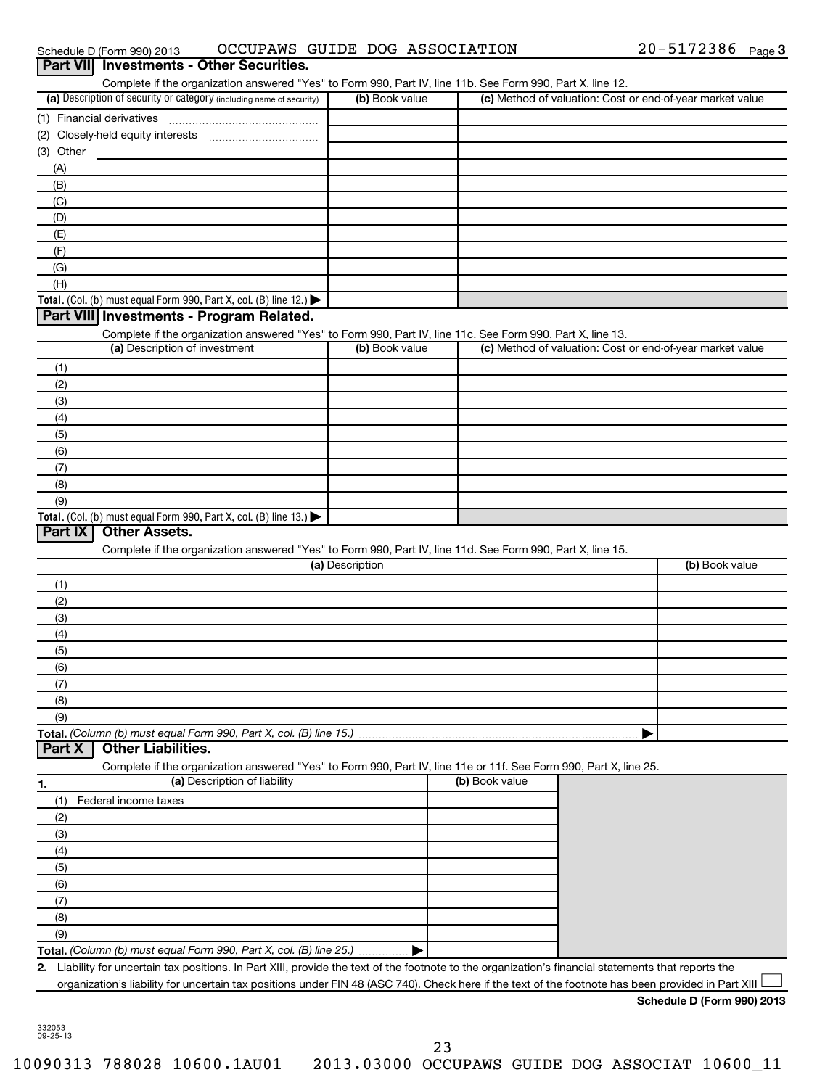Schedule D (Form 990) 2013 OCCUPAWS GUIDE DOG ASSOCIATION  $20-5172386$  Page

| Complete if the organization answered "Yes" to Form 990, Part IV, line 11b. See Form 990, Part X, line 12.<br>(a) Description of security or category (including name of security)                                             | (b) Book value  |                | (c) Method of valuation: Cost or end-of-year market value |
|--------------------------------------------------------------------------------------------------------------------------------------------------------------------------------------------------------------------------------|-----------------|----------------|-----------------------------------------------------------|
|                                                                                                                                                                                                                                |                 |                |                                                           |
| (2) Closely-held equity interests                                                                                                                                                                                              |                 |                |                                                           |
| (3) Other                                                                                                                                                                                                                      |                 |                |                                                           |
| (A)                                                                                                                                                                                                                            |                 |                |                                                           |
| (B)                                                                                                                                                                                                                            |                 |                |                                                           |
| (C)                                                                                                                                                                                                                            |                 |                |                                                           |
| (D)                                                                                                                                                                                                                            |                 |                |                                                           |
| (E)                                                                                                                                                                                                                            |                 |                |                                                           |
| (F)                                                                                                                                                                                                                            |                 |                |                                                           |
| (G)                                                                                                                                                                                                                            |                 |                |                                                           |
| (H)                                                                                                                                                                                                                            |                 |                |                                                           |
| Total. (Col. (b) must equal Form 990, Part X, col. (B) line 12.) $\blacktriangleright$                                                                                                                                         |                 |                |                                                           |
| Part VIII Investments - Program Related.                                                                                                                                                                                       |                 |                |                                                           |
| Complete if the organization answered "Yes" to Form 990, Part IV, line 11c. See Form 990, Part X, line 13.                                                                                                                     |                 |                |                                                           |
| (a) Description of investment                                                                                                                                                                                                  | (b) Book value  |                | (c) Method of valuation: Cost or end-of-year market value |
| (1)                                                                                                                                                                                                                            |                 |                |                                                           |
| (2)                                                                                                                                                                                                                            |                 |                |                                                           |
| (3)                                                                                                                                                                                                                            |                 |                |                                                           |
| (4)                                                                                                                                                                                                                            |                 |                |                                                           |
| (5)                                                                                                                                                                                                                            |                 |                |                                                           |
| (6)                                                                                                                                                                                                                            |                 |                |                                                           |
| (7)                                                                                                                                                                                                                            |                 |                |                                                           |
| (8)                                                                                                                                                                                                                            |                 |                |                                                           |
| (9)                                                                                                                                                                                                                            |                 |                |                                                           |
| Total. (Col. (b) must equal Form 990, Part X, col. (B) line 13.)                                                                                                                                                               |                 |                |                                                           |
| <b>Other Assets.</b><br>Part $ X $                                                                                                                                                                                             |                 |                |                                                           |
| Complete if the organization answered "Yes" to Form 990, Part IV, line 11d. See Form 990, Part X, line 15.                                                                                                                     |                 |                |                                                           |
|                                                                                                                                                                                                                                | (a) Description |                | (b) Book value                                            |
| (1)                                                                                                                                                                                                                            |                 |                |                                                           |
| (2)                                                                                                                                                                                                                            |                 |                |                                                           |
| (3)                                                                                                                                                                                                                            |                 |                |                                                           |
| (4)                                                                                                                                                                                                                            |                 |                |                                                           |
| (5)                                                                                                                                                                                                                            |                 |                |                                                           |
| (6)                                                                                                                                                                                                                            |                 |                |                                                           |
| (7)                                                                                                                                                                                                                            |                 |                |                                                           |
| (8)                                                                                                                                                                                                                            |                 |                |                                                           |
|                                                                                                                                                                                                                                |                 |                |                                                           |
| (9)                                                                                                                                                                                                                            |                 |                |                                                           |
|                                                                                                                                                                                                                                |                 |                |                                                           |
| <b>Other Liabilities.</b>                                                                                                                                                                                                      |                 |                |                                                           |
| Complete if the organization answered "Yes" to Form 990, Part IV, line 11e or 11f. See Form 990, Part X, line 25.                                                                                                              |                 |                |                                                           |
| (a) Description of liability                                                                                                                                                                                                   |                 | (b) Book value |                                                           |
| (1)<br>Federal income taxes                                                                                                                                                                                                    |                 |                |                                                           |
| (2)                                                                                                                                                                                                                            |                 |                |                                                           |
| (3)                                                                                                                                                                                                                            |                 |                |                                                           |
| (4)                                                                                                                                                                                                                            |                 |                |                                                           |
| (5)                                                                                                                                                                                                                            |                 |                |                                                           |
| (6)                                                                                                                                                                                                                            |                 |                |                                                           |
| Part X<br>(7)                                                                                                                                                                                                                  |                 |                |                                                           |
| (8)                                                                                                                                                                                                                            |                 |                |                                                           |
|                                                                                                                                                                                                                                |                 |                |                                                           |
| (9)<br>Total. (Column (b) must equal Form 990, Part X, col. (B) line 25.)<br>Liability for uncertain tax positions. In Part XIII, provide the text of the footnote to the organization's financial statements that reports the |                 |                |                                                           |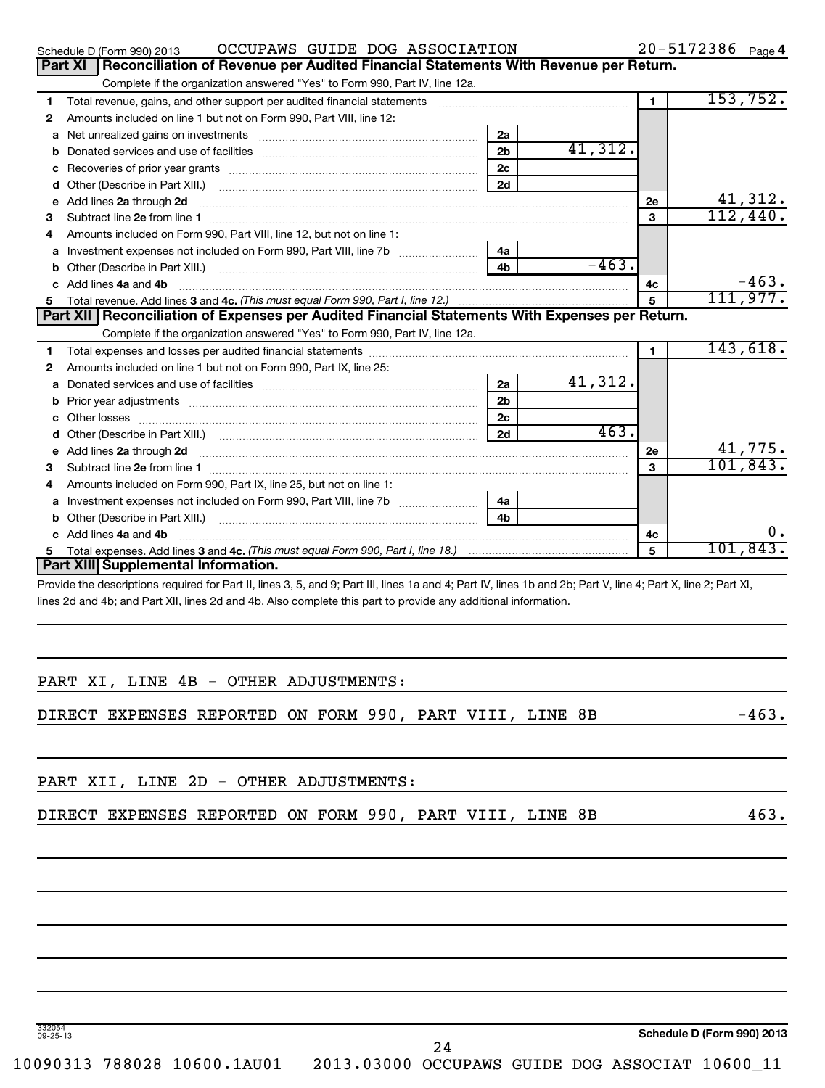|                                                                                                | OCCUPAWS GUIDE DOG ASSOCIATION<br>Schedule D (Form 990) 2013                                                                                                                                                                       |                |         |                | 20-5172386 Page 4 |                            |  |  |
|------------------------------------------------------------------------------------------------|------------------------------------------------------------------------------------------------------------------------------------------------------------------------------------------------------------------------------------|----------------|---------|----------------|-------------------|----------------------------|--|--|
| Reconciliation of Revenue per Audited Financial Statements With Revenue per Return.<br>Part XI |                                                                                                                                                                                                                                    |                |         |                |                   |                            |  |  |
|                                                                                                | Complete if the organization answered "Yes" to Form 990, Part IV, line 12a.                                                                                                                                                        |                |         |                |                   |                            |  |  |
| 1                                                                                              | Total revenue, gains, and other support per audited financial statements                                                                                                                                                           |                |         | $\blacksquare$ |                   | 153, 752.                  |  |  |
| 2                                                                                              | Amounts included on line 1 but not on Form 990, Part VIII, line 12:                                                                                                                                                                |                |         |                |                   |                            |  |  |
| a                                                                                              | Net unrealized gains on investments Network and the state of the state of the state of the state of the state o                                                                                                                    | 2a             |         |                |                   |                            |  |  |
| b                                                                                              |                                                                                                                                                                                                                                    | 2 <sub>b</sub> | 41,312. |                |                   |                            |  |  |
| c                                                                                              |                                                                                                                                                                                                                                    | 2c             |         |                |                   |                            |  |  |
| d                                                                                              |                                                                                                                                                                                                                                    | 2d             |         |                |                   |                            |  |  |
| е                                                                                              | Add lines 2a through 2d                                                                                                                                                                                                            |                |         | 2е             |                   | $\frac{41,312.}{112,440.}$ |  |  |
| 3                                                                                              |                                                                                                                                                                                                                                    |                |         | 3              |                   |                            |  |  |
| 4                                                                                              | Amounts included on Form 990, Part VIII, line 12, but not on line 1:                                                                                                                                                               |                |         |                |                   |                            |  |  |
| a                                                                                              |                                                                                                                                                                                                                                    | 4a             |         |                |                   |                            |  |  |
| b                                                                                              |                                                                                                                                                                                                                                    | 4 <sub>b</sub> | $-463.$ |                |                   |                            |  |  |
| c.                                                                                             | Add lines 4a and 4b                                                                                                                                                                                                                |                |         | 4c             |                   | $-463.$                    |  |  |
| 5                                                                                              | Total revenue. Add lines 3 and 4c. (This must equal Form 990, Part I, line 12.)                                                                                                                                                    |                |         | 5              |                   | 111,977.                   |  |  |
|                                                                                                | Part XII   Reconciliation of Expenses per Audited Financial Statements With Expenses per Return.                                                                                                                                   |                |         |                |                   |                            |  |  |
|                                                                                                | Complete if the organization answered "Yes" to Form 990, Part IV, line 12a.                                                                                                                                                        |                |         |                |                   |                            |  |  |
| 1                                                                                              |                                                                                                                                                                                                                                    |                |         | 1              |                   | 143,618.                   |  |  |
| 2                                                                                              | Amounts included on line 1 but not on Form 990, Part IX, line 25:                                                                                                                                                                  |                |         |                |                   |                            |  |  |
| a                                                                                              |                                                                                                                                                                                                                                    | 2a             | 41,312. |                |                   |                            |  |  |
| b                                                                                              |                                                                                                                                                                                                                                    | 2 <sub>b</sub> |         |                |                   |                            |  |  |
| c.                                                                                             |                                                                                                                                                                                                                                    | 2 <sub>c</sub> |         |                |                   |                            |  |  |
| d                                                                                              |                                                                                                                                                                                                                                    | 2d             | 463.    |                |                   |                            |  |  |
| e                                                                                              | Add lines 2a through 2d <b>[10]</b> Communication and the state of the state of the state of the state of the state of the state of the state of the state of the state of the state of the state of the state of the state of the |                |         | 2е             |                   | 41,775.                    |  |  |
| 3                                                                                              |                                                                                                                                                                                                                                    |                |         | 3              |                   | 101, 843.                  |  |  |
| 4                                                                                              | Amounts included on Form 990, Part IX, line 25, but not on line 1:                                                                                                                                                                 |                |         |                |                   |                            |  |  |
| a                                                                                              |                                                                                                                                                                                                                                    | 4a             |         |                |                   |                            |  |  |
| b                                                                                              |                                                                                                                                                                                                                                    | 4 <sub>h</sub> |         |                |                   |                            |  |  |
|                                                                                                | c Add lines 4a and 4b                                                                                                                                                                                                              |                |         | 4c             |                   | Ο.                         |  |  |
| 5                                                                                              |                                                                                                                                                                                                                                    |                |         | 5              |                   | 101,843.                   |  |  |
|                                                                                                | Part XIII Supplemental Information.                                                                                                                                                                                                |                |         |                |                   |                            |  |  |
|                                                                                                | Provide the descriptions required for Part II, lines 3, 5, and 9; Part III, lines 1a and 4; Part IV, lines 1b and 2b; Part V, line 4; Part X, line 2; Part XI,                                                                     |                |         |                |                   |                            |  |  |
|                                                                                                | lines 2d and 4b; and Part XII, lines 2d and 4b. Also complete this part to provide any additional information.                                                                                                                     |                |         |                |                   |                            |  |  |

|  |                                                                                 |    |                                                                                                                      | $-463.$                    |
|--|---------------------------------------------------------------------------------|----|----------------------------------------------------------------------------------------------------------------------|----------------------------|
|  |                                                                                 |    |                                                                                                                      |                            |
|  |                                                                                 |    |                                                                                                                      | 463.                       |
|  |                                                                                 |    |                                                                                                                      |                            |
|  |                                                                                 |    |                                                                                                                      |                            |
|  |                                                                                 |    |                                                                                                                      |                            |
|  |                                                                                 |    |                                                                                                                      |                            |
|  |                                                                                 |    |                                                                                                                      |                            |
|  | PART XI, LINE 4B - OTHER ADJUSTMENTS:<br>PART XII, LINE 2D - OTHER ADJUSTMENTS: | 24 | DIRECT EXPENSES REPORTED ON FORM 990, PART VIII, LINE 8B<br>DIRECT EXPENSES REPORTED ON FORM 990, PART VIII, LINE 8B | Schedule D (Form 990) 2013 |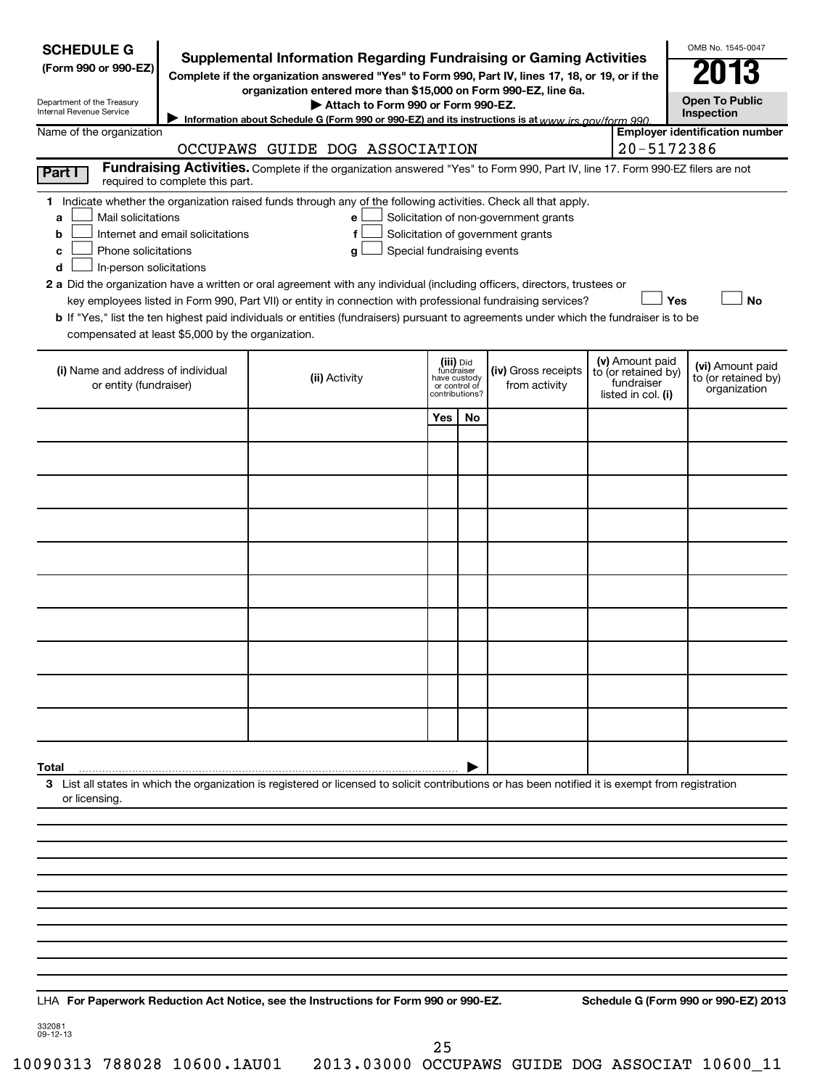| <b>SCHEDULE G</b><br>(Form 990 or 990-EZ)<br>Department of the Treasury<br>Internal Revenue Service                                           | <b>Supplemental Information Regarding Fundraising or Gaming Activities</b><br>Complete if the organization answered "Yes" to Form 990, Part IV, lines 17, 18, or 19, or if the<br>organization entered more than \$15,000 on Form 990-EZ, line 6a.<br>Attach to Form 990 or Form 990-EZ.<br>Information about Schedule G (Form 990 or 990-EZ) and its instructions is at www irs gov/form 990 |                                                                                                                                                                                                                                                                                                                                                                                                                                                                                                                                                    |                                                          |                |                                                                            |  |                                                                            | OMB No. 1545-0047<br><b>Open To Public</b><br>Inspection |
|-----------------------------------------------------------------------------------------------------------------------------------------------|-----------------------------------------------------------------------------------------------------------------------------------------------------------------------------------------------------------------------------------------------------------------------------------------------------------------------------------------------------------------------------------------------|----------------------------------------------------------------------------------------------------------------------------------------------------------------------------------------------------------------------------------------------------------------------------------------------------------------------------------------------------------------------------------------------------------------------------------------------------------------------------------------------------------------------------------------------------|----------------------------------------------------------|----------------|----------------------------------------------------------------------------|--|----------------------------------------------------------------------------|----------------------------------------------------------|
| Name of the organization                                                                                                                      | OCCUPAWS GUIDE DOG ASSOCIATION                                                                                                                                                                                                                                                                                                                                                                |                                                                                                                                                                                                                                                                                                                                                                                                                                                                                                                                                    |                                                          |                |                                                                            |  | 20-5172386                                                                 | <b>Employer identification number</b>                    |
| Part I                                                                                                                                        |                                                                                                                                                                                                                                                                                                                                                                                               | Fundraising Activities. Complete if the organization answered "Yes" to Form 990, Part IV, line 17. Form 990-EZ filers are not                                                                                                                                                                                                                                                                                                                                                                                                                      |                                                          |                |                                                                            |  |                                                                            |                                                          |
| Mail solicitations<br>a<br>b<br>Phone solicitations<br>c<br>In-person solicitations<br>d<br>compensated at least \$5,000 by the organization. | required to complete this part.<br>Internet and email solicitations                                                                                                                                                                                                                                                                                                                           | 1 Indicate whether the organization raised funds through any of the following activities. Check all that apply.<br>e<br>f<br>Special fundraising events<br>g<br>2 a Did the organization have a written or oral agreement with any individual (including officers, directors, trustees or<br>key employees listed in Form 990, Part VII) or entity in connection with professional fundraising services?<br>b If "Yes," list the ten highest paid individuals or entities (fundraisers) pursuant to agreements under which the fundraiser is to be |                                                          |                | Solicitation of non-government grants<br>Solicitation of government grants |  |                                                                            | Yes<br><b>No</b>                                         |
| (i) Name and address of individual<br>or entity (fundraiser)                                                                                  |                                                                                                                                                                                                                                                                                                                                                                                               | (ii) Activity                                                                                                                                                                                                                                                                                                                                                                                                                                                                                                                                      | (iii) Did<br>fundraiser<br>have custody<br>or control of | contributions? | (iv) Gross receipts<br>from activity                                       |  | (v) Amount paid<br>to (or retained by)<br>fundraiser<br>listed in col. (i) | (vi) Amount paid<br>to (or retained by)<br>organization  |
|                                                                                                                                               |                                                                                                                                                                                                                                                                                                                                                                                               |                                                                                                                                                                                                                                                                                                                                                                                                                                                                                                                                                    | Yes                                                      | No             |                                                                            |  |                                                                            |                                                          |
|                                                                                                                                               |                                                                                                                                                                                                                                                                                                                                                                                               |                                                                                                                                                                                                                                                                                                                                                                                                                                                                                                                                                    |                                                          |                |                                                                            |  |                                                                            |                                                          |
|                                                                                                                                               |                                                                                                                                                                                                                                                                                                                                                                                               |                                                                                                                                                                                                                                                                                                                                                                                                                                                                                                                                                    |                                                          |                |                                                                            |  |                                                                            |                                                          |
|                                                                                                                                               |                                                                                                                                                                                                                                                                                                                                                                                               |                                                                                                                                                                                                                                                                                                                                                                                                                                                                                                                                                    |                                                          |                |                                                                            |  |                                                                            |                                                          |
|                                                                                                                                               |                                                                                                                                                                                                                                                                                                                                                                                               |                                                                                                                                                                                                                                                                                                                                                                                                                                                                                                                                                    |                                                          |                |                                                                            |  |                                                                            |                                                          |
|                                                                                                                                               |                                                                                                                                                                                                                                                                                                                                                                                               |                                                                                                                                                                                                                                                                                                                                                                                                                                                                                                                                                    |                                                          |                |                                                                            |  |                                                                            |                                                          |
|                                                                                                                                               |                                                                                                                                                                                                                                                                                                                                                                                               |                                                                                                                                                                                                                                                                                                                                                                                                                                                                                                                                                    |                                                          |                |                                                                            |  |                                                                            |                                                          |
|                                                                                                                                               |                                                                                                                                                                                                                                                                                                                                                                                               |                                                                                                                                                                                                                                                                                                                                                                                                                                                                                                                                                    |                                                          |                |                                                                            |  |                                                                            |                                                          |
|                                                                                                                                               |                                                                                                                                                                                                                                                                                                                                                                                               |                                                                                                                                                                                                                                                                                                                                                                                                                                                                                                                                                    |                                                          |                |                                                                            |  |                                                                            |                                                          |
|                                                                                                                                               |                                                                                                                                                                                                                                                                                                                                                                                               |                                                                                                                                                                                                                                                                                                                                                                                                                                                                                                                                                    |                                                          |                |                                                                            |  |                                                                            |                                                          |
|                                                                                                                                               |                                                                                                                                                                                                                                                                                                                                                                                               |                                                                                                                                                                                                                                                                                                                                                                                                                                                                                                                                                    |                                                          |                |                                                                            |  |                                                                            |                                                          |
| Total                                                                                                                                         |                                                                                                                                                                                                                                                                                                                                                                                               |                                                                                                                                                                                                                                                                                                                                                                                                                                                                                                                                                    |                                                          |                |                                                                            |  |                                                                            |                                                          |
| or licensing.                                                                                                                                 |                                                                                                                                                                                                                                                                                                                                                                                               | 3 List all states in which the organization is registered or licensed to solicit contributions or has been notified it is exempt from registration                                                                                                                                                                                                                                                                                                                                                                                                 |                                                          |                |                                                                            |  |                                                                            |                                                          |
|                                                                                                                                               |                                                                                                                                                                                                                                                                                                                                                                                               |                                                                                                                                                                                                                                                                                                                                                                                                                                                                                                                                                    |                                                          |                |                                                                            |  |                                                                            |                                                          |
|                                                                                                                                               |                                                                                                                                                                                                                                                                                                                                                                                               |                                                                                                                                                                                                                                                                                                                                                                                                                                                                                                                                                    |                                                          |                |                                                                            |  |                                                                            |                                                          |
|                                                                                                                                               |                                                                                                                                                                                                                                                                                                                                                                                               |                                                                                                                                                                                                                                                                                                                                                                                                                                                                                                                                                    |                                                          |                |                                                                            |  |                                                                            |                                                          |
|                                                                                                                                               |                                                                                                                                                                                                                                                                                                                                                                                               |                                                                                                                                                                                                                                                                                                                                                                                                                                                                                                                                                    |                                                          |                |                                                                            |  |                                                                            |                                                          |
|                                                                                                                                               |                                                                                                                                                                                                                                                                                                                                                                                               |                                                                                                                                                                                                                                                                                                                                                                                                                                                                                                                                                    |                                                          |                |                                                                            |  |                                                                            |                                                          |
|                                                                                                                                               |                                                                                                                                                                                                                                                                                                                                                                                               | LHA For Paperwork Reduction Act Notice, see the Instructions for Form 990 or 990-EZ.                                                                                                                                                                                                                                                                                                                                                                                                                                                               |                                                          |                |                                                                            |  |                                                                            | Schedule G (Form 990 or 990-EZ) 2013                     |

332081 09-12-13

25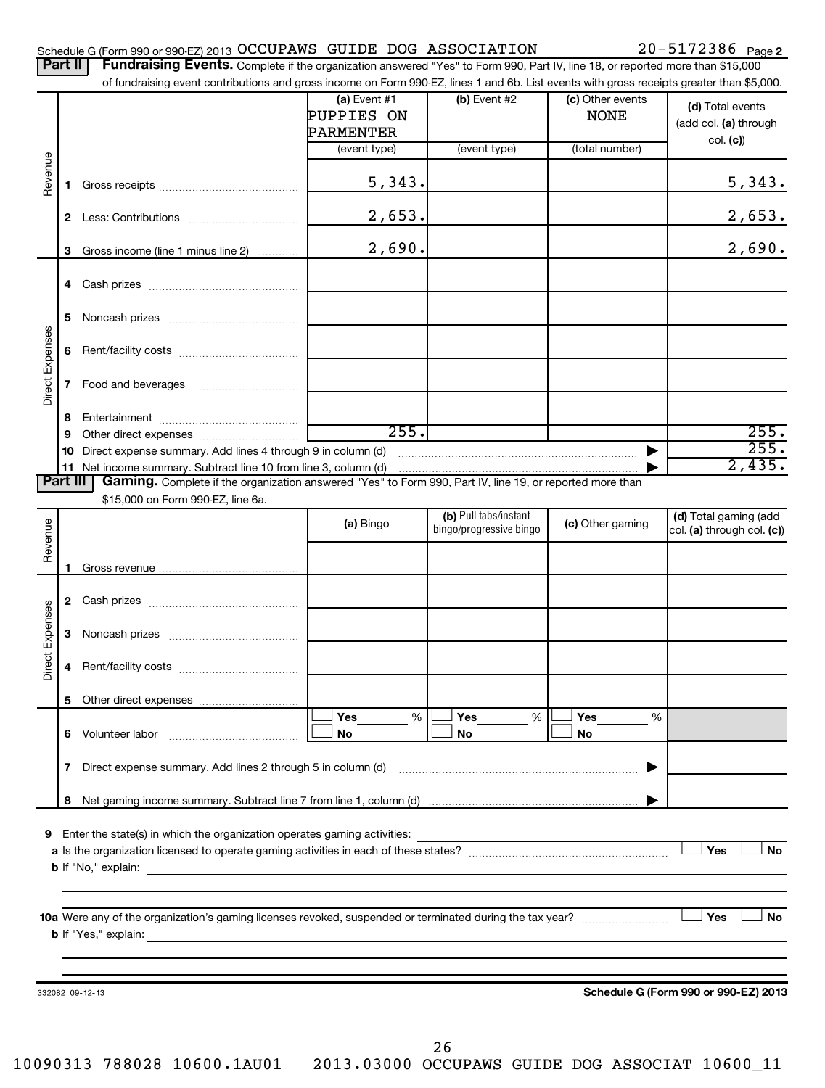| Schedule G (Form 990 or 990-EZ) 2013 OCCUPAWS GUIDE DOG ASSOCIATION |  |                                                                                                                                             | $20 - 5172386$ Page 2 |  |
|---------------------------------------------------------------------|--|---------------------------------------------------------------------------------------------------------------------------------------------|-----------------------|--|
|                                                                     |  | <b>Dart II Fundraising Events</b> Complete if the examization appurered "Yee" to Ferm 000, Dert IV line 18, or reported mere than \$15,000. |                       |  |

|                 |          | <b>Fullulalsing Events.</b> Complete if the organization answered "Yes" to Form 990, Part IV, line 18, or reported more than \$15,000<br>of fundraising event contributions and gross income on Form 990-EZ, lines 1 and 6b. List events with gross receipts greater than \$5,000. |                                           |                         |                                 |                                           |
|-----------------|----------|------------------------------------------------------------------------------------------------------------------------------------------------------------------------------------------------------------------------------------------------------------------------------------|-------------------------------------------|-------------------------|---------------------------------|-------------------------------------------|
|                 |          |                                                                                                                                                                                                                                                                                    | (a) Event $#1$<br>PUPPIES ON<br>PARMENTER | $(b)$ Event #2          | (c) Other events<br><b>NONE</b> | (d) Total events<br>(add col. (a) through |
|                 |          |                                                                                                                                                                                                                                                                                    | (event type)                              | (event type)            | (total number)                  | col. (c)                                  |
| Revenue         | 1.       |                                                                                                                                                                                                                                                                                    | 5,343.                                    |                         |                                 | 5,343.                                    |
|                 |          |                                                                                                                                                                                                                                                                                    | 2,653.                                    |                         |                                 | 2,653.                                    |
|                 | 3        | Gross income (line 1 minus line 2)                                                                                                                                                                                                                                                 | 2,690.                                    |                         |                                 | 2,690.                                    |
|                 | 4        |                                                                                                                                                                                                                                                                                    |                                           |                         |                                 |                                           |
|                 | 5        |                                                                                                                                                                                                                                                                                    |                                           |                         |                                 |                                           |
| Direct Expenses | 6        |                                                                                                                                                                                                                                                                                    |                                           |                         |                                 |                                           |
|                 | 7        |                                                                                                                                                                                                                                                                                    |                                           |                         |                                 |                                           |
|                 | 8        |                                                                                                                                                                                                                                                                                    |                                           |                         |                                 |                                           |
|                 | 9        |                                                                                                                                                                                                                                                                                    | 255.                                      |                         |                                 | 255.<br>255.                              |
|                 | 10<br>11 | Direct expense summary. Add lines 4 through 9 in column (d)                                                                                                                                                                                                                        |                                           |                         |                                 | 2,435.                                    |
|                 | Part III | Gaming. Complete if the organization answered "Yes" to Form 990, Part IV, line 19, or reported more than                                                                                                                                                                           |                                           |                         |                                 |                                           |
|                 |          | \$15,000 on Form 990-EZ, line 6a.                                                                                                                                                                                                                                                  |                                           |                         |                                 |                                           |
|                 |          |                                                                                                                                                                                                                                                                                    | (a) Bingo                                 | (b) Pull tabs/instant   | (c) Other gaming                | (d) Total gaming (add                     |
| Revenue         |          |                                                                                                                                                                                                                                                                                    |                                           | bingo/progressive bingo |                                 | col. (a) through col. (c))                |
|                 |          |                                                                                                                                                                                                                                                                                    |                                           |                         |                                 |                                           |
|                 | 1.       |                                                                                                                                                                                                                                                                                    |                                           |                         |                                 |                                           |
|                 |          |                                                                                                                                                                                                                                                                                    |                                           |                         |                                 |                                           |
|                 | 3        |                                                                                                                                                                                                                                                                                    |                                           |                         |                                 |                                           |
| Direct Expenses | 4        |                                                                                                                                                                                                                                                                                    |                                           |                         |                                 |                                           |
|                 | 5        |                                                                                                                                                                                                                                                                                    |                                           |                         |                                 |                                           |
|                 |          |                                                                                                                                                                                                                                                                                    | Yes<br>%                                  | Yes<br>%                | Yes<br>%                        |                                           |
|                 | 6.       | Volunteer labor                                                                                                                                                                                                                                                                    | No                                        | No                      | No                              |                                           |
|                 | 7        | Direct expense summary. Add lines 2 through 5 in column (d)                                                                                                                                                                                                                        |                                           |                         | ▶                               |                                           |
|                 | 8        |                                                                                                                                                                                                                                                                                    |                                           |                         |                                 |                                           |
|                 |          |                                                                                                                                                                                                                                                                                    |                                           |                         |                                 |                                           |
| 9               |          | Enter the state(s) in which the organization operates gaming activities:                                                                                                                                                                                                           |                                           |                         |                                 |                                           |
|                 |          |                                                                                                                                                                                                                                                                                    |                                           |                         |                                 | Yes<br>No                                 |
|                 |          |                                                                                                                                                                                                                                                                                    |                                           |                         |                                 |                                           |
|                 |          |                                                                                                                                                                                                                                                                                    |                                           |                         |                                 |                                           |
|                 |          |                                                                                                                                                                                                                                                                                    |                                           |                         |                                 | Yes<br>No                                 |
|                 |          |                                                                                                                                                                                                                                                                                    |                                           |                         |                                 |                                           |
|                 |          |                                                                                                                                                                                                                                                                                    |                                           |                         |                                 |                                           |
|                 |          |                                                                                                                                                                                                                                                                                    |                                           |                         |                                 |                                           |
|                 |          | 332082 09-12-13                                                                                                                                                                                                                                                                    |                                           |                         |                                 | Schedule G (Form 990 or 990-EZ) 2013      |
|                 |          |                                                                                                                                                                                                                                                                                    |                                           |                         |                                 |                                           |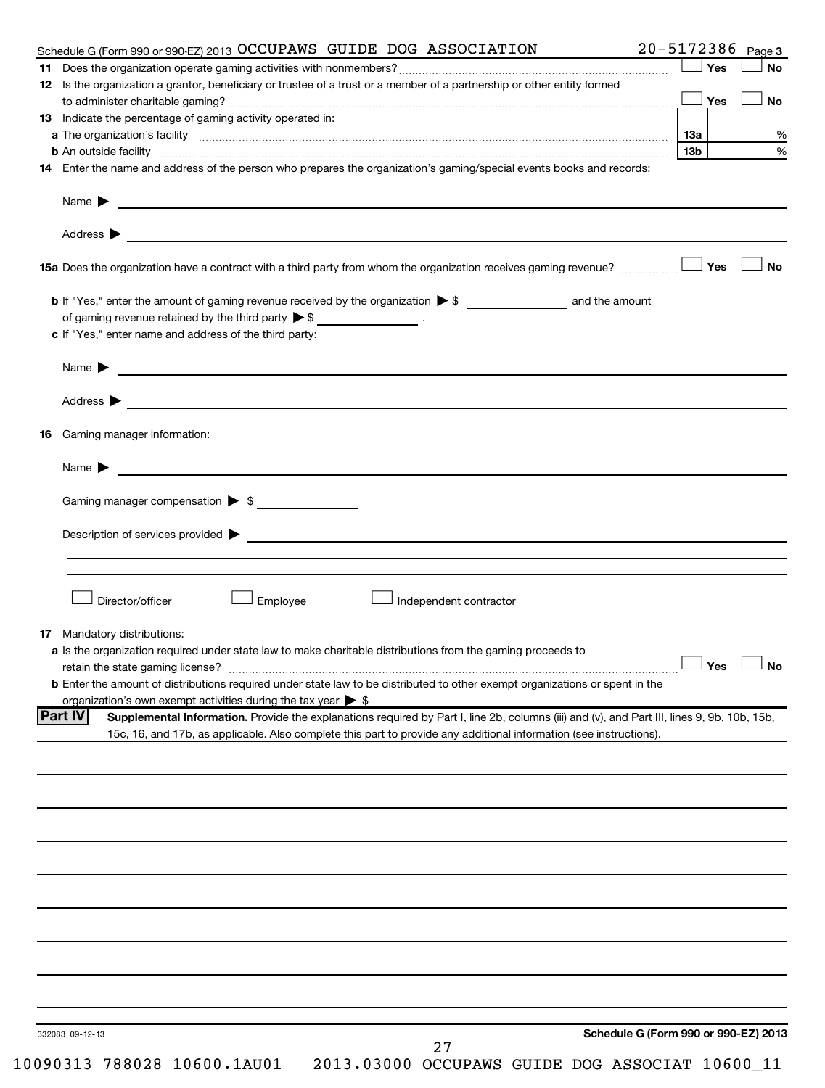|    | Schedule G (Form 990 or 990-EZ) 2013 OCCUPAWS GUIDE DOG ASSOCIATION                                                                                                                                                                                                                                                                                                                                                   |     | 20-5172386 Page 3 |
|----|-----------------------------------------------------------------------------------------------------------------------------------------------------------------------------------------------------------------------------------------------------------------------------------------------------------------------------------------------------------------------------------------------------------------------|-----|-------------------|
|    |                                                                                                                                                                                                                                                                                                                                                                                                                       | Yes | <b>No</b>         |
|    | 12 Is the organization a grantor, beneficiary or trustee of a trust or a member of a partnership or other entity formed                                                                                                                                                                                                                                                                                               |     |                   |
|    |                                                                                                                                                                                                                                                                                                                                                                                                                       | Yes | <b>No</b>         |
|    | 13 Indicate the percentage of gaming activity operated in:                                                                                                                                                                                                                                                                                                                                                            |     |                   |
|    |                                                                                                                                                                                                                                                                                                                                                                                                                       |     |                   |
|    | b An outside facility [13b] [13b]                                                                                                                                                                                                                                                                                                                                                                                     |     |                   |
|    | 14 Enter the name and address of the person who prepares the organization's gaming/special events books and records:                                                                                                                                                                                                                                                                                                  |     |                   |
|    | Name $\blacktriangleright$ $\frac{1}{\sqrt{1-\frac{1}{2}}\sqrt{1-\frac{1}{2}}\sqrt{1-\frac{1}{2}}\sqrt{1-\frac{1}{2}}\sqrt{1-\frac{1}{2}}\sqrt{1-\frac{1}{2}}\sqrt{1-\frac{1}{2}}\sqrt{1-\frac{1}{2}}\sqrt{1-\frac{1}{2}}\sqrt{1-\frac{1}{2}}\sqrt{1-\frac{1}{2}}\sqrt{1-\frac{1}{2}}\sqrt{1-\frac{1}{2}}\sqrt{1-\frac{1}{2}}\sqrt{1-\frac{1}{2}}\sqrt{1-\frac{1}{2}}\sqrt{1-\frac{1}{2}}\sqrt{1-\frac{1}{2}}\sqrt{1$ |     |                   |
|    |                                                                                                                                                                                                                                                                                                                                                                                                                       |     |                   |
|    |                                                                                                                                                                                                                                                                                                                                                                                                                       |     |                   |
|    | 15a Does the organization have a contract with a third party from whom the organization receives gaming revenue?                                                                                                                                                                                                                                                                                                      | Yes | <b>No</b>         |
|    |                                                                                                                                                                                                                                                                                                                                                                                                                       |     |                   |
|    | of gaming revenue retained by the third party $\triangleright$ \$ _________________.                                                                                                                                                                                                                                                                                                                                  |     |                   |
|    | c If "Yes," enter name and address of the third party:                                                                                                                                                                                                                                                                                                                                                                |     |                   |
|    | Name <b>Decision and Contract Contract Contract Contract Contract Contract Contract Contract Contract Contract Contract Contract Contract Contract Contract Contract Contract Contract Contract Contract Contract Contract Contr</b>                                                                                                                                                                                  |     |                   |
|    |                                                                                                                                                                                                                                                                                                                                                                                                                       |     |                   |
|    |                                                                                                                                                                                                                                                                                                                                                                                                                       |     |                   |
|    | 16 Gaming manager information:                                                                                                                                                                                                                                                                                                                                                                                        |     |                   |
|    |                                                                                                                                                                                                                                                                                                                                                                                                                       |     |                   |
|    | Gaming manager compensation > \$                                                                                                                                                                                                                                                                                                                                                                                      |     |                   |
|    |                                                                                                                                                                                                                                                                                                                                                                                                                       |     |                   |
|    |                                                                                                                                                                                                                                                                                                                                                                                                                       |     |                   |
|    |                                                                                                                                                                                                                                                                                                                                                                                                                       |     |                   |
|    |                                                                                                                                                                                                                                                                                                                                                                                                                       |     |                   |
|    | Director/officer<br>Employee<br>Independent contractor                                                                                                                                                                                                                                                                                                                                                                |     |                   |
|    |                                                                                                                                                                                                                                                                                                                                                                                                                       |     |                   |
| 17 | Mandatory distributions:<br>a Is the organization required under state law to make charitable distributions from the gaming proceeds to                                                                                                                                                                                                                                                                               |     |                   |
|    | retain the state gaming license? $\Box$ No                                                                                                                                                                                                                                                                                                                                                                            |     |                   |
|    | <b>b</b> Enter the amount of distributions required under state law to be distributed to other exempt organizations or spent in the                                                                                                                                                                                                                                                                                   |     |                   |
|    | organization's own exempt activities during the tax year $\triangleright$ \$                                                                                                                                                                                                                                                                                                                                          |     |                   |
|    | <b>Part IV</b><br>Supplemental Information. Provide the explanations required by Part I, line 2b, columns (iii) and (v), and Part III, lines 9, 9b, 10b, 15b,                                                                                                                                                                                                                                                         |     |                   |
|    | 15c, 16, and 17b, as applicable. Also complete this part to provide any additional information (see instructions).                                                                                                                                                                                                                                                                                                    |     |                   |
|    |                                                                                                                                                                                                                                                                                                                                                                                                                       |     |                   |
|    |                                                                                                                                                                                                                                                                                                                                                                                                                       |     |                   |
|    |                                                                                                                                                                                                                                                                                                                                                                                                                       |     |                   |
|    |                                                                                                                                                                                                                                                                                                                                                                                                                       |     |                   |
|    |                                                                                                                                                                                                                                                                                                                                                                                                                       |     |                   |
|    |                                                                                                                                                                                                                                                                                                                                                                                                                       |     |                   |
|    |                                                                                                                                                                                                                                                                                                                                                                                                                       |     |                   |
|    |                                                                                                                                                                                                                                                                                                                                                                                                                       |     |                   |
|    |                                                                                                                                                                                                                                                                                                                                                                                                                       |     |                   |
|    |                                                                                                                                                                                                                                                                                                                                                                                                                       |     |                   |
|    | Schedule G (Form 990 or 990-EZ) 2013<br>332083 09-12-13<br>27                                                                                                                                                                                                                                                                                                                                                         |     |                   |
|    | 10090313 788028 10600.1AU01<br>2013.03000 OCCUPAWS GUIDE DOG ASSOCIAT 10600_11                                                                                                                                                                                                                                                                                                                                        |     |                   |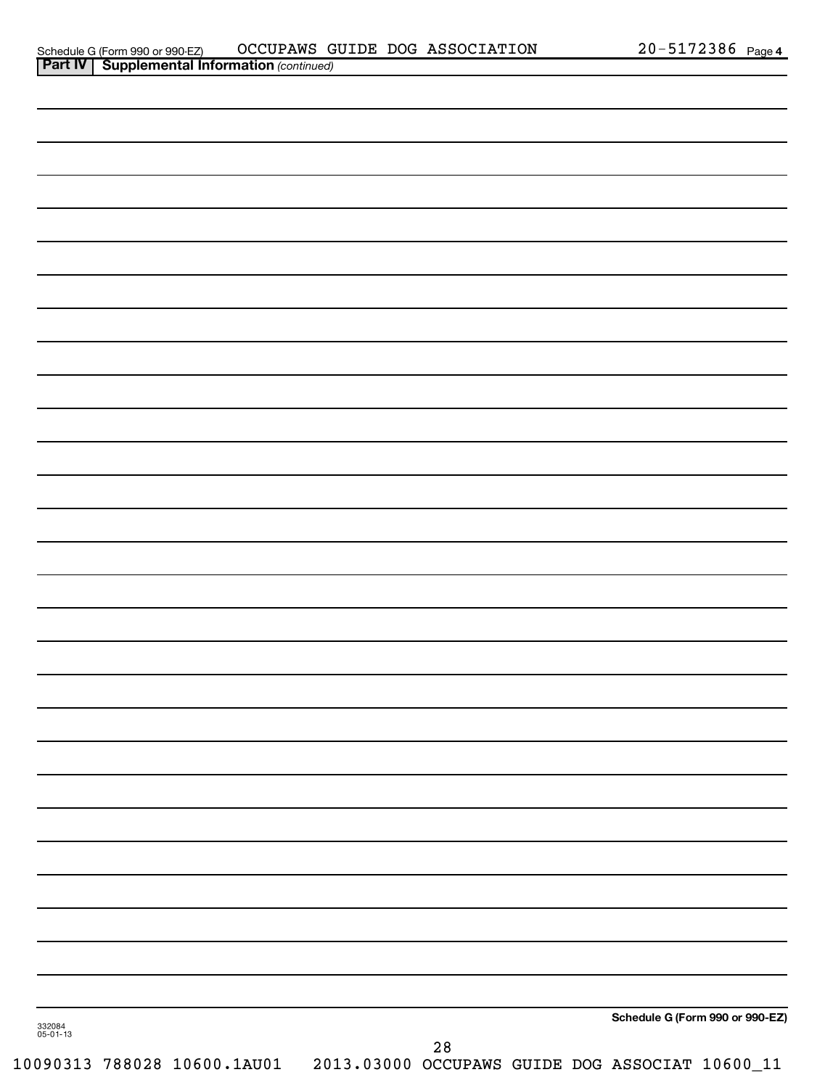| Schedule G (Form 990 or 990-EZ)                                             |  | OCCUPAWS GUIDE DOG ASSOCIATION | 172386; | Page 4 |
|-----------------------------------------------------------------------------|--|--------------------------------|---------|--------|
| $D2$ rt IV<br>$\sim$ Supplemental Information $\langle$ continued $\rangle$ |  |                                |         |        |

|                    | <b>Part IV   Supplemental Information (continued)</b> |  |                                                                                      |  |                                 |  |
|--------------------|-------------------------------------------------------|--|--------------------------------------------------------------------------------------|--|---------------------------------|--|
|                    |                                                       |  |                                                                                      |  |                                 |  |
|                    |                                                       |  |                                                                                      |  |                                 |  |
|                    |                                                       |  |                                                                                      |  |                                 |  |
|                    |                                                       |  |                                                                                      |  |                                 |  |
|                    |                                                       |  |                                                                                      |  |                                 |  |
|                    |                                                       |  |                                                                                      |  |                                 |  |
|                    |                                                       |  |                                                                                      |  |                                 |  |
|                    |                                                       |  |                                                                                      |  |                                 |  |
|                    |                                                       |  |                                                                                      |  |                                 |  |
|                    |                                                       |  |                                                                                      |  |                                 |  |
|                    |                                                       |  |                                                                                      |  |                                 |  |
|                    |                                                       |  |                                                                                      |  |                                 |  |
|                    |                                                       |  |                                                                                      |  |                                 |  |
|                    |                                                       |  |                                                                                      |  |                                 |  |
|                    |                                                       |  |                                                                                      |  |                                 |  |
|                    |                                                       |  |                                                                                      |  |                                 |  |
|                    |                                                       |  |                                                                                      |  |                                 |  |
|                    |                                                       |  |                                                                                      |  |                                 |  |
|                    |                                                       |  |                                                                                      |  |                                 |  |
|                    |                                                       |  |                                                                                      |  |                                 |  |
|                    |                                                       |  |                                                                                      |  |                                 |  |
|                    |                                                       |  |                                                                                      |  |                                 |  |
|                    |                                                       |  |                                                                                      |  |                                 |  |
|                    |                                                       |  |                                                                                      |  |                                 |  |
|                    |                                                       |  |                                                                                      |  |                                 |  |
|                    |                                                       |  |                                                                                      |  |                                 |  |
|                    |                                                       |  |                                                                                      |  |                                 |  |
|                    |                                                       |  |                                                                                      |  |                                 |  |
|                    |                                                       |  |                                                                                      |  |                                 |  |
|                    |                                                       |  |                                                                                      |  |                                 |  |
|                    |                                                       |  |                                                                                      |  |                                 |  |
|                    |                                                       |  |                                                                                      |  |                                 |  |
|                    |                                                       |  |                                                                                      |  |                                 |  |
|                    |                                                       |  |                                                                                      |  |                                 |  |
|                    |                                                       |  |                                                                                      |  | Schedule G (Form 990 or 990-EZ) |  |
| 332084<br>05-01-13 |                                                       |  |                                                                                      |  |                                 |  |
|                    |                                                       |  | $28$<br>10090313 788028 10600.1AU01  2013.03000 OCCUPAWS GUIDE DOG ASSOCIAT 10600_11 |  |                                 |  |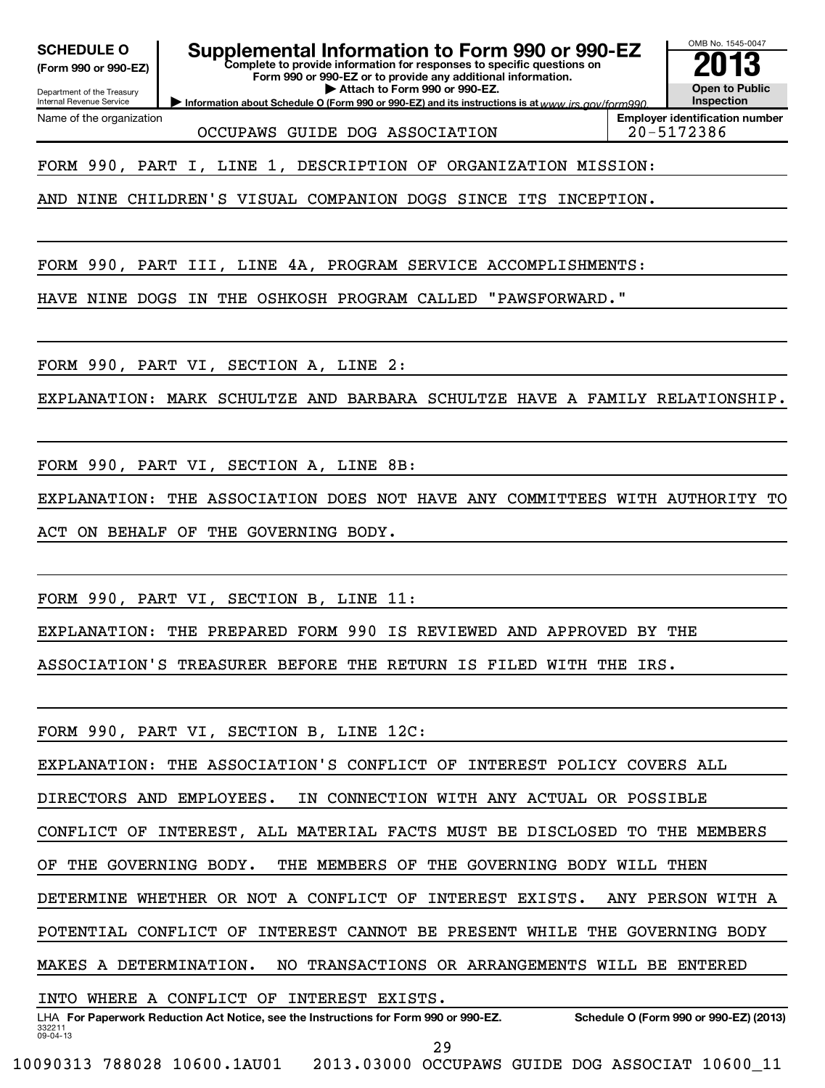**(Form 990 or 990-EZ)**

### **Complete to provide information for responses to specific questions on SCHEDULE O Supplemental Information to Form 990 or 990-EZ 2013**

OMB No. 1545-0047

**Form 990 or 990-EZ or to provide any additional information. | Attach to Form 990 or 990-EZ.**

Department of the Treasury Internal Revenue Service Name of the organization

OCCUPAWS GUIDE DOG ASSOCIATION 20-5172386

**Information about Schedule O (Form 990 or 990-EZ) and its instructions is at www.irs.gov/form990. Employer identification number**

**Open to Public Inspection**

FORM 990, PART I, LINE 1, DESCRIPTION OF ORGANIZATION MISSION:

AND NINE CHILDREN'S VISUAL COMPANION DOGS SINCE ITS INCEPTION.

FORM 990, PART III, LINE 4A, PROGRAM SERVICE ACCOMPLISHMENTS:

HAVE NINE DOGS IN THE OSHKOSH PROGRAM CALLED "PAWSFORWARD."

FORM 990, PART VI, SECTION A, LINE 2:

EXPLANATION: MARK SCHULTZE AND BARBARA SCHULTZE HAVE A FAMILY RELATIONSHIP.

FORM 990, PART VI, SECTION A, LINE 8B:

EXPLANATION: THE ASSOCIATION DOES NOT HAVE ANY COMMITTEES WITH AUTHORITY TO ACT ON BEHALF OF THE GOVERNING BODY.

FORM 990, PART VI, SECTION B, LINE 11:

EXPLANATION: THE PREPARED FORM 990 IS REVIEWED AND APPROVED BY THE

ASSOCIATION'S TREASURER BEFORE THE RETURN IS FILED WITH THE IRS.

FORM 990, PART VI, SECTION B, LINE 12C:

EXPLANATION: THE ASSOCIATION'S CONFLICT OF INTEREST POLICY COVERS ALL

DIRECTORS AND EMPLOYEES. IN CONNECTION WITH ANY ACTUAL OR POSSIBLE

CONFLICT OF INTEREST, ALL MATERIAL FACTS MUST BE DISCLOSED TO THE MEMBERS

OF THE GOVERNING BODY. THE MEMBERS OF THE GOVERNING BODY WILL THEN

DETERMINE WHETHER OR NOT A CONFLICT OF INTEREST EXISTS. ANY PERSON WITH A

POTENTIAL CONFLICT OF INTEREST CANNOT BE PRESENT WHILE THE GOVERNING BODY

MAKES A DETERMINATION. NO TRANSACTIONS OR ARRANGEMENTS WILL BE ENTERED

INTO WHERE A CONFLICT OF INTEREST EXISTS.

332211 09-04-13 LHA For Paperwork Reduction Act Notice, see the Instructions for Form 990 or 990-EZ. Schedule O (Form 990 or 990-EZ) (2013) 29